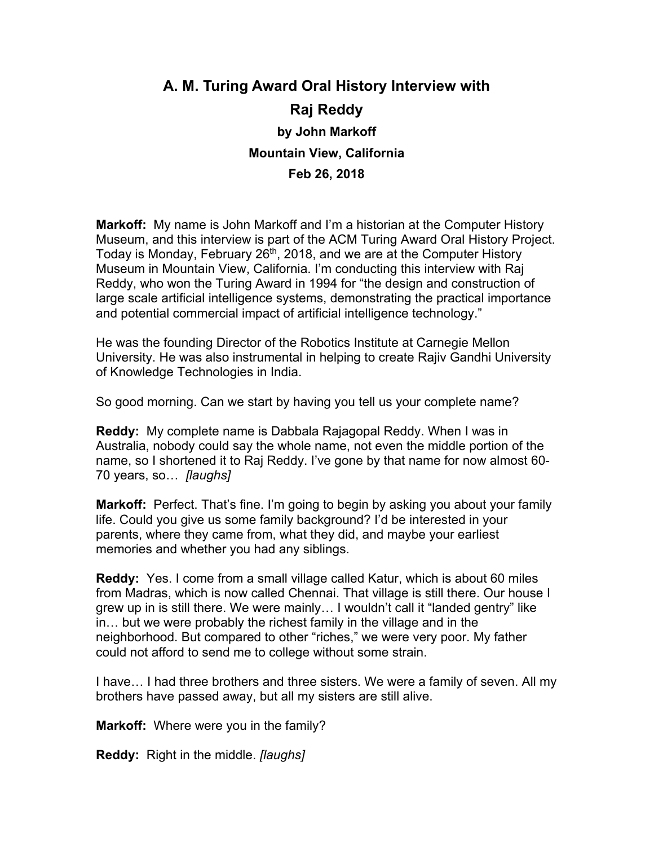# **A. M. Turing Award Oral History Interview with Raj Reddy by John Markoff Mountain View, California Feb 26, 2018**

**Markoff:** My name is John Markoff and I'm a historian at the Computer History Museum, and this interview is part of the ACM Turing Award Oral History Project. Today is Monday, February 26<sup>th</sup>, 2018, and we are at the Computer History Museum in Mountain View, California. I'm conducting this interview with Raj Reddy, who won the Turing Award in 1994 for "the design and construction of large scale artificial intelligence systems, demonstrating the practical importance and potential commercial impact of artificial intelligence technology."

He was the founding Director of the Robotics Institute at Carnegie Mellon University. He was also instrumental in helping to create Rajiv Gandhi University of Knowledge Technologies in India.

So good morning. Can we start by having you tell us your complete name?

**Reddy:** My complete name is Dabbala Rajagopal Reddy. When I was in Australia, nobody could say the whole name, not even the middle portion of the name, so I shortened it to Raj Reddy. I've gone by that name for now almost 60- 70 years, so… *[laughs]*

**Markoff:** Perfect. That's fine. I'm going to begin by asking you about your family life. Could you give us some family background? I'd be interested in your parents, where they came from, what they did, and maybe your earliest memories and whether you had any siblings.

**Reddy:** Yes. I come from a small village called Katur, which is about 60 miles from Madras, which is now called Chennai. That village is still there. Our house I grew up in is still there. We were mainly… I wouldn't call it "landed gentry" like in… but we were probably the richest family in the village and in the neighborhood. But compared to other "riches," we were very poor. My father could not afford to send me to college without some strain.

I have… I had three brothers and three sisters. We were a family of seven. All my brothers have passed away, but all my sisters are still alive.

**Markoff:** Where were you in the family?

**Reddy:** Right in the middle. *[laughs]*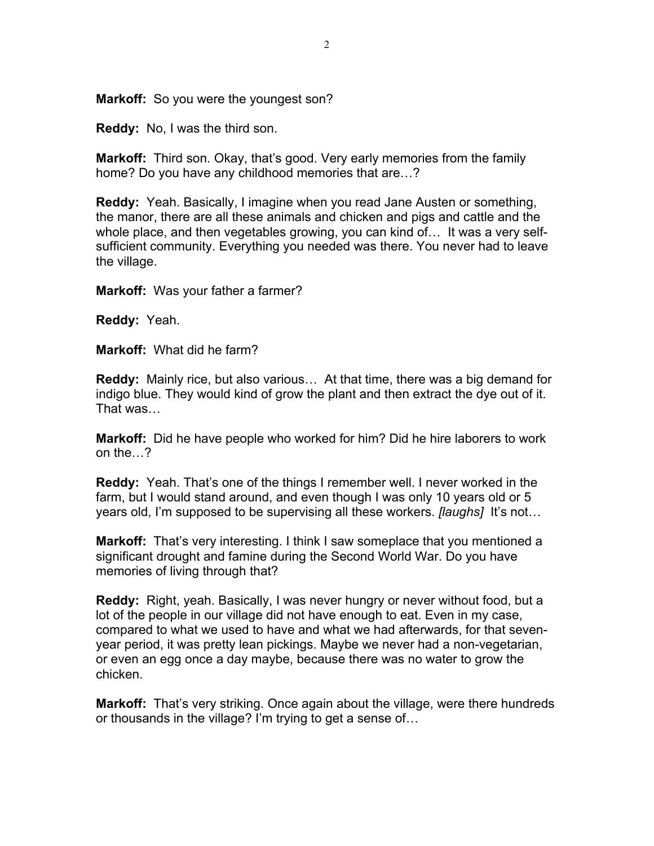**Markoff:** So you were the youngest son?

**Reddy:** No, I was the third son.

**Markoff:** Third son. Okay, that's good. Very early memories from the family home? Do you have any childhood memories that are…?

**Reddy:** Yeah. Basically, I imagine when you read Jane Austen or something, the manor, there are all these animals and chicken and pigs and cattle and the whole place, and then vegetables growing, you can kind of… It was a very selfsufficient community. Everything you needed was there. You never had to leave the village.

**Markoff:** Was your father a farmer?

**Reddy:** Yeah.

**Markoff:** What did he farm?

**Reddy:** Mainly rice, but also various… At that time, there was a big demand for indigo blue. They would kind of grow the plant and then extract the dye out of it. That was…

**Markoff:** Did he have people who worked for him? Did he hire laborers to work on the…?

**Reddy:** Yeah. That's one of the things I remember well. I never worked in the farm, but I would stand around, and even though I was only 10 years old or 5 years old, I'm supposed to be supervising all these workers. *[laughs]* It's not…

**Markoff:** That's very interesting. I think I saw someplace that you mentioned a significant drought and famine during the Second World War. Do you have memories of living through that?

**Reddy:** Right, yeah. Basically, I was never hungry or never without food, but a lot of the people in our village did not have enough to eat. Even in my case, compared to what we used to have and what we had afterwards, for that sevenyear period, it was pretty lean pickings. Maybe we never had a non-vegetarian, or even an egg once a day maybe, because there was no water to grow the chicken.

**Markoff:** That's very striking. Once again about the village, were there hundreds or thousands in the village? I'm trying to get a sense of…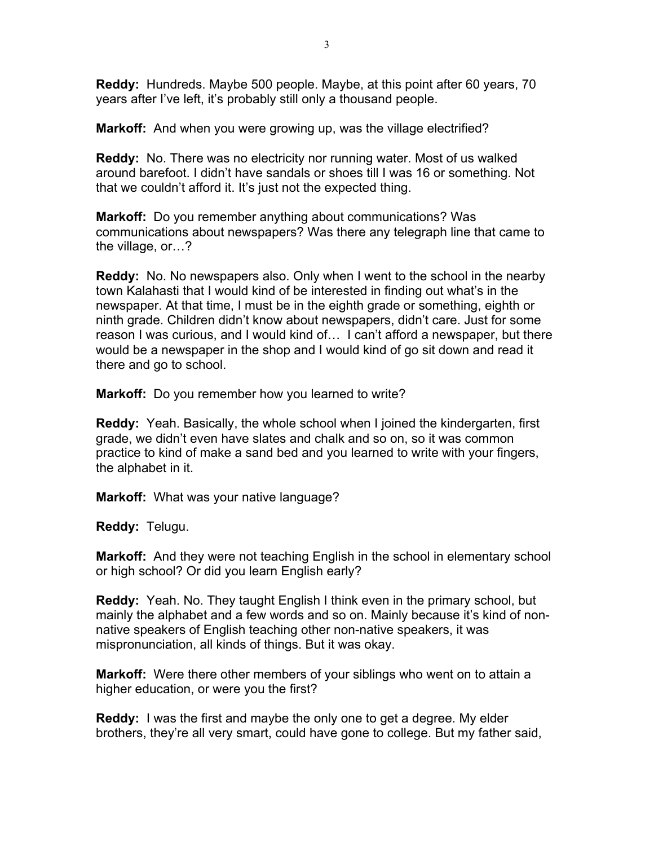**Reddy:** Hundreds. Maybe 500 people. Maybe, at this point after 60 years, 70 years after I've left, it's probably still only a thousand people.

**Markoff:** And when you were growing up, was the village electrified?

**Reddy:** No. There was no electricity nor running water. Most of us walked around barefoot. I didn't have sandals or shoes till I was 16 or something. Not that we couldn't afford it. It's just not the expected thing.

**Markoff:** Do you remember anything about communications? Was communications about newspapers? Was there any telegraph line that came to the village, or…?

**Reddy:** No. No newspapers also. Only when I went to the school in the nearby town Kalahasti that I would kind of be interested in finding out what's in the newspaper. At that time, I must be in the eighth grade or something, eighth or ninth grade. Children didn't know about newspapers, didn't care. Just for some reason I was curious, and I would kind of… I can't afford a newspaper, but there would be a newspaper in the shop and I would kind of go sit down and read it there and go to school.

**Markoff:** Do you remember how you learned to write?

**Reddy:** Yeah. Basically, the whole school when I joined the kindergarten, first grade, we didn't even have slates and chalk and so on, so it was common practice to kind of make a sand bed and you learned to write with your fingers, the alphabet in it.

**Markoff:** What was your native language?

**Reddy:** Telugu.

**Markoff:** And they were not teaching English in the school in elementary school or high school? Or did you learn English early?

**Reddy:** Yeah. No. They taught English I think even in the primary school, but mainly the alphabet and a few words and so on. Mainly because it's kind of nonnative speakers of English teaching other non-native speakers, it was mispronunciation, all kinds of things. But it was okay.

**Markoff:** Were there other members of your siblings who went on to attain a higher education, or were you the first?

**Reddy:** I was the first and maybe the only one to get a degree. My elder brothers, they're all very smart, could have gone to college. But my father said,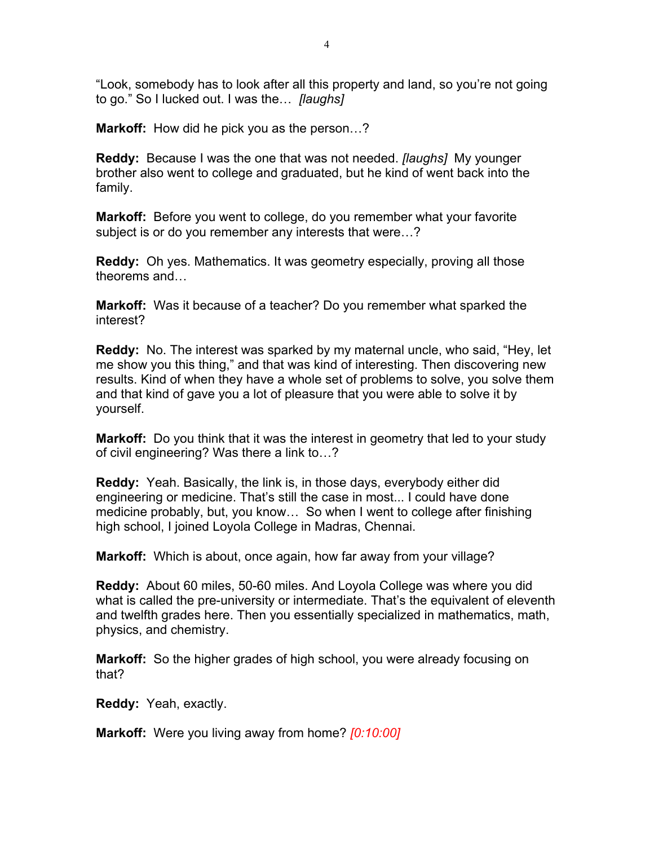"Look, somebody has to look after all this property and land, so you're not going to go." So I lucked out. I was the… *[laughs]*

**Markoff:** How did he pick you as the person…?

**Reddy:** Because I was the one that was not needed. *[laughs]* My younger brother also went to college and graduated, but he kind of went back into the family.

**Markoff:** Before you went to college, do you remember what your favorite subject is or do you remember any interests that were…?

**Reddy:** Oh yes. Mathematics. It was geometry especially, proving all those theorems and…

**Markoff:** Was it because of a teacher? Do you remember what sparked the interest?

**Reddy:** No. The interest was sparked by my maternal uncle, who said, "Hey, let me show you this thing," and that was kind of interesting. Then discovering new results. Kind of when they have a whole set of problems to solve, you solve them and that kind of gave you a lot of pleasure that you were able to solve it by yourself.

**Markoff:** Do you think that it was the interest in geometry that led to your study of civil engineering? Was there a link to…?

**Reddy:** Yeah. Basically, the link is, in those days, everybody either did engineering or medicine. That's still the case in most... I could have done medicine probably, but, you know… So when I went to college after finishing high school, I joined Loyola College in Madras, Chennai.

**Markoff:** Which is about, once again, how far away from your village?

**Reddy:** About 60 miles, 50-60 miles. And Loyola College was where you did what is called the pre-university or intermediate. That's the equivalent of eleventh and twelfth grades here. Then you essentially specialized in mathematics, math, physics, and chemistry.

**Markoff:** So the higher grades of high school, you were already focusing on that?

**Reddy:** Yeah, exactly.

**Markoff:** Were you living away from home? *[0:10:00]*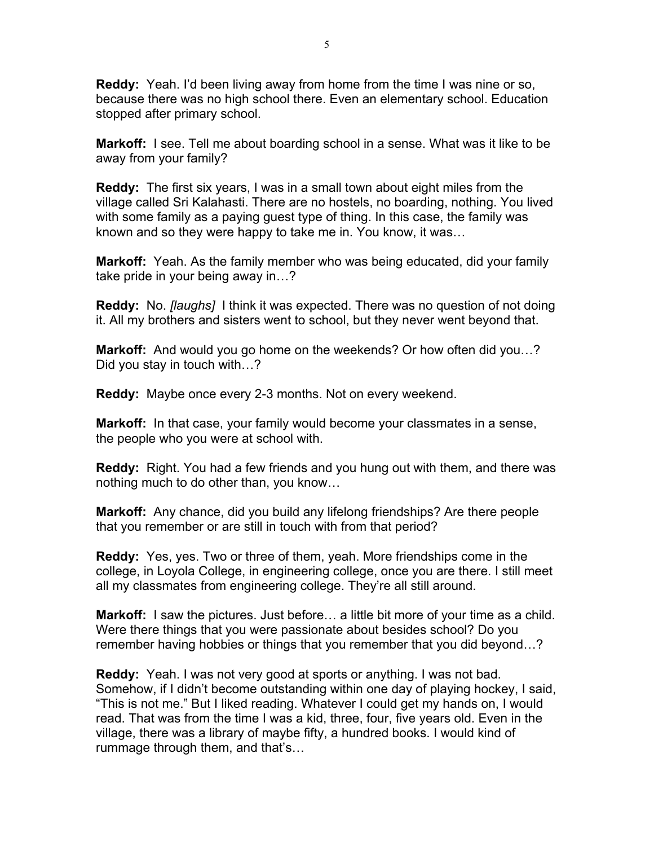**Reddy:** Yeah. I'd been living away from home from the time I was nine or so, because there was no high school there. Even an elementary school. Education stopped after primary school.

**Markoff:** I see. Tell me about boarding school in a sense. What was it like to be away from your family?

**Reddy:** The first six years, I was in a small town about eight miles from the village called Sri Kalahasti. There are no hostels, no boarding, nothing. You lived with some family as a paying guest type of thing. In this case, the family was known and so they were happy to take me in. You know, it was…

**Markoff:** Yeah. As the family member who was being educated, did your family take pride in your being away in…?

**Reddy:** No. *[laughs]* I think it was expected. There was no question of not doing it. All my brothers and sisters went to school, but they never went beyond that.

**Markoff:** And would you go home on the weekends? Or how often did you…? Did you stay in touch with…?

**Reddy:** Maybe once every 2-3 months. Not on every weekend.

**Markoff:** In that case, your family would become your classmates in a sense, the people who you were at school with.

**Reddy:** Right. You had a few friends and you hung out with them, and there was nothing much to do other than, you know…

**Markoff:** Any chance, did you build any lifelong friendships? Are there people that you remember or are still in touch with from that period?

**Reddy:** Yes, yes. Two or three of them, yeah. More friendships come in the college, in Loyola College, in engineering college, once you are there. I still meet all my classmates from engineering college. They're all still around.

**Markoff:** I saw the pictures. Just before… a little bit more of your time as a child. Were there things that you were passionate about besides school? Do you remember having hobbies or things that you remember that you did beyond…?

**Reddy:** Yeah. I was not very good at sports or anything. I was not bad. Somehow, if I didn't become outstanding within one day of playing hockey, I said, "This is not me." But I liked reading. Whatever I could get my hands on, I would read. That was from the time I was a kid, three, four, five years old. Even in the village, there was a library of maybe fifty, a hundred books. I would kind of rummage through them, and that's…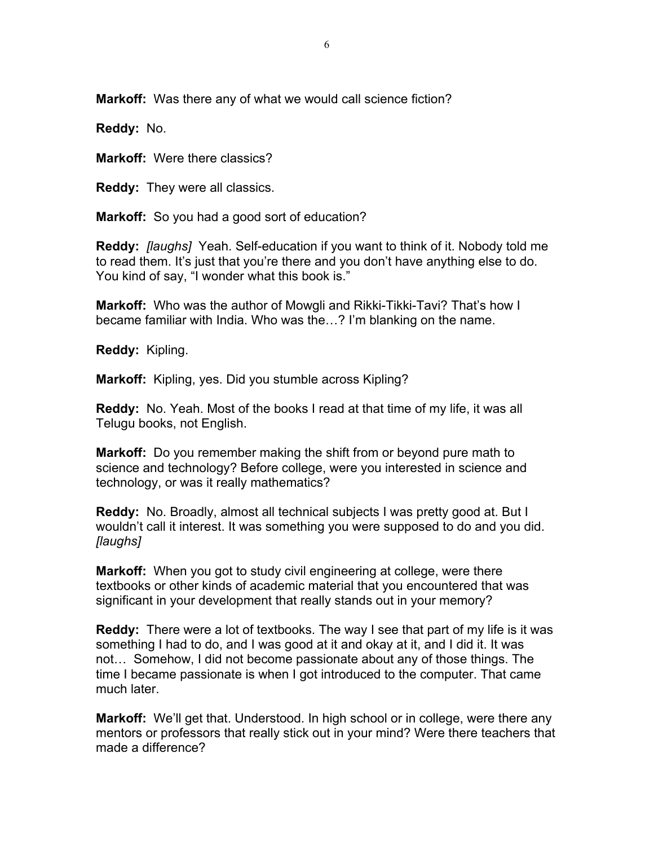**Markoff:** Was there any of what we would call science fiction?

**Reddy:** No.

**Markoff:** Were there classics?

**Reddy:** They were all classics.

**Markoff:** So you had a good sort of education?

**Reddy:** *[laughs]* Yeah. Self-education if you want to think of it. Nobody told me to read them. It's just that you're there and you don't have anything else to do. You kind of say, "I wonder what this book is."

**Markoff:** Who was the author of Mowgli and Rikki-Tikki-Tavi? That's how I became familiar with India. Who was the…? I'm blanking on the name.

**Reddy:** Kipling.

**Markoff:** Kipling, yes. Did you stumble across Kipling?

**Reddy:** No. Yeah. Most of the books I read at that time of my life, it was all Telugu books, not English.

**Markoff:** Do you remember making the shift from or beyond pure math to science and technology? Before college, were you interested in science and technology, or was it really mathematics?

**Reddy:** No. Broadly, almost all technical subjects I was pretty good at. But I wouldn't call it interest. It was something you were supposed to do and you did. *[laughs]*

**Markoff:** When you got to study civil engineering at college, were there textbooks or other kinds of academic material that you encountered that was significant in your development that really stands out in your memory?

**Reddy:** There were a lot of textbooks. The way I see that part of my life is it was something I had to do, and I was good at it and okay at it, and I did it. It was not… Somehow, I did not become passionate about any of those things. The time I became passionate is when I got introduced to the computer. That came much later.

**Markoff:** We'll get that. Understood. In high school or in college, were there any mentors or professors that really stick out in your mind? Were there teachers that made a difference?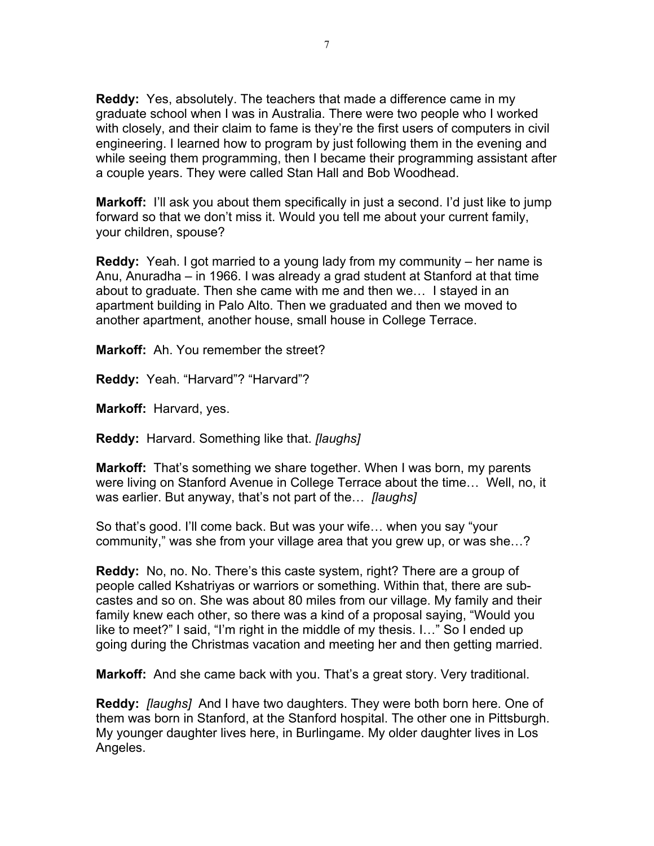**Reddy:** Yes, absolutely. The teachers that made a difference came in my graduate school when I was in Australia. There were two people who I worked with closely, and their claim to fame is they're the first users of computers in civil engineering. I learned how to program by just following them in the evening and while seeing them programming, then I became their programming assistant after a couple years. They were called Stan Hall and Bob Woodhead.

**Markoff:** I'll ask you about them specifically in just a second. I'd just like to jump forward so that we don't miss it. Would you tell me about your current family, your children, spouse?

**Reddy:** Yeah. I got married to a young lady from my community – her name is Anu, Anuradha – in 1966. I was already a grad student at Stanford at that time about to graduate. Then she came with me and then we… I stayed in an apartment building in Palo Alto. Then we graduated and then we moved to another apartment, another house, small house in College Terrace.

**Markoff:** Ah. You remember the street?

**Reddy:** Yeah. "Harvard"? "Harvard"?

**Markoff:** Harvard, yes.

**Reddy:** Harvard. Something like that. *[laughs]*

**Markoff:** That's something we share together. When I was born, my parents were living on Stanford Avenue in College Terrace about the time… Well, no, it was earlier. But anyway, that's not part of the… *[laughs]*

So that's good. I'll come back. But was your wife… when you say "your community," was she from your village area that you grew up, or was she…?

**Reddy:** No, no. No. There's this caste system, right? There are a group of people called Kshatriyas or warriors or something. Within that, there are subcastes and so on. She was about 80 miles from our village. My family and their family knew each other, so there was a kind of a proposal saying, "Would you like to meet?" I said, "I'm right in the middle of my thesis. I…" So I ended up going during the Christmas vacation and meeting her and then getting married.

**Markoff:** And she came back with you. That's a great story. Very traditional.

**Reddy:** *[laughs]* And I have two daughters. They were both born here. One of them was born in Stanford, at the Stanford hospital. The other one in Pittsburgh. My younger daughter lives here, in Burlingame. My older daughter lives in Los Angeles.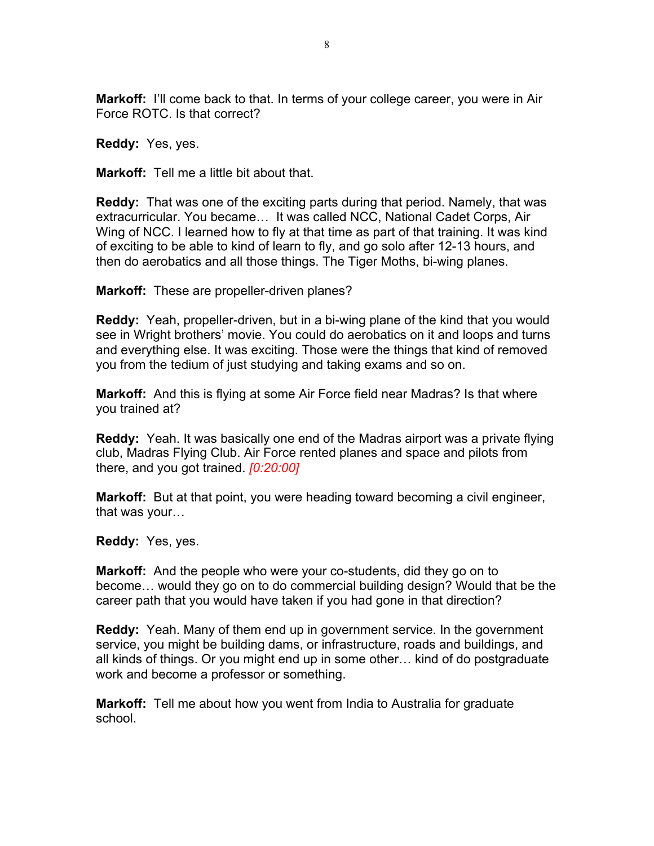**Markoff:** I'll come back to that. In terms of your college career, you were in Air Force ROTC. Is that correct?

**Reddy:** Yes, yes.

**Markoff:** Tell me a little bit about that.

**Reddy:** That was one of the exciting parts during that period. Namely, that was extracurricular. You became… It was called NCC, National Cadet Corps, Air Wing of NCC. I learned how to fly at that time as part of that training. It was kind of exciting to be able to kind of learn to fly, and go solo after 12-13 hours, and then do aerobatics and all those things. The Tiger Moths, bi-wing planes.

**Markoff:** These are propeller-driven planes?

**Reddy:** Yeah, propeller-driven, but in a bi-wing plane of the kind that you would see in Wright brothers' movie. You could do aerobatics on it and loops and turns and everything else. It was exciting. Those were the things that kind of removed you from the tedium of just studying and taking exams and so on.

**Markoff:** And this is flying at some Air Force field near Madras? Is that where you trained at?

**Reddy:** Yeah. It was basically one end of the Madras airport was a private flying club, Madras Flying Club. Air Force rented planes and space and pilots from there, and you got trained. *[0:20:00]*

**Markoff:** But at that point, you were heading toward becoming a civil engineer, that was your…

**Reddy:** Yes, yes.

**Markoff:** And the people who were your co-students, did they go on to become… would they go on to do commercial building design? Would that be the career path that you would have taken if you had gone in that direction?

**Reddy:** Yeah. Many of them end up in government service. In the government service, you might be building dams, or infrastructure, roads and buildings, and all kinds of things. Or you might end up in some other… kind of do postgraduate work and become a professor or something.

**Markoff:** Tell me about how you went from India to Australia for graduate school.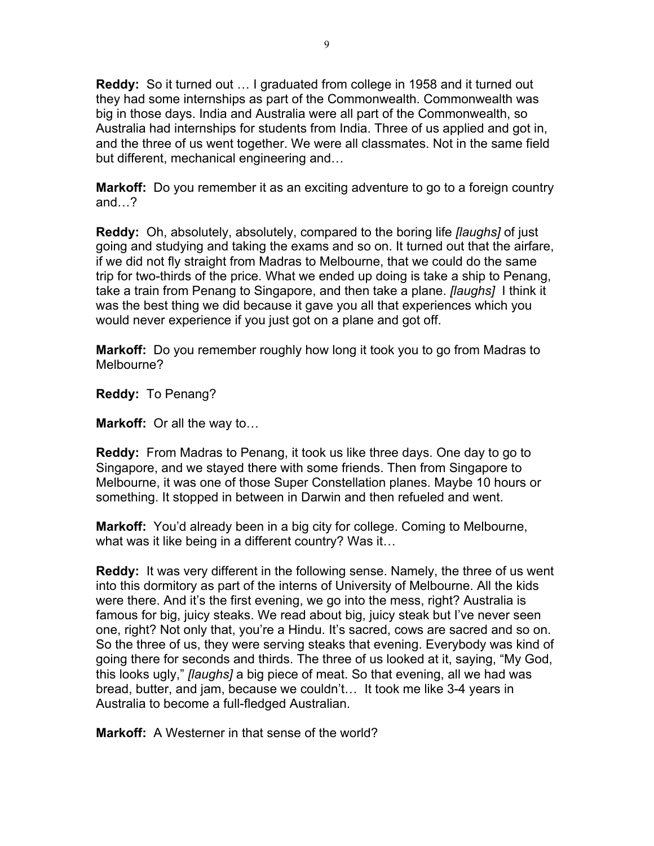**Reddy:** So it turned out … I graduated from college in 1958 and it turned out they had some internships as part of the Commonwealth. Commonwealth was big in those days. India and Australia were all part of the Commonwealth, so Australia had internships for students from India. Three of us applied and got in, and the three of us went together. We were all classmates. Not in the same field but different, mechanical engineering and…

**Markoff:** Do you remember it as an exciting adventure to go to a foreign country and…?

**Reddy:** Oh, absolutely, absolutely, compared to the boring life *[laughs]* of just going and studying and taking the exams and so on. It turned out that the airfare, if we did not fly straight from Madras to Melbourne, that we could do the same trip for two-thirds of the price. What we ended up doing is take a ship to Penang, take a train from Penang to Singapore, and then take a plane. *[laughs]* I think it was the best thing we did because it gave you all that experiences which you would never experience if you just got on a plane and got off.

**Markoff:** Do you remember roughly how long it took you to go from Madras to Melbourne?

**Reddy:** To Penang?

**Markoff:** Or all the way to…

**Reddy:** From Madras to Penang, it took us like three days. One day to go to Singapore, and we stayed there with some friends. Then from Singapore to Melbourne, it was one of those Super Constellation planes. Maybe 10 hours or something. It stopped in between in Darwin and then refueled and went.

**Markoff:** You'd already been in a big city for college. Coming to Melbourne, what was it like being in a different country? Was it…

**Reddy:** It was very different in the following sense. Namely, the three of us went into this dormitory as part of the interns of University of Melbourne. All the kids were there. And it's the first evening, we go into the mess, right? Australia is famous for big, juicy steaks. We read about big, juicy steak but I've never seen one, right? Not only that, you're a Hindu. It's sacred, cows are sacred and so on. So the three of us, they were serving steaks that evening. Everybody was kind of going there for seconds and thirds. The three of us looked at it, saying, "My God, this looks ugly," *[laughs]* a big piece of meat. So that evening, all we had was bread, butter, and jam, because we couldn't… It took me like 3-4 years in Australia to become a full-fledged Australian.

**Markoff:** A Westerner in that sense of the world?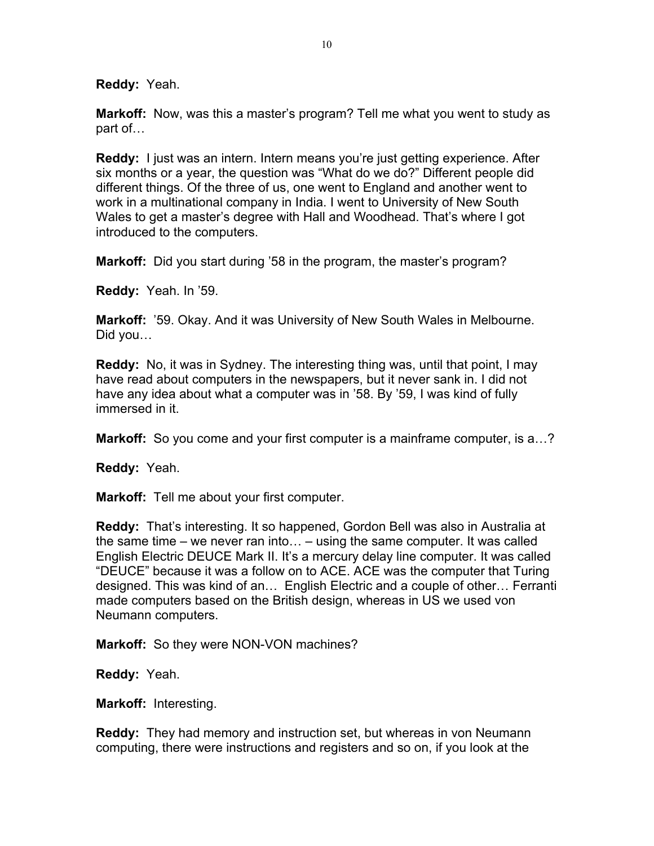**Reddy:** Yeah.

**Markoff:** Now, was this a master's program? Tell me what you went to study as part of…

**Reddy:** I just was an intern. Intern means you're just getting experience. After six months or a year, the question was "What do we do?" Different people did different things. Of the three of us, one went to England and another went to work in a multinational company in India. I went to University of New South Wales to get a master's degree with Hall and Woodhead. That's where I got introduced to the computers.

**Markoff:** Did you start during '58 in the program, the master's program?

**Reddy:** Yeah. In '59.

**Markoff:** '59. Okay. And it was University of New South Wales in Melbourne. Did you…

**Reddy:** No, it was in Sydney. The interesting thing was, until that point, I may have read about computers in the newspapers, but it never sank in. I did not have any idea about what a computer was in '58. By '59, I was kind of fully immersed in it.

**Markoff:** So you come and your first computer is a mainframe computer, is a...?

**Reddy:** Yeah.

**Markoff:** Tell me about your first computer.

**Reddy:** That's interesting. It so happened, Gordon Bell was also in Australia at the same time – we never ran into… – using the same computer. It was called English Electric DEUCE Mark II. It's a mercury delay line computer. It was called "DEUCE" because it was a follow on to ACE. ACE was the computer that Turing designed. This was kind of an… English Electric and a couple of other… Ferranti made computers based on the British design, whereas in US we used von Neumann computers.

**Markoff:** So they were NON-VON machines?

**Reddy:** Yeah.

**Markoff:** Interesting.

**Reddy:** They had memory and instruction set, but whereas in von Neumann computing, there were instructions and registers and so on, if you look at the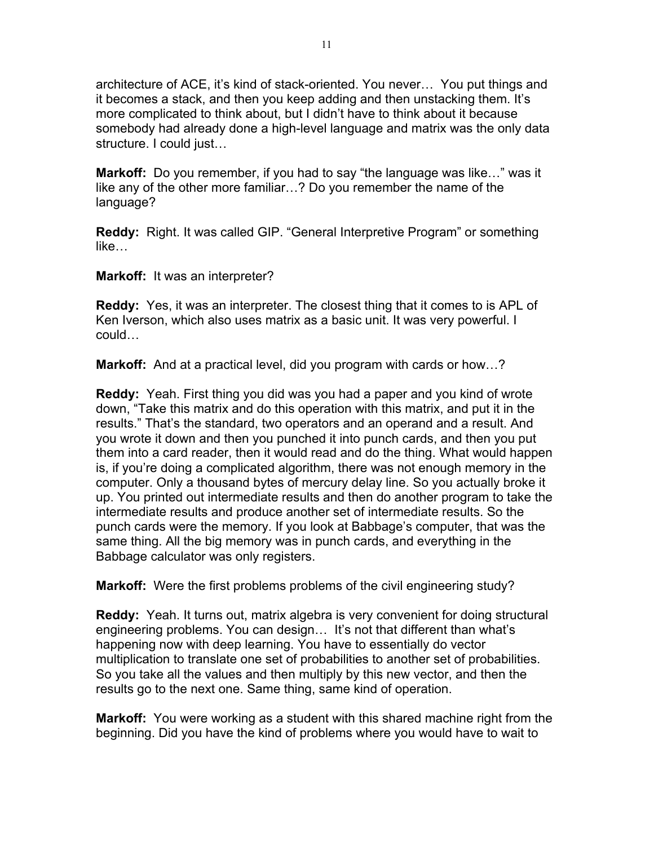architecture of ACE, it's kind of stack-oriented. You never… You put things and it becomes a stack, and then you keep adding and then unstacking them. It's more complicated to think about, but I didn't have to think about it because somebody had already done a high-level language and matrix was the only data structure. I could just…

**Markoff:** Do you remember, if you had to say "the language was like…" was it like any of the other more familiar…? Do you remember the name of the language?

**Reddy:** Right. It was called GIP. "General Interpretive Program" or something like…

**Markoff:** It was an interpreter?

**Reddy:** Yes, it was an interpreter. The closest thing that it comes to is APL of Ken Iverson, which also uses matrix as a basic unit. It was very powerful. I could…

**Markoff:** And at a practical level, did you program with cards or how…?

**Reddy:** Yeah. First thing you did was you had a paper and you kind of wrote down, "Take this matrix and do this operation with this matrix, and put it in the results." That's the standard, two operators and an operand and a result. And you wrote it down and then you punched it into punch cards, and then you put them into a card reader, then it would read and do the thing. What would happen is, if you're doing a complicated algorithm, there was not enough memory in the computer. Only a thousand bytes of mercury delay line. So you actually broke it up. You printed out intermediate results and then do another program to take the intermediate results and produce another set of intermediate results. So the punch cards were the memory. If you look at Babbage's computer, that was the same thing. All the big memory was in punch cards, and everything in the Babbage calculator was only registers.

**Markoff:** Were the first problems problems of the civil engineering study?

**Reddy:** Yeah. It turns out, matrix algebra is very convenient for doing structural engineering problems. You can design… It's not that different than what's happening now with deep learning. You have to essentially do vector multiplication to translate one set of probabilities to another set of probabilities. So you take all the values and then multiply by this new vector, and then the results go to the next one. Same thing, same kind of operation.

**Markoff:** You were working as a student with this shared machine right from the beginning. Did you have the kind of problems where you would have to wait to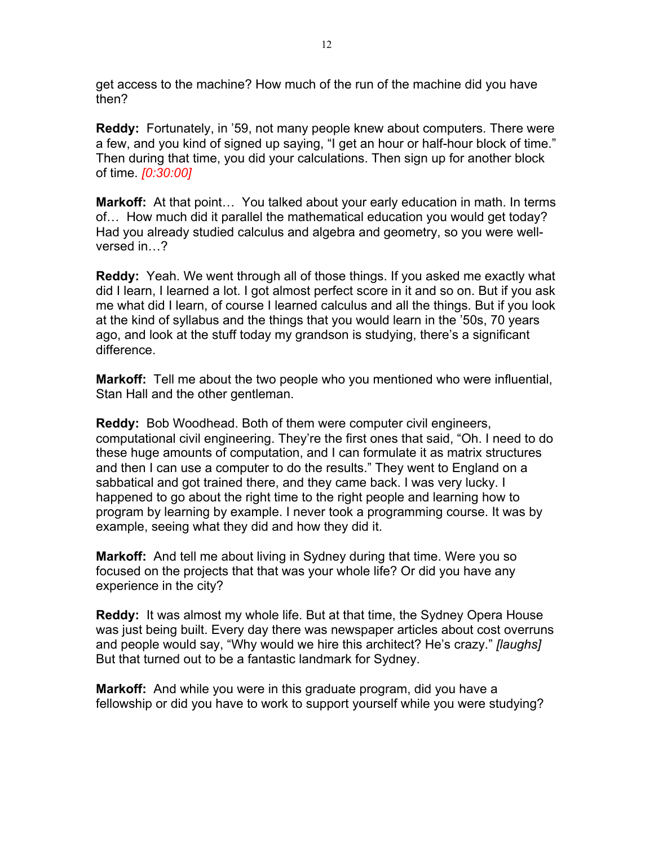get access to the machine? How much of the run of the machine did you have then?

**Reddy:** Fortunately, in '59, not many people knew about computers. There were a few, and you kind of signed up saying, "I get an hour or half-hour block of time." Then during that time, you did your calculations. Then sign up for another block of time. *[0:30:00]*

**Markoff:** At that point… You talked about your early education in math. In terms of… How much did it parallel the mathematical education you would get today? Had you already studied calculus and algebra and geometry, so you were wellversed in…?

**Reddy:** Yeah. We went through all of those things. If you asked me exactly what did I learn, I learned a lot. I got almost perfect score in it and so on. But if you ask me what did I learn, of course I learned calculus and all the things. But if you look at the kind of syllabus and the things that you would learn in the '50s, 70 years ago, and look at the stuff today my grandson is studying, there's a significant difference.

**Markoff:** Tell me about the two people who you mentioned who were influential, Stan Hall and the other gentleman.

**Reddy:** Bob Woodhead. Both of them were computer civil engineers, computational civil engineering. They're the first ones that said, "Oh. I need to do these huge amounts of computation, and I can formulate it as matrix structures and then I can use a computer to do the results." They went to England on a sabbatical and got trained there, and they came back. I was very lucky. I happened to go about the right time to the right people and learning how to program by learning by example. I never took a programming course. It was by example, seeing what they did and how they did it.

**Markoff:** And tell me about living in Sydney during that time. Were you so focused on the projects that that was your whole life? Or did you have any experience in the city?

**Reddy:** It was almost my whole life. But at that time, the Sydney Opera House was just being built. Every day there was newspaper articles about cost overruns and people would say, "Why would we hire this architect? He's crazy." *[laughs]* But that turned out to be a fantastic landmark for Sydney.

**Markoff:** And while you were in this graduate program, did you have a fellowship or did you have to work to support yourself while you were studying?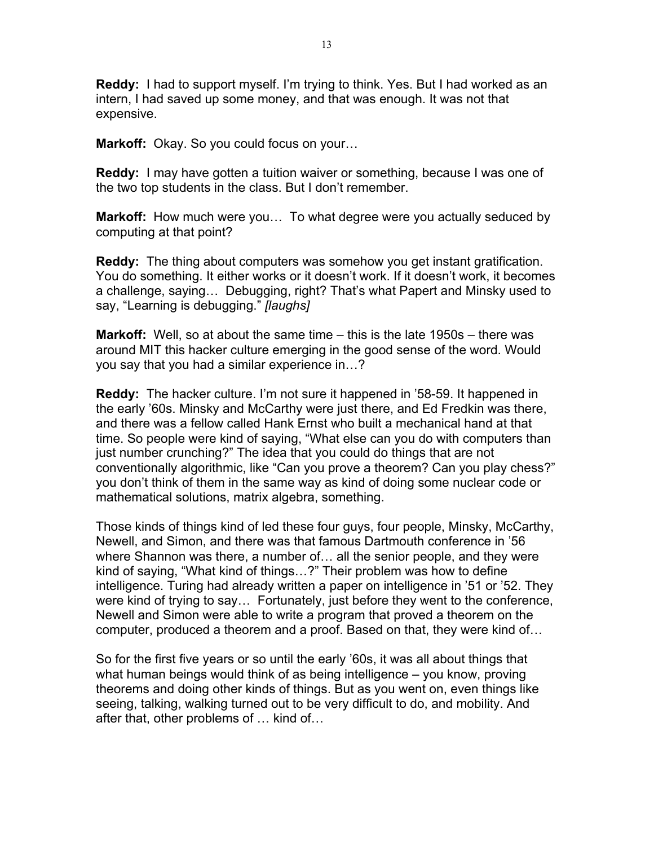**Reddy:** I had to support myself. I'm trying to think. Yes. But I had worked as an intern, I had saved up some money, and that was enough. It was not that expensive.

**Markoff:** Okay. So you could focus on your…

**Reddy:** I may have gotten a tuition waiver or something, because I was one of the two top students in the class. But I don't remember.

**Markoff:** How much were you… To what degree were you actually seduced by computing at that point?

**Reddy:** The thing about computers was somehow you get instant gratification. You do something. It either works or it doesn't work. If it doesn't work, it becomes a challenge, saying… Debugging, right? That's what Papert and Minsky used to say, "Learning is debugging." *[laughs]*

**Markoff:** Well, so at about the same time – this is the late 1950s – there was around MIT this hacker culture emerging in the good sense of the word. Would you say that you had a similar experience in…?

**Reddy:** The hacker culture. I'm not sure it happened in '58-59. It happened in the early '60s. Minsky and McCarthy were just there, and Ed Fredkin was there, and there was a fellow called Hank Ernst who built a mechanical hand at that time. So people were kind of saying, "What else can you do with computers than just number crunching?" The idea that you could do things that are not conventionally algorithmic, like "Can you prove a theorem? Can you play chess?" you don't think of them in the same way as kind of doing some nuclear code or mathematical solutions, matrix algebra, something.

Those kinds of things kind of led these four guys, four people, Minsky, McCarthy, Newell, and Simon, and there was that famous Dartmouth conference in '56 where Shannon was there, a number of… all the senior people, and they were kind of saying, "What kind of things…?" Their problem was how to define intelligence. Turing had already written a paper on intelligence in '51 or '52. They were kind of trying to say… Fortunately, just before they went to the conference, Newell and Simon were able to write a program that proved a theorem on the computer, produced a theorem and a proof. Based on that, they were kind of…

So for the first five years or so until the early '60s, it was all about things that what human beings would think of as being intelligence – you know, proving theorems and doing other kinds of things. But as you went on, even things like seeing, talking, walking turned out to be very difficult to do, and mobility. And after that, other problems of … kind of…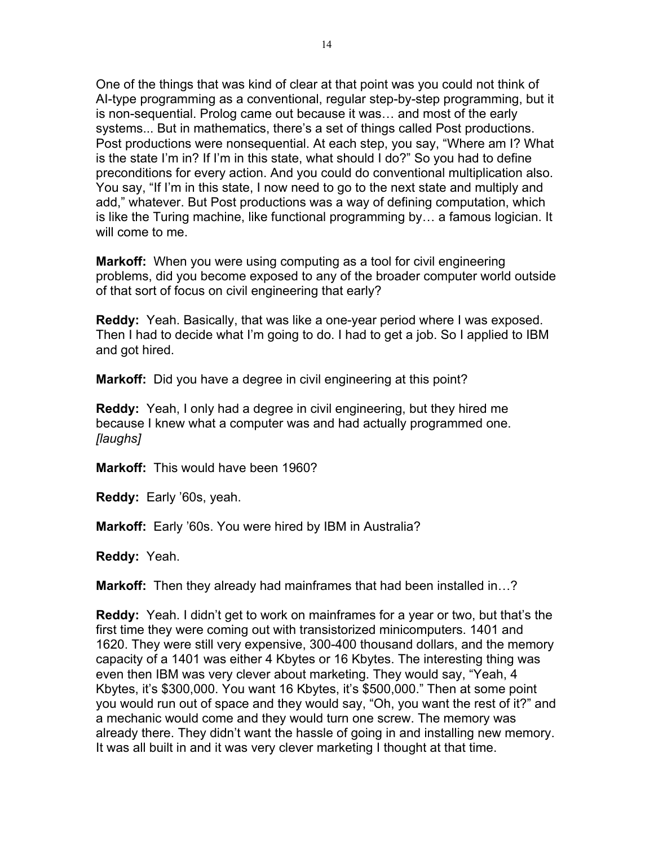One of the things that was kind of clear at that point was you could not think of AI-type programming as a conventional, regular step-by-step programming, but it is non-sequential. Prolog came out because it was… and most of the early systems... But in mathematics, there's a set of things called Post productions. Post productions were nonsequential. At each step, you say, "Where am I? What is the state I'm in? If I'm in this state, what should I do?" So you had to define preconditions for every action. And you could do conventional multiplication also. You say, "If I'm in this state, I now need to go to the next state and multiply and add," whatever. But Post productions was a way of defining computation, which is like the Turing machine, like functional programming by… a famous logician. It will come to me.

**Markoff:** When you were using computing as a tool for civil engineering problems, did you become exposed to any of the broader computer world outside of that sort of focus on civil engineering that early?

**Reddy:** Yeah. Basically, that was like a one-year period where I was exposed. Then I had to decide what I'm going to do. I had to get a job. So I applied to IBM and got hired.

**Markoff:** Did you have a degree in civil engineering at this point?

**Reddy:** Yeah, I only had a degree in civil engineering, but they hired me because I knew what a computer was and had actually programmed one. *[laughs]*

**Markoff:** This would have been 1960?

**Reddy:** Early '60s, yeah.

**Markoff:** Early '60s. You were hired by IBM in Australia?

**Reddy:** Yeah.

**Markoff:** Then they already had mainframes that had been installed in…?

**Reddy:** Yeah. I didn't get to work on mainframes for a year or two, but that's the first time they were coming out with transistorized minicomputers. 1401 and 1620. They were still very expensive, 300-400 thousand dollars, and the memory capacity of a 1401 was either 4 Kbytes or 16 Kbytes. The interesting thing was even then IBM was very clever about marketing. They would say, "Yeah, 4 Kbytes, it's \$300,000. You want 16 Kbytes, it's \$500,000." Then at some point you would run out of space and they would say, "Oh, you want the rest of it?" and a mechanic would come and they would turn one screw. The memory was already there. They didn't want the hassle of going in and installing new memory. It was all built in and it was very clever marketing I thought at that time.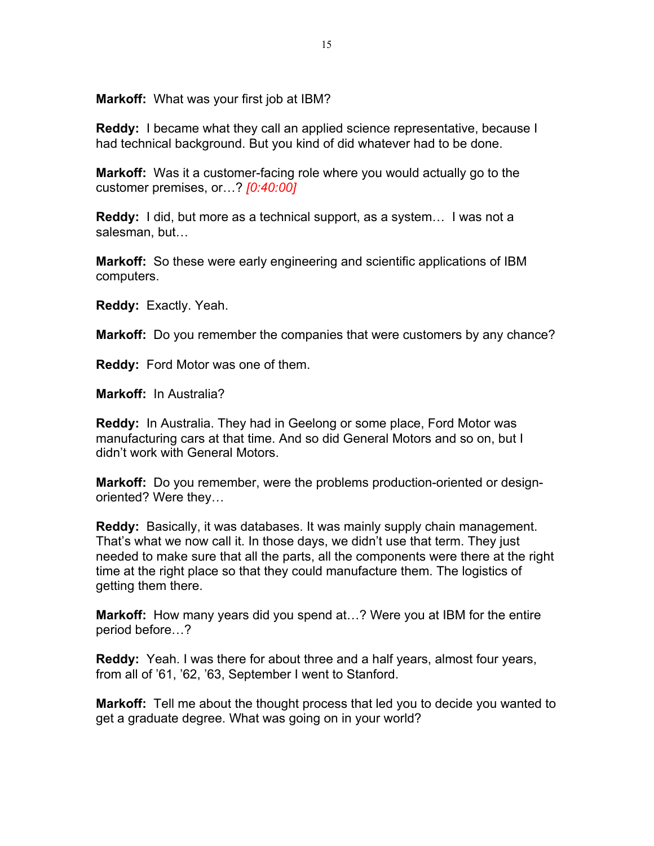**Markoff:** What was your first job at IBM?

**Reddy:** I became what they call an applied science representative, because I had technical background. But you kind of did whatever had to be done.

**Markoff:** Was it a customer-facing role where you would actually go to the customer premises, or…? *[0:40:00]*

**Reddy:** I did, but more as a technical support, as a system… I was not a salesman, but…

**Markoff:** So these were early engineering and scientific applications of IBM computers.

**Reddy:** Exactly. Yeah.

**Markoff:** Do you remember the companies that were customers by any chance?

**Reddy:** Ford Motor was one of them.

**Markoff:** In Australia?

**Reddy:** In Australia. They had in Geelong or some place, Ford Motor was manufacturing cars at that time. And so did General Motors and so on, but I didn't work with General Motors.

**Markoff:** Do you remember, were the problems production-oriented or designoriented? Were they…

**Reddy:** Basically, it was databases. It was mainly supply chain management. That's what we now call it. In those days, we didn't use that term. They just needed to make sure that all the parts, all the components were there at the right time at the right place so that they could manufacture them. The logistics of getting them there.

**Markoff:** How many years did you spend at…? Were you at IBM for the entire period before…?

**Reddy:** Yeah. I was there for about three and a half years, almost four years, from all of '61, '62, '63, September I went to Stanford.

**Markoff:** Tell me about the thought process that led you to decide you wanted to get a graduate degree. What was going on in your world?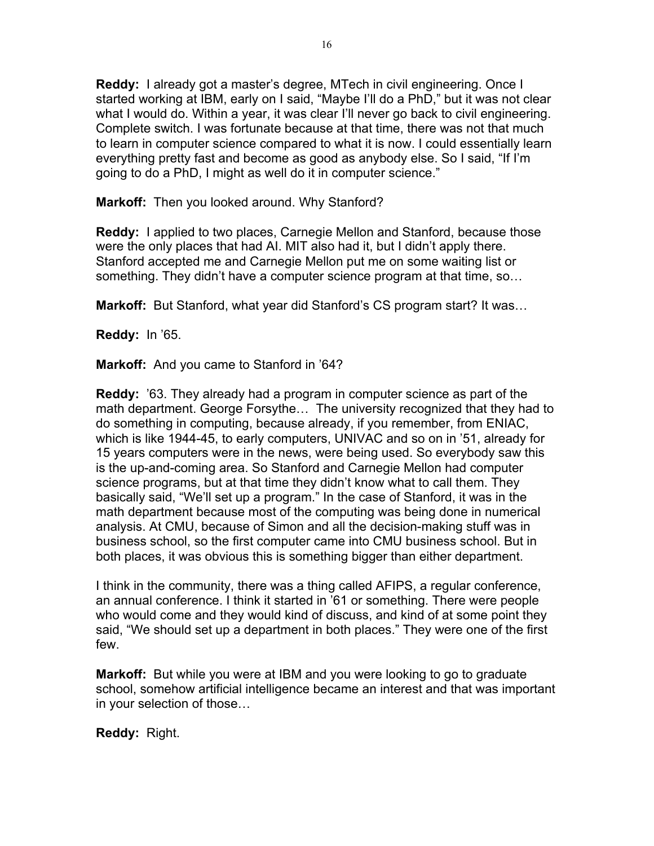**Reddy:** I already got a master's degree, MTech in civil engineering. Once I started working at IBM, early on I said, "Maybe I'll do a PhD," but it was not clear what I would do. Within a year, it was clear I'll never go back to civil engineering. Complete switch. I was fortunate because at that time, there was not that much to learn in computer science compared to what it is now. I could essentially learn everything pretty fast and become as good as anybody else. So I said, "If I'm going to do a PhD, I might as well do it in computer science."

**Markoff:** Then you looked around. Why Stanford?

**Reddy:** I applied to two places, Carnegie Mellon and Stanford, because those were the only places that had AI. MIT also had it, but I didn't apply there. Stanford accepted me and Carnegie Mellon put me on some waiting list or something. They didn't have a computer science program at that time, so…

**Markoff:** But Stanford, what year did Stanford's CS program start? It was…

**Reddy:** In '65.

**Markoff:** And you came to Stanford in '64?

**Reddy:** '63. They already had a program in computer science as part of the math department. George Forsythe… The university recognized that they had to do something in computing, because already, if you remember, from ENIAC, which is like 1944-45, to early computers, UNIVAC and so on in '51, already for 15 years computers were in the news, were being used. So everybody saw this is the up-and-coming area. So Stanford and Carnegie Mellon had computer science programs, but at that time they didn't know what to call them. They basically said, "We'll set up a program." In the case of Stanford, it was in the math department because most of the computing was being done in numerical analysis. At CMU, because of Simon and all the decision-making stuff was in business school, so the first computer came into CMU business school. But in both places, it was obvious this is something bigger than either department.

I think in the community, there was a thing called AFIPS, a regular conference, an annual conference. I think it started in '61 or something. There were people who would come and they would kind of discuss, and kind of at some point they said, "We should set up a department in both places." They were one of the first few.

**Markoff:** But while you were at IBM and you were looking to go to graduate school, somehow artificial intelligence became an interest and that was important in your selection of those…

**Reddy:** Right.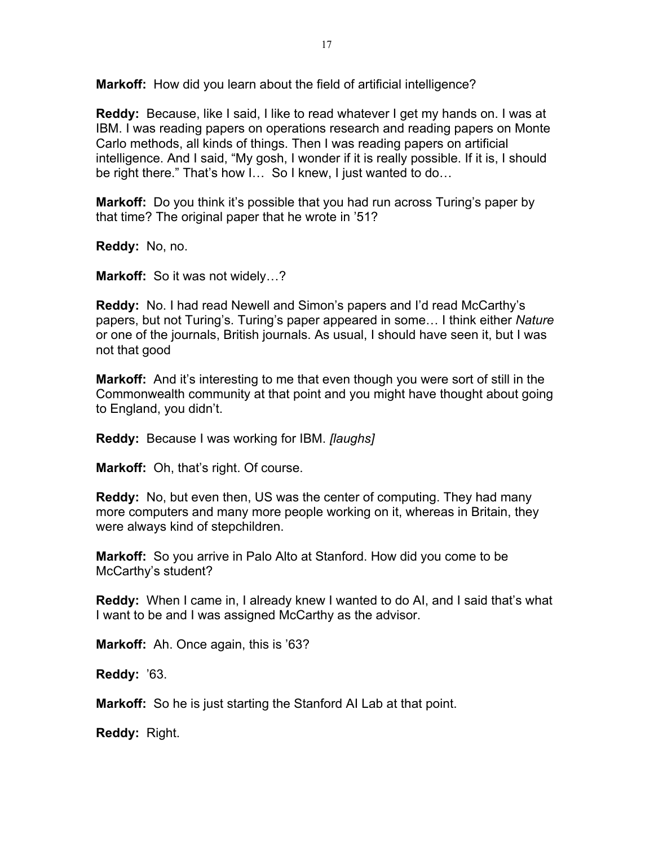**Markoff:** How did you learn about the field of artificial intelligence?

**Reddy:** Because, like I said, I like to read whatever I get my hands on. I was at IBM. I was reading papers on operations research and reading papers on Monte Carlo methods, all kinds of things. Then I was reading papers on artificial intelligence. And I said, "My gosh, I wonder if it is really possible. If it is, I should be right there." That's how I… So I knew, I just wanted to do…

**Markoff:** Do you think it's possible that you had run across Turing's paper by that time? The original paper that he wrote in '51?

**Reddy:** No, no.

**Markoff:** So it was not widely…?

**Reddy:** No. I had read Newell and Simon's papers and I'd read McCarthy's papers, but not Turing's. Turing's paper appeared in some… I think either *Nature* or one of the journals, British journals. As usual, I should have seen it, but I was not that good

**Markoff:** And it's interesting to me that even though you were sort of still in the Commonwealth community at that point and you might have thought about going to England, you didn't.

**Reddy:** Because I was working for IBM. *[laughs]*

**Markoff:** Oh, that's right. Of course.

**Reddy:** No, but even then, US was the center of computing. They had many more computers and many more people working on it, whereas in Britain, they were always kind of stepchildren.

**Markoff:** So you arrive in Palo Alto at Stanford. How did you come to be McCarthy's student?

**Reddy:** When I came in, I already knew I wanted to do AI, and I said that's what I want to be and I was assigned McCarthy as the advisor.

**Markoff:** Ah. Once again, this is '63?

**Reddy:** '63.

**Markoff:** So he is just starting the Stanford AI Lab at that point.

**Reddy:** Right.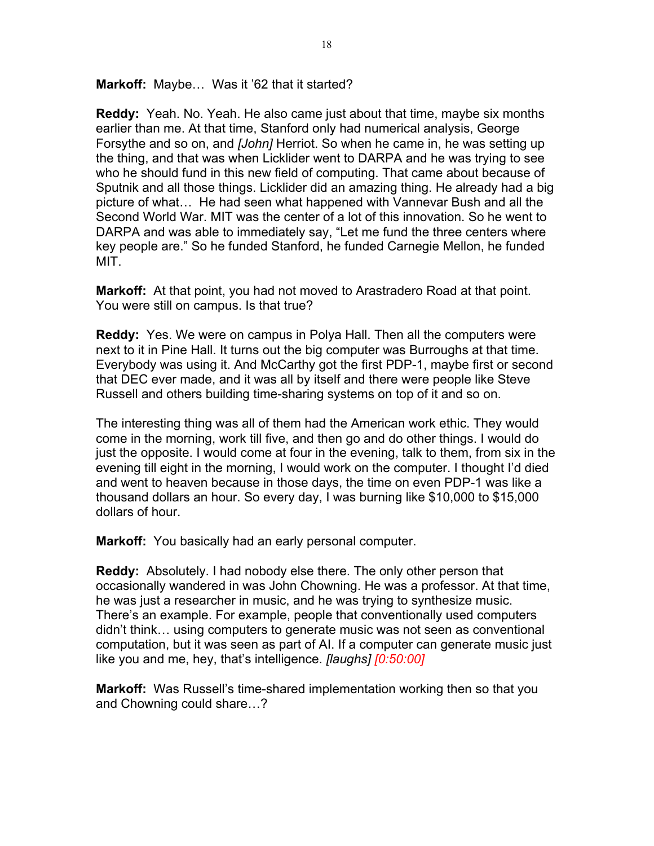**Markoff:** Maybe… Was it '62 that it started?

**Reddy:** Yeah. No. Yeah. He also came just about that time, maybe six months earlier than me. At that time, Stanford only had numerical analysis, George Forsythe and so on, and *[John]* Herriot. So when he came in, he was setting up the thing, and that was when Licklider went to DARPA and he was trying to see who he should fund in this new field of computing. That came about because of Sputnik and all those things. Licklider did an amazing thing. He already had a big picture of what… He had seen what happened with Vannevar Bush and all the Second World War. MIT was the center of a lot of this innovation. So he went to DARPA and was able to immediately say, "Let me fund the three centers where key people are." So he funded Stanford, he funded Carnegie Mellon, he funded MIT.

**Markoff:** At that point, you had not moved to Arastradero Road at that point. You were still on campus. Is that true?

**Reddy:** Yes. We were on campus in Polya Hall. Then all the computers were next to it in Pine Hall. It turns out the big computer was Burroughs at that time. Everybody was using it. And McCarthy got the first PDP-1, maybe first or second that DEC ever made, and it was all by itself and there were people like Steve Russell and others building time-sharing systems on top of it and so on.

The interesting thing was all of them had the American work ethic. They would come in the morning, work till five, and then go and do other things. I would do just the opposite. I would come at four in the evening, talk to them, from six in the evening till eight in the morning, I would work on the computer. I thought I'd died and went to heaven because in those days, the time on even PDP-1 was like a thousand dollars an hour. So every day, I was burning like \$10,000 to \$15,000 dollars of hour.

**Markoff:** You basically had an early personal computer.

**Reddy:** Absolutely. I had nobody else there. The only other person that occasionally wandered in was John Chowning. He was a professor. At that time, he was just a researcher in music, and he was trying to synthesize music. There's an example. For example, people that conventionally used computers didn't think… using computers to generate music was not seen as conventional computation, but it was seen as part of AI. If a computer can generate music just like you and me, hey, that's intelligence. *[laughs] [0:50:00]*

**Markoff:** Was Russell's time-shared implementation working then so that you and Chowning could share…?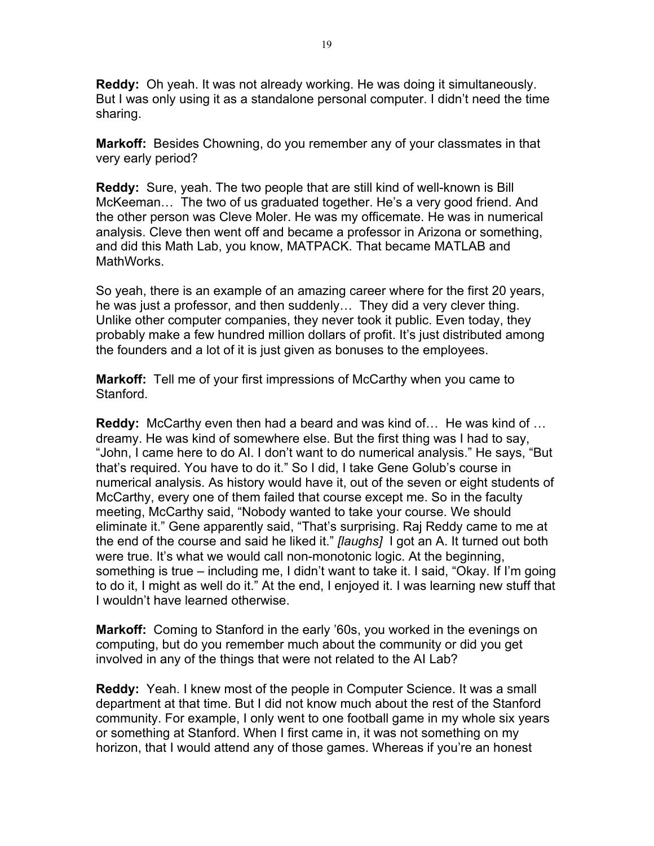**Reddy:** Oh yeah. It was not already working. He was doing it simultaneously. But I was only using it as a standalone personal computer. I didn't need the time sharing.

**Markoff:** Besides Chowning, do you remember any of your classmates in that very early period?

**Reddy:** Sure, yeah. The two people that are still kind of well-known is Bill McKeeman… The two of us graduated together. He's a very good friend. And the other person was Cleve Moler. He was my officemate. He was in numerical analysis. Cleve then went off and became a professor in Arizona or something, and did this Math Lab, you know, MATPACK. That became MATLAB and MathWorks.

So yeah, there is an example of an amazing career where for the first 20 years, he was just a professor, and then suddenly… They did a very clever thing. Unlike other computer companies, they never took it public. Even today, they probably make a few hundred million dollars of profit. It's just distributed among the founders and a lot of it is just given as bonuses to the employees.

**Markoff:** Tell me of your first impressions of McCarthy when you came to Stanford.

**Reddy:** McCarthy even then had a beard and was kind of… He was kind of … dreamy. He was kind of somewhere else. But the first thing was I had to say, "John, I came here to do AI. I don't want to do numerical analysis." He says, "But that's required. You have to do it." So I did, I take Gene Golub's course in numerical analysis. As history would have it, out of the seven or eight students of McCarthy, every one of them failed that course except me. So in the faculty meeting, McCarthy said, "Nobody wanted to take your course. We should eliminate it." Gene apparently said, "That's surprising. Raj Reddy came to me at the end of the course and said he liked it." *[laughs]* I got an A. It turned out both were true. It's what we would call non-monotonic logic. At the beginning, something is true – including me, I didn't want to take it. I said, "Okay. If I'm going to do it, I might as well do it." At the end, I enjoyed it. I was learning new stuff that I wouldn't have learned otherwise.

**Markoff:** Coming to Stanford in the early '60s, you worked in the evenings on computing, but do you remember much about the community or did you get involved in any of the things that were not related to the AI Lab?

**Reddy:** Yeah. I knew most of the people in Computer Science. It was a small department at that time. But I did not know much about the rest of the Stanford community. For example, I only went to one football game in my whole six years or something at Stanford. When I first came in, it was not something on my horizon, that I would attend any of those games. Whereas if you're an honest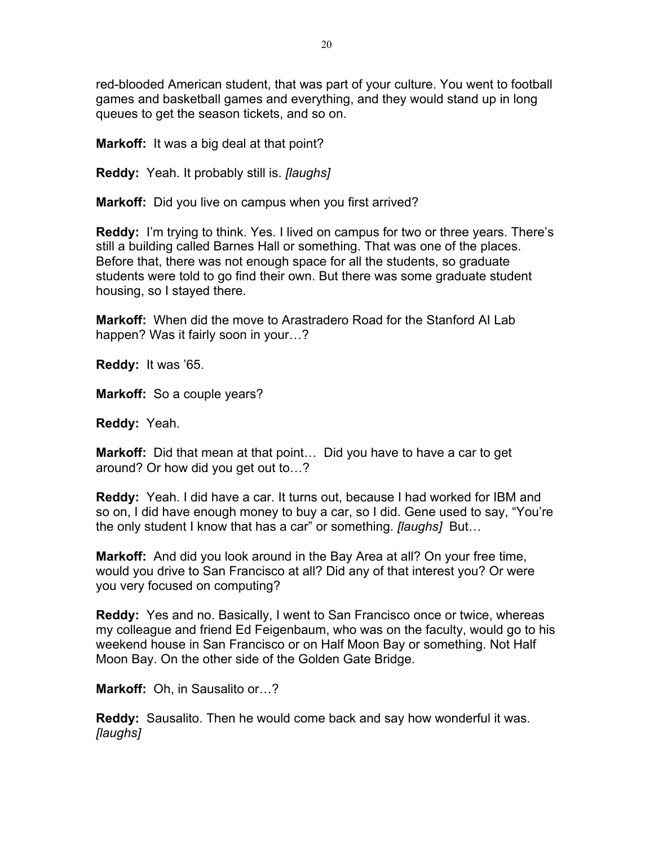red-blooded American student, that was part of your culture. You went to football games and basketball games and everything, and they would stand up in long queues to get the season tickets, and so on.

**Markoff:** It was a big deal at that point?

**Reddy:** Yeah. It probably still is. *[laughs]*

**Markoff:** Did you live on campus when you first arrived?

**Reddy:** I'm trying to think. Yes. I lived on campus for two or three years. There's still a building called Barnes Hall or something. That was one of the places. Before that, there was not enough space for all the students, so graduate students were told to go find their own. But there was some graduate student housing, so I stayed there.

**Markoff:** When did the move to Arastradero Road for the Stanford AI Lab happen? Was it fairly soon in your…?

**Reddy:** It was '65.

**Markoff:** So a couple years?

**Reddy:** Yeah.

**Markoff:** Did that mean at that point… Did you have to have a car to get around? Or how did you get out to…?

**Reddy:** Yeah. I did have a car. It turns out, because I had worked for IBM and so on, I did have enough money to buy a car, so I did. Gene used to say, "You're the only student I know that has a car" or something. *[laughs]* But…

**Markoff:** And did you look around in the Bay Area at all? On your free time, would you drive to San Francisco at all? Did any of that interest you? Or were you very focused on computing?

**Reddy:** Yes and no. Basically, I went to San Francisco once or twice, whereas my colleague and friend Ed Feigenbaum, who was on the faculty, would go to his weekend house in San Francisco or on Half Moon Bay or something. Not Half Moon Bay. On the other side of the Golden Gate Bridge.

**Markoff:** Oh, in Sausalito or…?

**Reddy:** Sausalito. Then he would come back and say how wonderful it was. *[laughs]*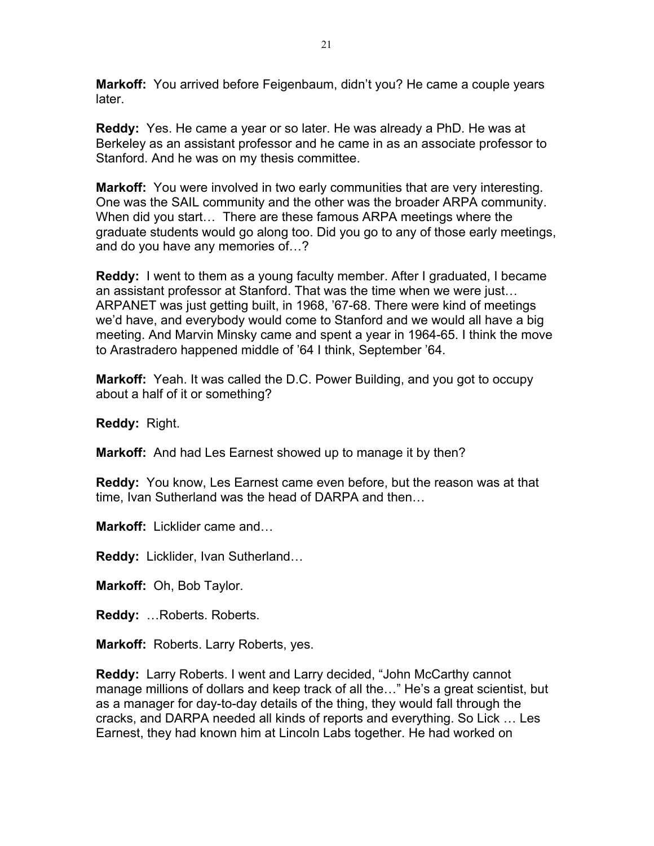**Markoff:** You arrived before Feigenbaum, didn't you? He came a couple years later.

**Reddy:** Yes. He came a year or so later. He was already a PhD. He was at Berkeley as an assistant professor and he came in as an associate professor to Stanford. And he was on my thesis committee.

**Markoff:** You were involved in two early communities that are very interesting. One was the SAIL community and the other was the broader ARPA community. When did you start… There are these famous ARPA meetings where the graduate students would go along too. Did you go to any of those early meetings, and do you have any memories of…?

**Reddy:** I went to them as a young faculty member. After I graduated, I became an assistant professor at Stanford. That was the time when we were just… ARPANET was just getting built, in 1968, '67-68. There were kind of meetings we'd have, and everybody would come to Stanford and we would all have a big meeting. And Marvin Minsky came and spent a year in 1964-65. I think the move to Arastradero happened middle of '64 I think, September '64.

**Markoff:** Yeah. It was called the D.C. Power Building, and you got to occupy about a half of it or something?

**Reddy:** Right.

**Markoff:** And had Les Earnest showed up to manage it by then?

**Reddy:** You know, Les Earnest came even before, but the reason was at that time, Ivan Sutherland was the head of DARPA and then…

**Markoff:** Licklider came and…

**Reddy:** Licklider, Ivan Sutherland…

**Markoff:** Oh, Bob Taylor.

**Reddy:** …Roberts. Roberts.

**Markoff:** Roberts. Larry Roberts, yes.

**Reddy:** Larry Roberts. I went and Larry decided, "John McCarthy cannot manage millions of dollars and keep track of all the…" He's a great scientist, but as a manager for day-to-day details of the thing, they would fall through the cracks, and DARPA needed all kinds of reports and everything. So Lick … Les Earnest, they had known him at Lincoln Labs together. He had worked on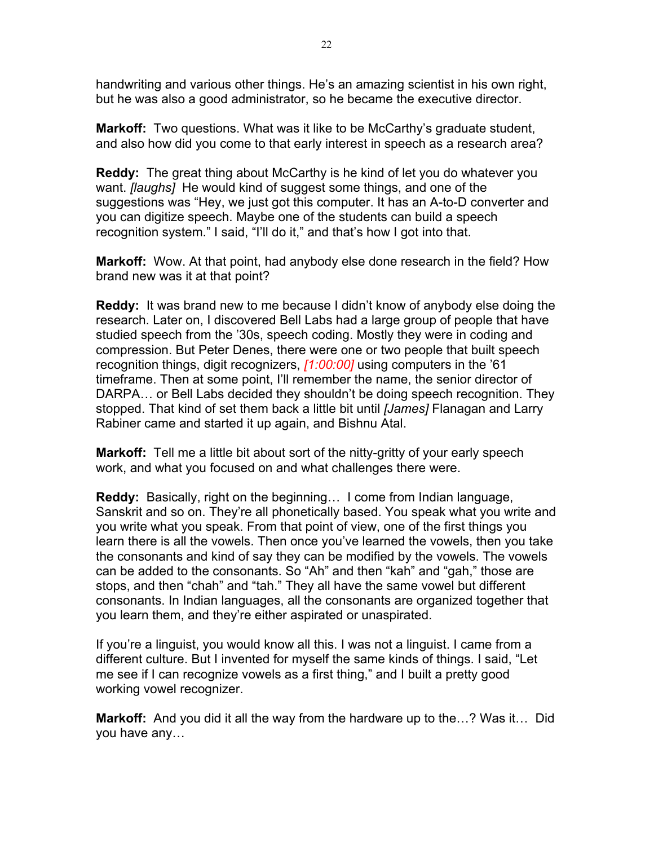handwriting and various other things. He's an amazing scientist in his own right, but he was also a good administrator, so he became the executive director.

**Markoff:** Two questions. What was it like to be McCarthy's graduate student, and also how did you come to that early interest in speech as a research area?

**Reddy:** The great thing about McCarthy is he kind of let you do whatever you want. *[laughs]* He would kind of suggest some things, and one of the suggestions was "Hey, we just got this computer. It has an A-to-D converter and you can digitize speech. Maybe one of the students can build a speech recognition system." I said, "I'll do it," and that's how I got into that.

**Markoff:** Wow. At that point, had anybody else done research in the field? How brand new was it at that point?

**Reddy:** It was brand new to me because I didn't know of anybody else doing the research. Later on, I discovered Bell Labs had a large group of people that have studied speech from the '30s, speech coding. Mostly they were in coding and compression. But Peter Denes, there were one or two people that built speech recognition things, digit recognizers, *[1:00:00]* using computers in the '61 timeframe. Then at some point, I'll remember the name, the senior director of DARPA… or Bell Labs decided they shouldn't be doing speech recognition. They stopped. That kind of set them back a little bit until *[James]* Flanagan and Larry Rabiner came and started it up again, and Bishnu Atal.

**Markoff:** Tell me a little bit about sort of the nitty-gritty of your early speech work, and what you focused on and what challenges there were.

**Reddy:** Basically, right on the beginning… I come from Indian language, Sanskrit and so on. They're all phonetically based. You speak what you write and you write what you speak. From that point of view, one of the first things you learn there is all the vowels. Then once you've learned the vowels, then you take the consonants and kind of say they can be modified by the vowels. The vowels can be added to the consonants. So "Ah" and then "kah" and "gah," those are stops, and then "chah" and "tah." They all have the same vowel but different consonants. In Indian languages, all the consonants are organized together that you learn them, and they're either aspirated or unaspirated.

If you're a linguist, you would know all this. I was not a linguist. I came from a different culture. But I invented for myself the same kinds of things. I said, "Let me see if I can recognize vowels as a first thing," and I built a pretty good working vowel recognizer.

**Markoff:** And you did it all the way from the hardware up to the…? Was it… Did you have any…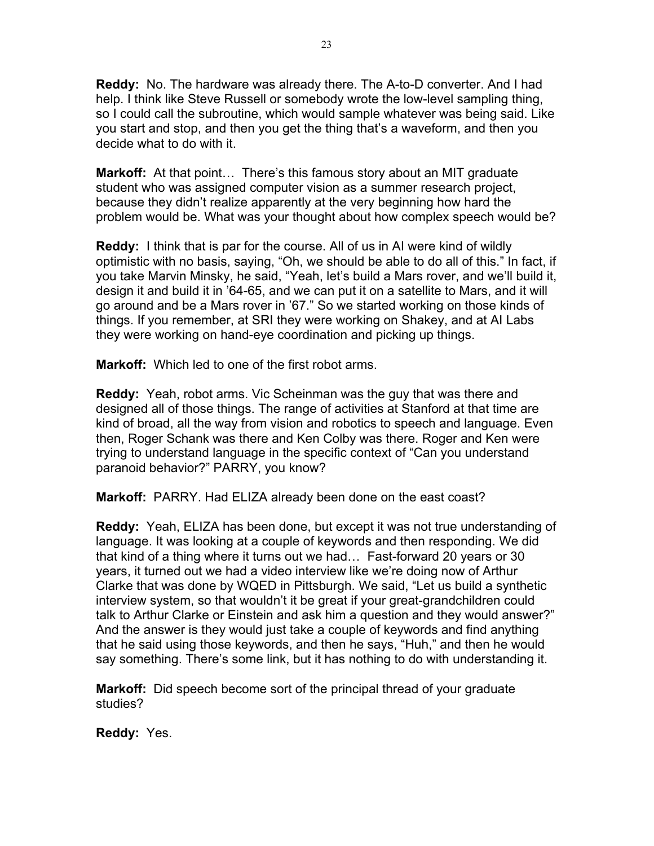**Reddy:** No. The hardware was already there. The A-to-D converter. And I had help. I think like Steve Russell or somebody wrote the low-level sampling thing, so I could call the subroutine, which would sample whatever was being said. Like you start and stop, and then you get the thing that's a waveform, and then you decide what to do with it.

**Markoff:** At that point… There's this famous story about an MIT graduate student who was assigned computer vision as a summer research project, because they didn't realize apparently at the very beginning how hard the problem would be. What was your thought about how complex speech would be?

**Reddy:** I think that is par for the course. All of us in AI were kind of wildly optimistic with no basis, saying, "Oh, we should be able to do all of this." In fact, if you take Marvin Minsky, he said, "Yeah, let's build a Mars rover, and we'll build it, design it and build it in '64-65, and we can put it on a satellite to Mars, and it will go around and be a Mars rover in '67." So we started working on those kinds of things. If you remember, at SRI they were working on Shakey, and at AI Labs they were working on hand-eye coordination and picking up things.

**Markoff:** Which led to one of the first robot arms.

**Reddy:** Yeah, robot arms. Vic Scheinman was the guy that was there and designed all of those things. The range of activities at Stanford at that time are kind of broad, all the way from vision and robotics to speech and language. Even then, Roger Schank was there and Ken Colby was there. Roger and Ken were trying to understand language in the specific context of "Can you understand paranoid behavior?" PARRY, you know?

**Markoff:** PARRY. Had ELIZA already been done on the east coast?

**Reddy:** Yeah, ELIZA has been done, but except it was not true understanding of language. It was looking at a couple of keywords and then responding. We did that kind of a thing where it turns out we had… Fast-forward 20 years or 30 years, it turned out we had a video interview like we're doing now of Arthur Clarke that was done by WQED in Pittsburgh. We said, "Let us build a synthetic interview system, so that wouldn't it be great if your great-grandchildren could talk to Arthur Clarke or Einstein and ask him a question and they would answer?" And the answer is they would just take a couple of keywords and find anything that he said using those keywords, and then he says, "Huh," and then he would say something. There's some link, but it has nothing to do with understanding it.

**Markoff:** Did speech become sort of the principal thread of your graduate studies?

**Reddy:** Yes.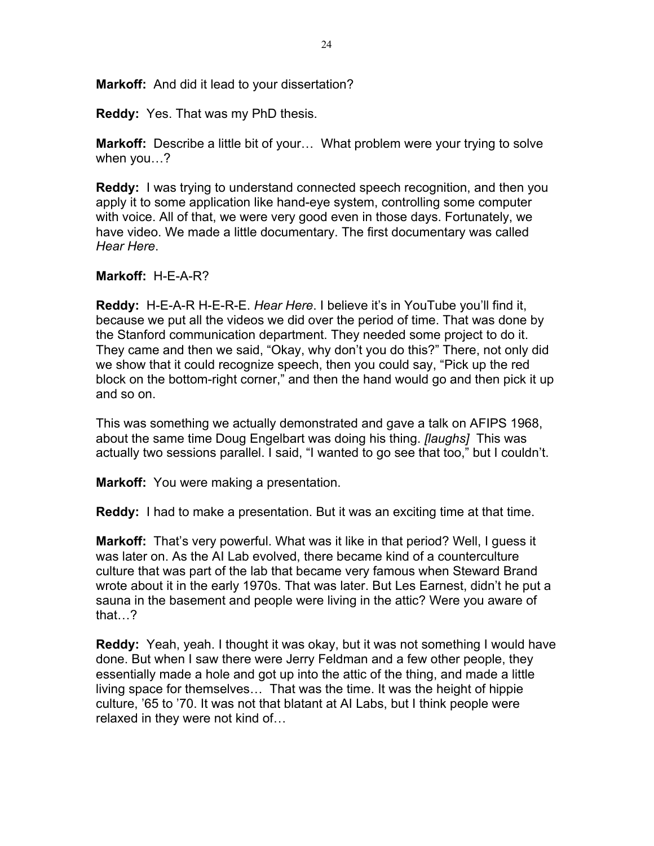**Markoff:** And did it lead to your dissertation?

**Reddy:** Yes. That was my PhD thesis.

**Markoff:** Describe a little bit of your… What problem were your trying to solve when you…?

**Reddy:** I was trying to understand connected speech recognition, and then you apply it to some application like hand-eye system, controlling some computer with voice. All of that, we were very good even in those days. Fortunately, we have video. We made a little documentary. The first documentary was called *Hear Here*.

**Markoff:** H-E-A-R?

**Reddy:** H-E-A-R H-E-R-E. *Hear Here*. I believe it's in YouTube you'll find it, because we put all the videos we did over the period of time. That was done by the Stanford communication department. They needed some project to do it. They came and then we said, "Okay, why don't you do this?" There, not only did we show that it could recognize speech, then you could say, "Pick up the red block on the bottom-right corner," and then the hand would go and then pick it up and so on.

This was something we actually demonstrated and gave a talk on AFIPS 1968, about the same time Doug Engelbart was doing his thing. *[laughs]* This was actually two sessions parallel. I said, "I wanted to go see that too," but I couldn't.

**Markoff:** You were making a presentation.

**Reddy:** I had to make a presentation. But it was an exciting time at that time.

**Markoff:** That's very powerful. What was it like in that period? Well, I guess it was later on. As the AI Lab evolved, there became kind of a counterculture culture that was part of the lab that became very famous when Steward Brand wrote about it in the early 1970s. That was later. But Les Earnest, didn't he put a sauna in the basement and people were living in the attic? Were you aware of that…?

**Reddy:** Yeah, yeah. I thought it was okay, but it was not something I would have done. But when I saw there were Jerry Feldman and a few other people, they essentially made a hole and got up into the attic of the thing, and made a little living space for themselves… That was the time. It was the height of hippie culture, '65 to '70. It was not that blatant at AI Labs, but I think people were relaxed in they were not kind of…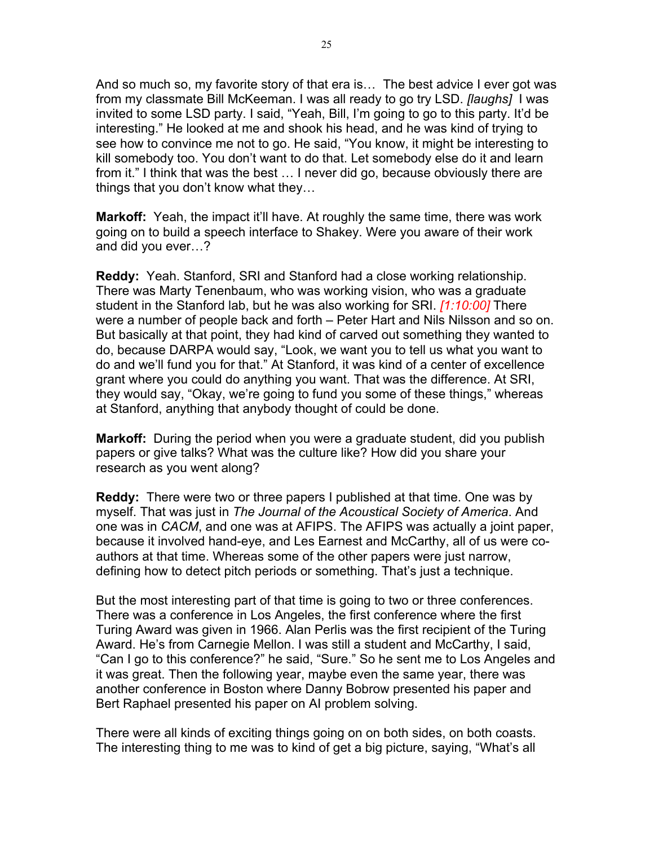And so much so, my favorite story of that era is… The best advice I ever got was from my classmate Bill McKeeman. I was all ready to go try LSD. *[laughs]* I was invited to some LSD party. I said, "Yeah, Bill, I'm going to go to this party. It'd be interesting." He looked at me and shook his head, and he was kind of trying to see how to convince me not to go. He said, "You know, it might be interesting to kill somebody too. You don't want to do that. Let somebody else do it and learn from it." I think that was the best … I never did go, because obviously there are things that you don't know what they…

**Markoff:** Yeah, the impact it'll have. At roughly the same time, there was work going on to build a speech interface to Shakey. Were you aware of their work and did you ever…?

**Reddy:** Yeah. Stanford, SRI and Stanford had a close working relationship. There was Marty Tenenbaum, who was working vision, who was a graduate student in the Stanford lab, but he was also working for SRI. *[1:10:00]* There were a number of people back and forth – Peter Hart and Nils Nilsson and so on. But basically at that point, they had kind of carved out something they wanted to do, because DARPA would say, "Look, we want you to tell us what you want to do and we'll fund you for that." At Stanford, it was kind of a center of excellence grant where you could do anything you want. That was the difference. At SRI, they would say, "Okay, we're going to fund you some of these things," whereas at Stanford, anything that anybody thought of could be done.

**Markoff:** During the period when you were a graduate student, did you publish papers or give talks? What was the culture like? How did you share your research as you went along?

**Reddy:** There were two or three papers I published at that time. One was by myself. That was just in *The Journal of the Acoustical Society of America*. And one was in *CACM*, and one was at AFIPS. The AFIPS was actually a joint paper, because it involved hand-eye, and Les Earnest and McCarthy, all of us were coauthors at that time. Whereas some of the other papers were just narrow, defining how to detect pitch periods or something. That's just a technique.

But the most interesting part of that time is going to two or three conferences. There was a conference in Los Angeles, the first conference where the first Turing Award was given in 1966. Alan Perlis was the first recipient of the Turing Award. He's from Carnegie Mellon. I was still a student and McCarthy, I said, "Can I go to this conference?" he said, "Sure." So he sent me to Los Angeles and it was great. Then the following year, maybe even the same year, there was another conference in Boston where Danny Bobrow presented his paper and Bert Raphael presented his paper on AI problem solving.

There were all kinds of exciting things going on on both sides, on both coasts. The interesting thing to me was to kind of get a big picture, saying, "What's all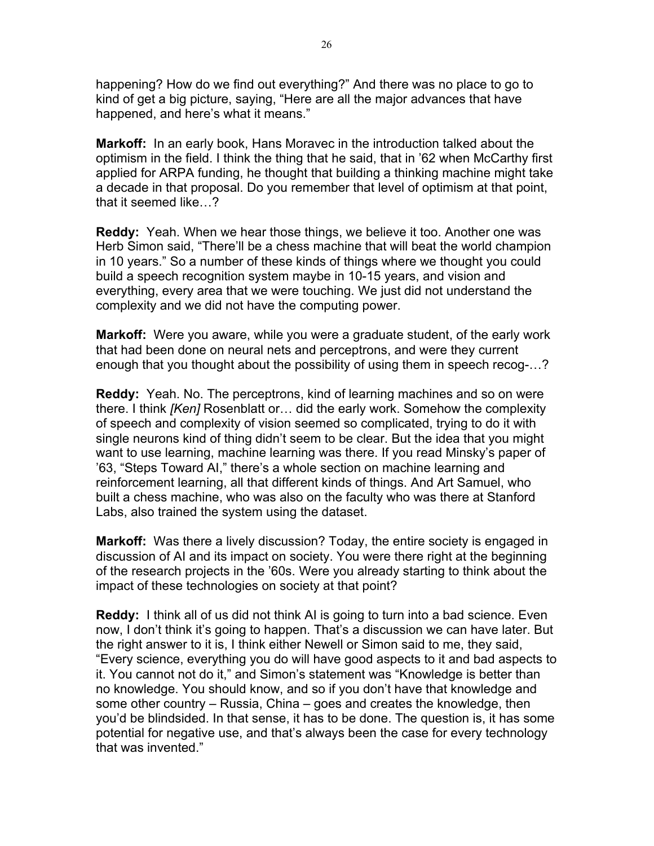happening? How do we find out everything?" And there was no place to go to kind of get a big picture, saying, "Here are all the major advances that have happened, and here's what it means."

**Markoff:** In an early book, Hans Moravec in the introduction talked about the optimism in the field. I think the thing that he said, that in '62 when McCarthy first applied for ARPA funding, he thought that building a thinking machine might take a decade in that proposal. Do you remember that level of optimism at that point, that it seemed like…?

**Reddy:** Yeah. When we hear those things, we believe it too. Another one was Herb Simon said, "There'll be a chess machine that will beat the world champion in 10 years." So a number of these kinds of things where we thought you could build a speech recognition system maybe in 10-15 years, and vision and everything, every area that we were touching. We just did not understand the complexity and we did not have the computing power.

**Markoff:** Were you aware, while you were a graduate student, of the early work that had been done on neural nets and perceptrons, and were they current enough that you thought about the possibility of using them in speech recog-…?

**Reddy:** Yeah. No. The perceptrons, kind of learning machines and so on were there. I think *[Ken]* Rosenblatt or… did the early work. Somehow the complexity of speech and complexity of vision seemed so complicated, trying to do it with single neurons kind of thing didn't seem to be clear. But the idea that you might want to use learning, machine learning was there. If you read Minsky's paper of '63, "Steps Toward AI," there's a whole section on machine learning and reinforcement learning, all that different kinds of things. And Art Samuel, who built a chess machine, who was also on the faculty who was there at Stanford Labs, also trained the system using the dataset.

**Markoff:** Was there a lively discussion? Today, the entire society is engaged in discussion of AI and its impact on society. You were there right at the beginning of the research projects in the '60s. Were you already starting to think about the impact of these technologies on society at that point?

**Reddy:** I think all of us did not think AI is going to turn into a bad science. Even now, I don't think it's going to happen. That's a discussion we can have later. But the right answer to it is, I think either Newell or Simon said to me, they said, "Every science, everything you do will have good aspects to it and bad aspects to it. You cannot not do it," and Simon's statement was "Knowledge is better than no knowledge. You should know, and so if you don't have that knowledge and some other country – Russia, China – goes and creates the knowledge, then you'd be blindsided. In that sense, it has to be done. The question is, it has some potential for negative use, and that's always been the case for every technology that was invented."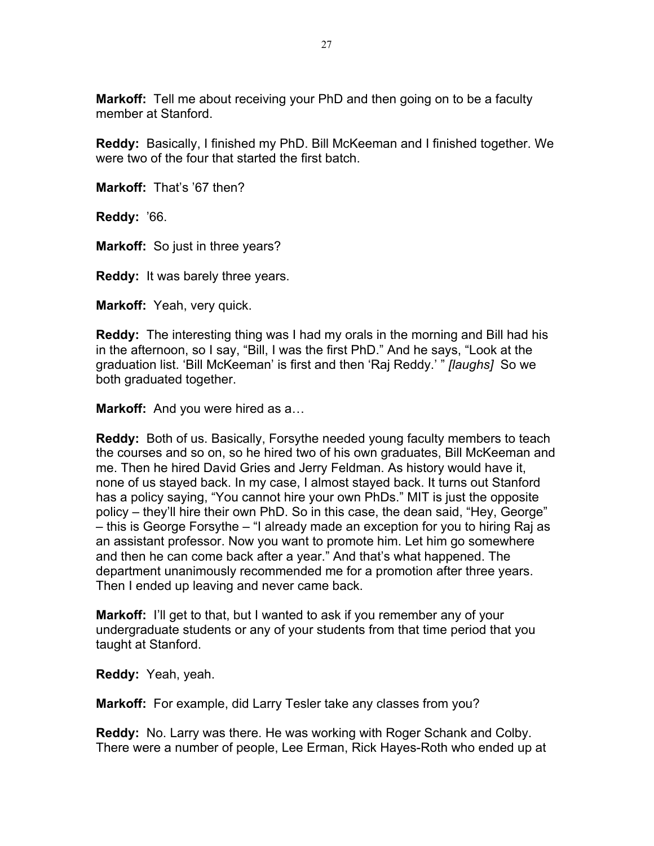**Markoff:** Tell me about receiving your PhD and then going on to be a faculty member at Stanford.

**Reddy:** Basically, I finished my PhD. Bill McKeeman and I finished together. We were two of the four that started the first batch.

**Markoff:** That's '67 then?

**Reddy:** '66.

**Markoff:** So just in three years?

**Reddy:** It was barely three years.

**Markoff:** Yeah, very quick.

**Reddy:** The interesting thing was I had my orals in the morning and Bill had his in the afternoon, so I say, "Bill, I was the first PhD." And he says, "Look at the graduation list. 'Bill McKeeman' is first and then 'Raj Reddy.' " *[laughs]* So we both graduated together.

**Markoff:** And you were hired as a…

**Reddy:** Both of us. Basically, Forsythe needed young faculty members to teach the courses and so on, so he hired two of his own graduates, Bill McKeeman and me. Then he hired David Gries and Jerry Feldman. As history would have it, none of us stayed back. In my case, I almost stayed back. It turns out Stanford has a policy saying, "You cannot hire your own PhDs." MIT is just the opposite policy – they'll hire their own PhD. So in this case, the dean said, "Hey, George" – this is George Forsythe – "I already made an exception for you to hiring Raj as an assistant professor. Now you want to promote him. Let him go somewhere and then he can come back after a year." And that's what happened. The department unanimously recommended me for a promotion after three years. Then I ended up leaving and never came back.

**Markoff:** I'll get to that, but I wanted to ask if you remember any of your undergraduate students or any of your students from that time period that you taught at Stanford.

**Reddy:** Yeah, yeah.

**Markoff:** For example, did Larry Tesler take any classes from you?

**Reddy:** No. Larry was there. He was working with Roger Schank and Colby. There were a number of people, Lee Erman, Rick Hayes-Roth who ended up at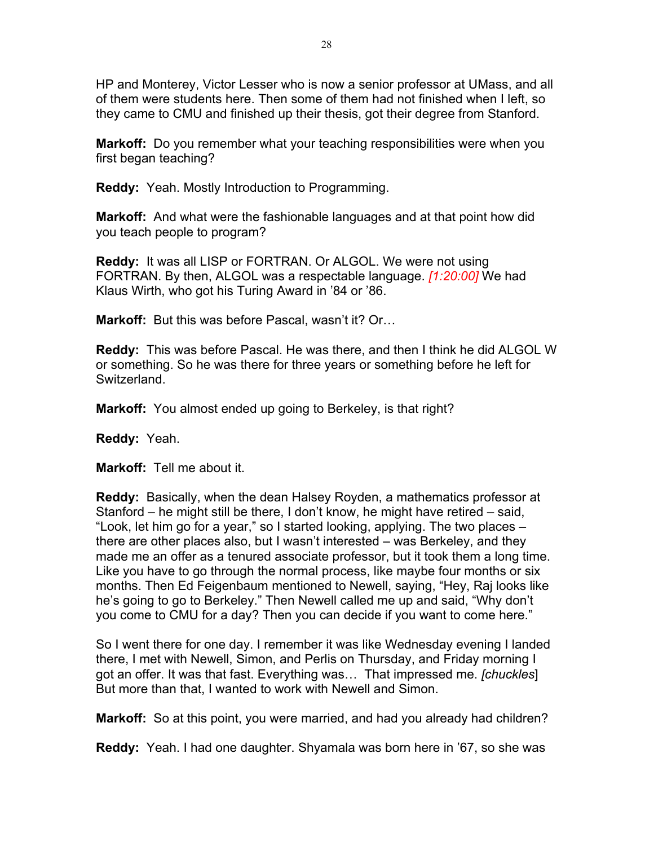HP and Monterey, Victor Lesser who is now a senior professor at UMass, and all of them were students here. Then some of them had not finished when I left, so they came to CMU and finished up their thesis, got their degree from Stanford.

**Markoff:** Do you remember what your teaching responsibilities were when you first began teaching?

**Reddy:** Yeah. Mostly Introduction to Programming.

**Markoff:** And what were the fashionable languages and at that point how did you teach people to program?

**Reddy:** It was all LISP or FORTRAN. Or ALGOL. We were not using FORTRAN. By then, ALGOL was a respectable language. *[1:20:00]* We had Klaus Wirth, who got his Turing Award in '84 or '86.

**Markoff:** But this was before Pascal, wasn't it? Or…

**Reddy:** This was before Pascal. He was there, and then I think he did ALGOL W or something. So he was there for three years or something before he left for Switzerland.

**Markoff:** You almost ended up going to Berkeley, is that right?

**Reddy:** Yeah.

**Markoff:** Tell me about it.

**Reddy:** Basically, when the dean Halsey Royden, a mathematics professor at Stanford – he might still be there, I don't know, he might have retired – said, "Look, let him go for a year," so I started looking, applying. The two places – there are other places also, but I wasn't interested – was Berkeley, and they made me an offer as a tenured associate professor, but it took them a long time. Like you have to go through the normal process, like maybe four months or six months. Then Ed Feigenbaum mentioned to Newell, saying, "Hey, Raj looks like he's going to go to Berkeley." Then Newell called me up and said, "Why don't you come to CMU for a day? Then you can decide if you want to come here."

So I went there for one day. I remember it was like Wednesday evening I landed there, I met with Newell, Simon, and Perlis on Thursday, and Friday morning I got an offer. It was that fast. Everything was… That impressed me. *[chuckles*] But more than that, I wanted to work with Newell and Simon.

**Markoff:** So at this point, you were married, and had you already had children?

**Reddy:** Yeah. I had one daughter. Shyamala was born here in '67, so she was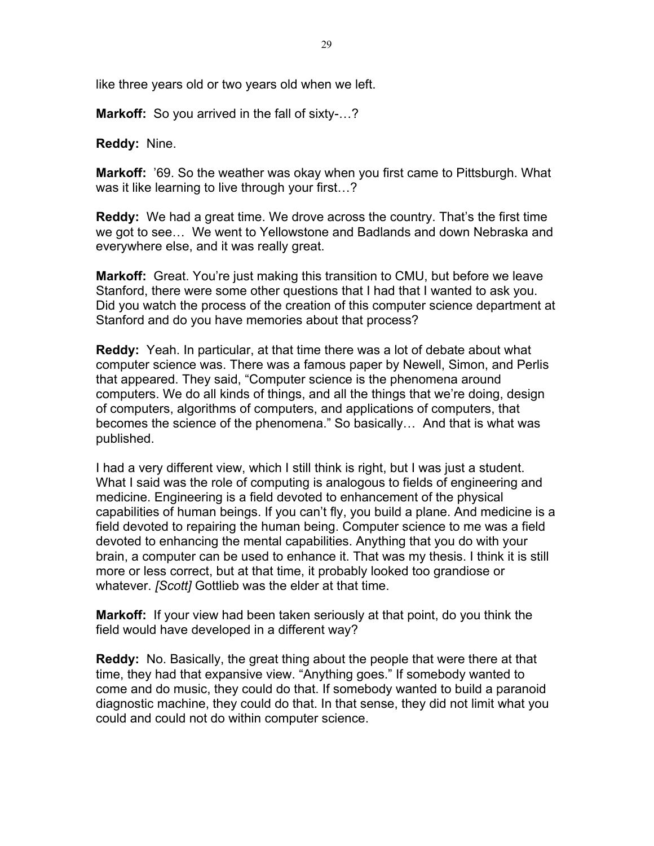like three years old or two years old when we left.

**Markoff:** So you arrived in the fall of sixty-…?

**Reddy:** Nine.

**Markoff:** '69. So the weather was okay when you first came to Pittsburgh. What was it like learning to live through your first...?

**Reddy:** We had a great time. We drove across the country. That's the first time we got to see… We went to Yellowstone and Badlands and down Nebraska and everywhere else, and it was really great.

**Markoff:** Great. You're just making this transition to CMU, but before we leave Stanford, there were some other questions that I had that I wanted to ask you. Did you watch the process of the creation of this computer science department at Stanford and do you have memories about that process?

**Reddy:** Yeah. In particular, at that time there was a lot of debate about what computer science was. There was a famous paper by Newell, Simon, and Perlis that appeared. They said, "Computer science is the phenomena around computers. We do all kinds of things, and all the things that we're doing, design of computers, algorithms of computers, and applications of computers, that becomes the science of the phenomena." So basically… And that is what was published.

I had a very different view, which I still think is right, but I was just a student. What I said was the role of computing is analogous to fields of engineering and medicine. Engineering is a field devoted to enhancement of the physical capabilities of human beings. If you can't fly, you build a plane. And medicine is a field devoted to repairing the human being. Computer science to me was a field devoted to enhancing the mental capabilities. Anything that you do with your brain, a computer can be used to enhance it. That was my thesis. I think it is still more or less correct, but at that time, it probably looked too grandiose or whatever. *[Scott]* Gottlieb was the elder at that time.

**Markoff:** If your view had been taken seriously at that point, do you think the field would have developed in a different way?

**Reddy:** No. Basically, the great thing about the people that were there at that time, they had that expansive view. "Anything goes." If somebody wanted to come and do music, they could do that. If somebody wanted to build a paranoid diagnostic machine, they could do that. In that sense, they did not limit what you could and could not do within computer science.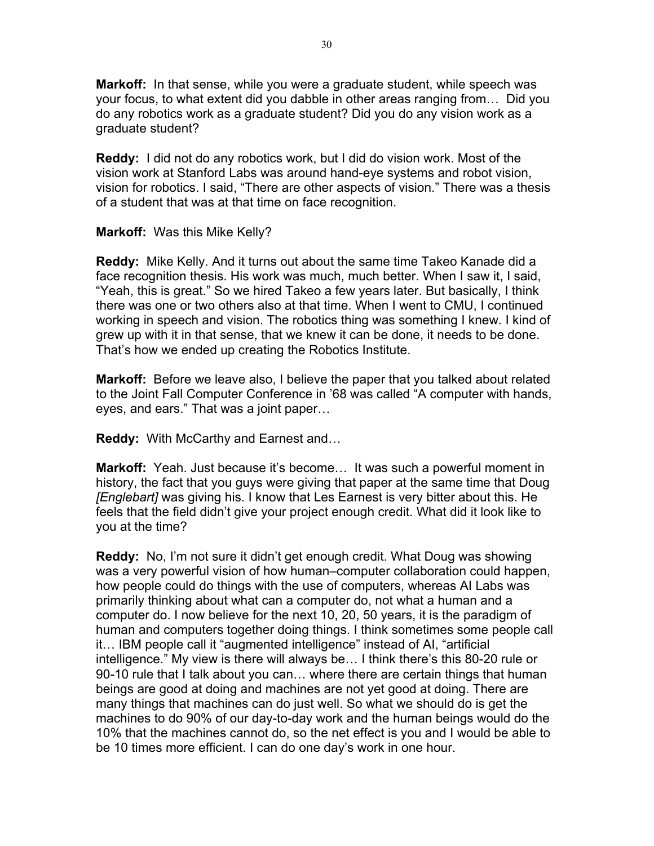**Markoff:** In that sense, while you were a graduate student, while speech was your focus, to what extent did you dabble in other areas ranging from… Did you do any robotics work as a graduate student? Did you do any vision work as a graduate student?

**Reddy:** I did not do any robotics work, but I did do vision work. Most of the vision work at Stanford Labs was around hand-eye systems and robot vision, vision for robotics. I said, "There are other aspects of vision." There was a thesis of a student that was at that time on face recognition.

### **Markoff:** Was this Mike Kelly?

**Reddy:** Mike Kelly. And it turns out about the same time Takeo Kanade did a face recognition thesis. His work was much, much better. When I saw it, I said, "Yeah, this is great." So we hired Takeo a few years later. But basically, I think there was one or two others also at that time. When I went to CMU, I continued working in speech and vision. The robotics thing was something I knew. I kind of grew up with it in that sense, that we knew it can be done, it needs to be done. That's how we ended up creating the Robotics Institute.

**Markoff:** Before we leave also, I believe the paper that you talked about related to the Joint Fall Computer Conference in '68 was called "A computer with hands, eyes, and ears." That was a joint paper…

**Reddy:** With McCarthy and Earnest and…

**Markoff:** Yeah. Just because it's become… It was such a powerful moment in history, the fact that you guys were giving that paper at the same time that Doug *[Englebart]* was giving his. I know that Les Earnest is very bitter about this. He feels that the field didn't give your project enough credit. What did it look like to you at the time?

**Reddy:** No, I'm not sure it didn't get enough credit. What Doug was showing was a very powerful vision of how human–computer collaboration could happen, how people could do things with the use of computers, whereas AI Labs was primarily thinking about what can a computer do, not what a human and a computer do. I now believe for the next 10, 20, 50 years, it is the paradigm of human and computers together doing things. I think sometimes some people call it… IBM people call it "augmented intelligence" instead of AI, "artificial intelligence." My view is there will always be… I think there's this 80-20 rule or 90-10 rule that I talk about you can… where there are certain things that human beings are good at doing and machines are not yet good at doing. There are many things that machines can do just well. So what we should do is get the machines to do 90% of our day-to-day work and the human beings would do the 10% that the machines cannot do, so the net effect is you and I would be able to be 10 times more efficient. I can do one day's work in one hour.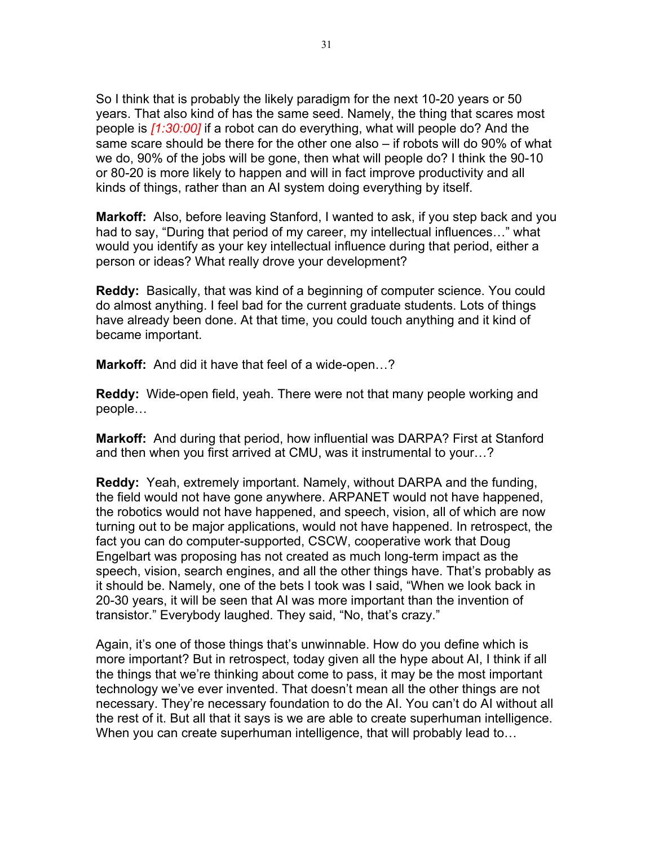So I think that is probably the likely paradigm for the next 10-20 years or 50 years. That also kind of has the same seed. Namely, the thing that scares most people is *[1:30:00]* if a robot can do everything, what will people do? And the same scare should be there for the other one also – if robots will do 90% of what we do, 90% of the jobs will be gone, then what will people do? I think the 90-10 or 80-20 is more likely to happen and will in fact improve productivity and all kinds of things, rather than an AI system doing everything by itself.

**Markoff:** Also, before leaving Stanford, I wanted to ask, if you step back and you had to say, "During that period of my career, my intellectual influences…" what would you identify as your key intellectual influence during that period, either a person or ideas? What really drove your development?

**Reddy:** Basically, that was kind of a beginning of computer science. You could do almost anything. I feel bad for the current graduate students. Lots of things have already been done. At that time, you could touch anything and it kind of became important.

**Markoff:** And did it have that feel of a wide-open…?

**Reddy:** Wide-open field, yeah. There were not that many people working and people…

**Markoff:** And during that period, how influential was DARPA? First at Stanford and then when you first arrived at CMU, was it instrumental to your…?

**Reddy:** Yeah, extremely important. Namely, without DARPA and the funding, the field would not have gone anywhere. ARPANET would not have happened, the robotics would not have happened, and speech, vision, all of which are now turning out to be major applications, would not have happened. In retrospect, the fact you can do computer-supported, CSCW, cooperative work that Doug Engelbart was proposing has not created as much long-term impact as the speech, vision, search engines, and all the other things have. That's probably as it should be. Namely, one of the bets I took was I said, "When we look back in 20-30 years, it will be seen that AI was more important than the invention of transistor." Everybody laughed. They said, "No, that's crazy."

Again, it's one of those things that's unwinnable. How do you define which is more important? But in retrospect, today given all the hype about AI, I think if all the things that we're thinking about come to pass, it may be the most important technology we've ever invented. That doesn't mean all the other things are not necessary. They're necessary foundation to do the AI. You can't do AI without all the rest of it. But all that it says is we are able to create superhuman intelligence. When you can create superhuman intelligence, that will probably lead to…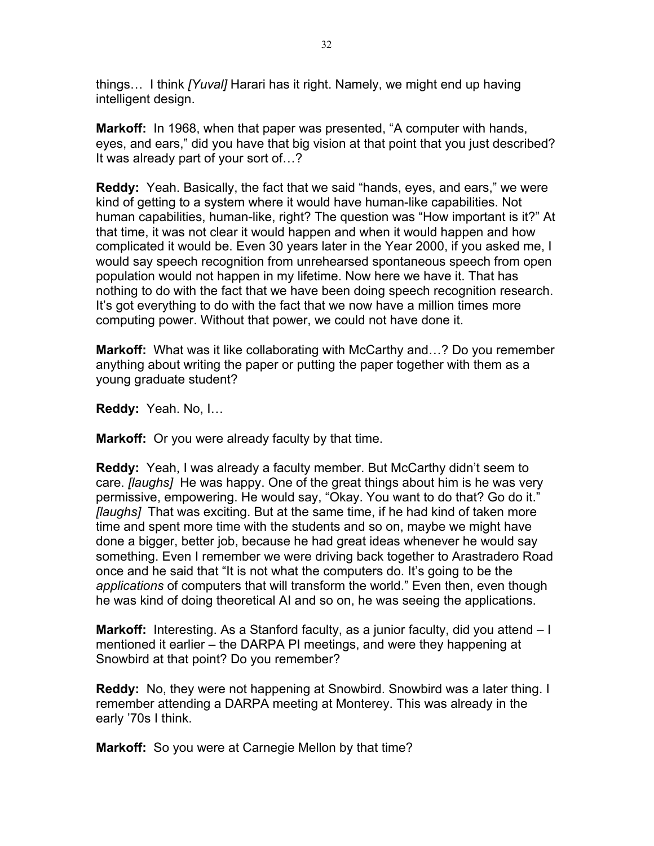things… I think *[Yuval]* Harari has it right. Namely, we might end up having intelligent design.

**Markoff:** In 1968, when that paper was presented, "A computer with hands, eyes, and ears," did you have that big vision at that point that you just described? It was already part of your sort of…?

**Reddy:** Yeah. Basically, the fact that we said "hands, eyes, and ears," we were kind of getting to a system where it would have human-like capabilities. Not human capabilities, human-like, right? The question was "How important is it?" At that time, it was not clear it would happen and when it would happen and how complicated it would be. Even 30 years later in the Year 2000, if you asked me, I would say speech recognition from unrehearsed spontaneous speech from open population would not happen in my lifetime. Now here we have it. That has nothing to do with the fact that we have been doing speech recognition research. It's got everything to do with the fact that we now have a million times more computing power. Without that power, we could not have done it.

**Markoff:** What was it like collaborating with McCarthy and…? Do you remember anything about writing the paper or putting the paper together with them as a young graduate student?

**Reddy:** Yeah. No, I…

**Markoff:** Or you were already faculty by that time.

**Reddy:** Yeah, I was already a faculty member. But McCarthy didn't seem to care. *[laughs]* He was happy. One of the great things about him is he was very permissive, empowering. He would say, "Okay. You want to do that? Go do it." *[laughs]* That was exciting. But at the same time, if he had kind of taken more time and spent more time with the students and so on, maybe we might have done a bigger, better job, because he had great ideas whenever he would say something. Even I remember we were driving back together to Arastradero Road once and he said that "It is not what the computers do. It's going to be the *applications* of computers that will transform the world." Even then, even though he was kind of doing theoretical AI and so on, he was seeing the applications.

**Markoff:** Interesting. As a Stanford faculty, as a junior faculty, did you attend – I mentioned it earlier – the DARPA PI meetings, and were they happening at Snowbird at that point? Do you remember?

**Reddy:** No, they were not happening at Snowbird. Snowbird was a later thing. I remember attending a DARPA meeting at Monterey. This was already in the early '70s I think.

**Markoff:** So you were at Carnegie Mellon by that time?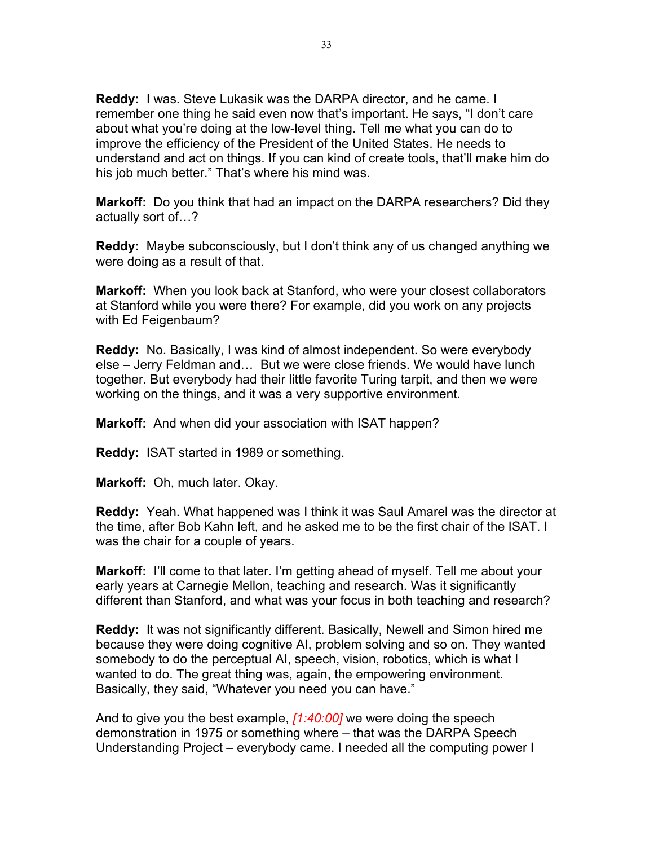**Reddy:** I was. Steve Lukasik was the DARPA director, and he came. I remember one thing he said even now that's important. He says, "I don't care about what you're doing at the low-level thing. Tell me what you can do to improve the efficiency of the President of the United States. He needs to understand and act on things. If you can kind of create tools, that'll make him do his job much better." That's where his mind was.

**Markoff:** Do you think that had an impact on the DARPA researchers? Did they actually sort of…?

**Reddy:** Maybe subconsciously, but I don't think any of us changed anything we were doing as a result of that.

**Markoff:** When you look back at Stanford, who were your closest collaborators at Stanford while you were there? For example, did you work on any projects with Ed Feigenbaum?

**Reddy:** No. Basically, I was kind of almost independent. So were everybody else – Jerry Feldman and… But we were close friends. We would have lunch together. But everybody had their little favorite Turing tarpit, and then we were working on the things, and it was a very supportive environment.

**Markoff:** And when did your association with ISAT happen?

**Reddy:** ISAT started in 1989 or something.

**Markoff:** Oh, much later. Okay.

**Reddy:** Yeah. What happened was I think it was Saul Amarel was the director at the time, after Bob Kahn left, and he asked me to be the first chair of the ISAT. I was the chair for a couple of years.

**Markoff:** I'll come to that later. I'm getting ahead of myself. Tell me about your early years at Carnegie Mellon, teaching and research. Was it significantly different than Stanford, and what was your focus in both teaching and research?

**Reddy:** It was not significantly different. Basically, Newell and Simon hired me because they were doing cognitive AI, problem solving and so on. They wanted somebody to do the perceptual AI, speech, vision, robotics, which is what I wanted to do. The great thing was, again, the empowering environment. Basically, they said, "Whatever you need you can have."

And to give you the best example, *[1:40:00]* we were doing the speech demonstration in 1975 or something where – that was the DARPA Speech Understanding Project – everybody came. I needed all the computing power I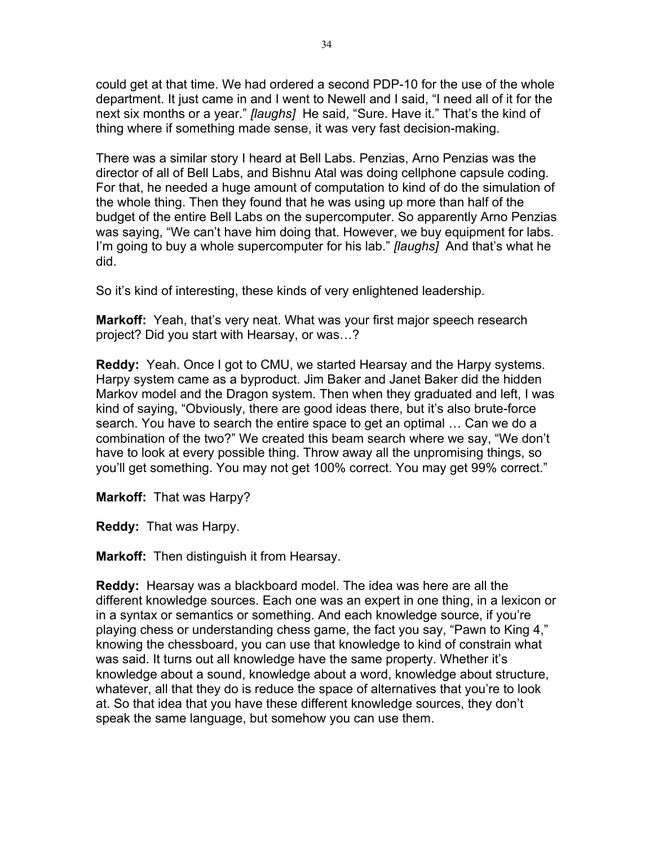could get at that time. We had ordered a second PDP-10 for the use of the whole department. It just came in and I went to Newell and I said, "I need all of it for the next six months or a year." *[laughs]* He said, "Sure. Have it." That's the kind of thing where if something made sense, it was very fast decision-making.

There was a similar story I heard at Bell Labs. Penzias, Arno Penzias was the director of all of Bell Labs, and Bishnu Atal was doing cellphone capsule coding. For that, he needed a huge amount of computation to kind of do the simulation of the whole thing. Then they found that he was using up more than half of the budget of the entire Bell Labs on the supercomputer. So apparently Arno Penzias was saying, "We can't have him doing that. However, we buy equipment for labs. I'm going to buy a whole supercomputer for his lab." *[laughs]* And that's what he did.

So it's kind of interesting, these kinds of very enlightened leadership.

**Markoff:** Yeah, that's very neat. What was your first major speech research project? Did you start with Hearsay, or was…?

**Reddy:** Yeah. Once I got to CMU, we started Hearsay and the Harpy systems. Harpy system came as a byproduct. Jim Baker and Janet Baker did the hidden Markov model and the Dragon system. Then when they graduated and left, I was kind of saying, "Obviously, there are good ideas there, but it's also brute-force search. You have to search the entire space to get an optimal … Can we do a combination of the two?" We created this beam search where we say, "We don't have to look at every possible thing. Throw away all the unpromising things, so you'll get something. You may not get 100% correct. You may get 99% correct."

**Markoff:** That was Harpy?

**Reddy:** That was Harpy.

**Markoff:** Then distinguish it from Hearsay.

**Reddy:** Hearsay was a blackboard model. The idea was here are all the different knowledge sources. Each one was an expert in one thing, in a lexicon or in a syntax or semantics or something. And each knowledge source, if you're playing chess or understanding chess game, the fact you say, "Pawn to King 4," knowing the chessboard, you can use that knowledge to kind of constrain what was said. It turns out all knowledge have the same property. Whether it's knowledge about a sound, knowledge about a word, knowledge about structure, whatever, all that they do is reduce the space of alternatives that you're to look at. So that idea that you have these different knowledge sources, they don't speak the same language, but somehow you can use them.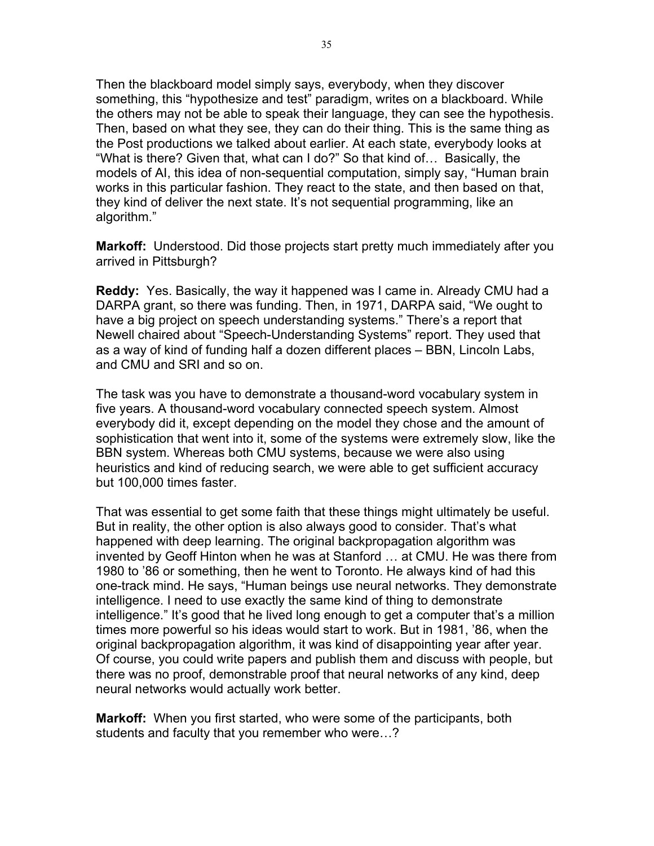Then the blackboard model simply says, everybody, when they discover something, this "hypothesize and test" paradigm, writes on a blackboard. While the others may not be able to speak their language, they can see the hypothesis. Then, based on what they see, they can do their thing. This is the same thing as the Post productions we talked about earlier. At each state, everybody looks at "What is there? Given that, what can I do?" So that kind of… Basically, the models of AI, this idea of non-sequential computation, simply say, "Human brain works in this particular fashion. They react to the state, and then based on that, they kind of deliver the next state. It's not sequential programming, like an algorithm."

**Markoff:** Understood. Did those projects start pretty much immediately after you arrived in Pittsburgh?

**Reddy:** Yes. Basically, the way it happened was I came in. Already CMU had a DARPA grant, so there was funding. Then, in 1971, DARPA said, "We ought to have a big project on speech understanding systems." There's a report that Newell chaired about "Speech-Understanding Systems" report. They used that as a way of kind of funding half a dozen different places – BBN, Lincoln Labs, and CMU and SRI and so on.

The task was you have to demonstrate a thousand-word vocabulary system in five years. A thousand-word vocabulary connected speech system. Almost everybody did it, except depending on the model they chose and the amount of sophistication that went into it, some of the systems were extremely slow, like the BBN system. Whereas both CMU systems, because we were also using heuristics and kind of reducing search, we were able to get sufficient accuracy but 100,000 times faster.

That was essential to get some faith that these things might ultimately be useful. But in reality, the other option is also always good to consider. That's what happened with deep learning. The original backpropagation algorithm was invented by Geoff Hinton when he was at Stanford … at CMU. He was there from 1980 to '86 or something, then he went to Toronto. He always kind of had this one-track mind. He says, "Human beings use neural networks. They demonstrate intelligence. I need to use exactly the same kind of thing to demonstrate intelligence." It's good that he lived long enough to get a computer that's a million times more powerful so his ideas would start to work. But in 1981, '86, when the original backpropagation algorithm, it was kind of disappointing year after year. Of course, you could write papers and publish them and discuss with people, but there was no proof, demonstrable proof that neural networks of any kind, deep neural networks would actually work better.

**Markoff:** When you first started, who were some of the participants, both students and faculty that you remember who were…?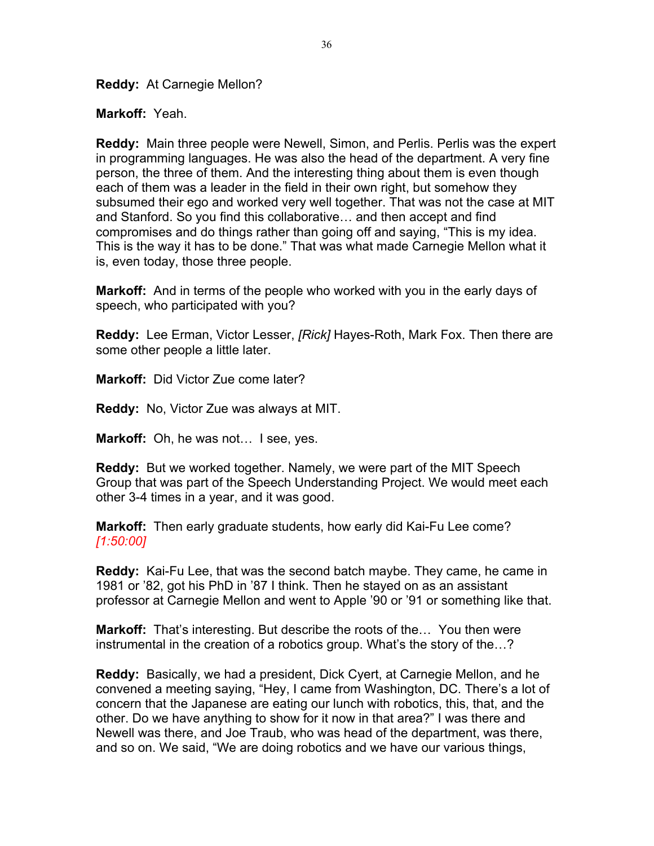**Reddy:** At Carnegie Mellon?

**Markoff:** Yeah.

**Reddy:** Main three people were Newell, Simon, and Perlis. Perlis was the expert in programming languages. He was also the head of the department. A very fine person, the three of them. And the interesting thing about them is even though each of them was a leader in the field in their own right, but somehow they subsumed their ego and worked very well together. That was not the case at MIT and Stanford. So you find this collaborative… and then accept and find compromises and do things rather than going off and saying, "This is my idea. This is the way it has to be done." That was what made Carnegie Mellon what it is, even today, those three people.

**Markoff:** And in terms of the people who worked with you in the early days of speech, who participated with you?

**Reddy:** Lee Erman, Victor Lesser, *[Rick]* Hayes-Roth, Mark Fox. Then there are some other people a little later.

**Markoff:** Did Victor Zue come later?

**Reddy:** No, Victor Zue was always at MIT.

**Markoff:** Oh, he was not… I see, yes.

**Reddy:** But we worked together. Namely, we were part of the MIT Speech Group that was part of the Speech Understanding Project. We would meet each other 3-4 times in a year, and it was good.

**Markoff:** Then early graduate students, how early did Kai-Fu Lee come? *[1:50:00]*

**Reddy:** Kai-Fu Lee, that was the second batch maybe. They came, he came in 1981 or '82, got his PhD in '87 I think. Then he stayed on as an assistant professor at Carnegie Mellon and went to Apple '90 or '91 or something like that.

**Markoff:** That's interesting. But describe the roots of the… You then were instrumental in the creation of a robotics group. What's the story of the…?

**Reddy:** Basically, we had a president, Dick Cyert, at Carnegie Mellon, and he convened a meeting saying, "Hey, I came from Washington, DC. There's a lot of concern that the Japanese are eating our lunch with robotics, this, that, and the other. Do we have anything to show for it now in that area?" I was there and Newell was there, and Joe Traub, who was head of the department, was there, and so on. We said, "We are doing robotics and we have our various things,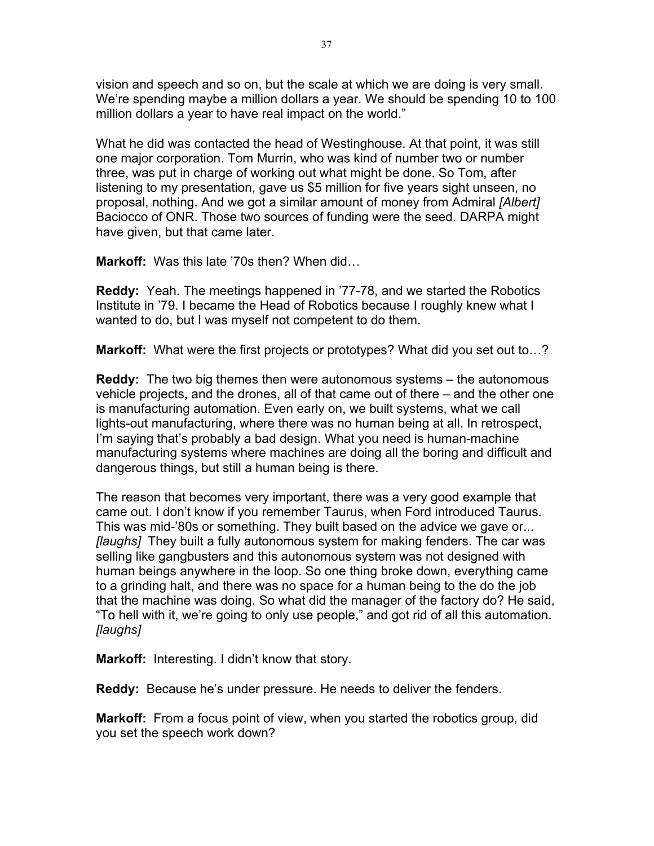vision and speech and so on, but the scale at which we are doing is very small. We're spending maybe a million dollars a year. We should be spending 10 to 100 million dollars a year to have real impact on the world."

What he did was contacted the head of Westinghouse. At that point, it was still one major corporation. Tom Murrin, who was kind of number two or number three, was put in charge of working out what might be done. So Tom, after listening to my presentation, gave us \$5 million for five years sight unseen, no proposal, nothing. And we got a similar amount of money from Admiral *[Albert]* Baciocco of ONR. Those two sources of funding were the seed. DARPA might have given, but that came later.

**Markoff:** Was this late '70s then? When did…

**Reddy:** Yeah. The meetings happened in '77-78, and we started the Robotics Institute in '79. I became the Head of Robotics because I roughly knew what I wanted to do, but I was myself not competent to do them.

**Markoff:** What were the first projects or prototypes? What did you set out to...?

**Reddy:** The two big themes then were autonomous systems – the autonomous vehicle projects, and the drones, all of that came out of there – and the other one is manufacturing automation. Even early on, we built systems, what we call lights-out manufacturing, where there was no human being at all. In retrospect, I'm saying that's probably a bad design. What you need is human-machine manufacturing systems where machines are doing all the boring and difficult and dangerous things, but still a human being is there.

The reason that becomes very important, there was a very good example that came out. I don't know if you remember Taurus, when Ford introduced Taurus. This was mid-'80s or something. They built based on the advice we gave or... *[laughs]* They built a fully autonomous system for making fenders. The car was selling like gangbusters and this autonomous system was not designed with human beings anywhere in the loop. So one thing broke down, everything came to a grinding halt, and there was no space for a human being to the do the job that the machine was doing. So what did the manager of the factory do? He said, "To hell with it, we're going to only use people," and got rid of all this automation. *[laughs]*

**Markoff:** Interesting. I didn't know that story.

**Reddy:** Because he's under pressure. He needs to deliver the fenders.

**Markoff:** From a focus point of view, when you started the robotics group, did you set the speech work down?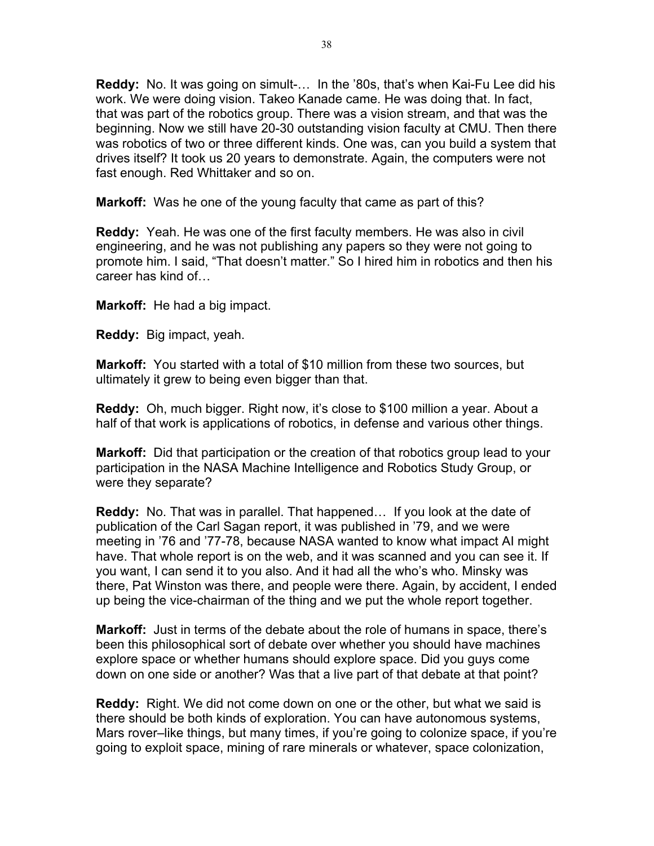**Reddy:** No. It was going on simult-… In the '80s, that's when Kai-Fu Lee did his work. We were doing vision. Takeo Kanade came. He was doing that. In fact, that was part of the robotics group. There was a vision stream, and that was the beginning. Now we still have 20-30 outstanding vision faculty at CMU. Then there was robotics of two or three different kinds. One was, can you build a system that drives itself? It took us 20 years to demonstrate. Again, the computers were not fast enough. Red Whittaker and so on.

**Markoff:** Was he one of the young faculty that came as part of this?

**Reddy:** Yeah. He was one of the first faculty members. He was also in civil engineering, and he was not publishing any papers so they were not going to promote him. I said, "That doesn't matter." So I hired him in robotics and then his career has kind of…

**Markoff:** He had a big impact.

**Reddy:** Big impact, yeah.

**Markoff:** You started with a total of \$10 million from these two sources, but ultimately it grew to being even bigger than that.

**Reddy:** Oh, much bigger. Right now, it's close to \$100 million a year. About a half of that work is applications of robotics, in defense and various other things.

**Markoff:** Did that participation or the creation of that robotics group lead to your participation in the NASA Machine Intelligence and Robotics Study Group, or were they separate?

**Reddy:** No. That was in parallel. That happened… If you look at the date of publication of the Carl Sagan report, it was published in '79, and we were meeting in '76 and '77-78, because NASA wanted to know what impact AI might have. That whole report is on the web, and it was scanned and you can see it. If you want, I can send it to you also. And it had all the who's who. Minsky was there, Pat Winston was there, and people were there. Again, by accident, I ended up being the vice-chairman of the thing and we put the whole report together.

**Markoff:** Just in terms of the debate about the role of humans in space, there's been this philosophical sort of debate over whether you should have machines explore space or whether humans should explore space. Did you guys come down on one side or another? Was that a live part of that debate at that point?

**Reddy:** Right. We did not come down on one or the other, but what we said is there should be both kinds of exploration. You can have autonomous systems, Mars rover–like things, but many times, if you're going to colonize space, if you're going to exploit space, mining of rare minerals or whatever, space colonization,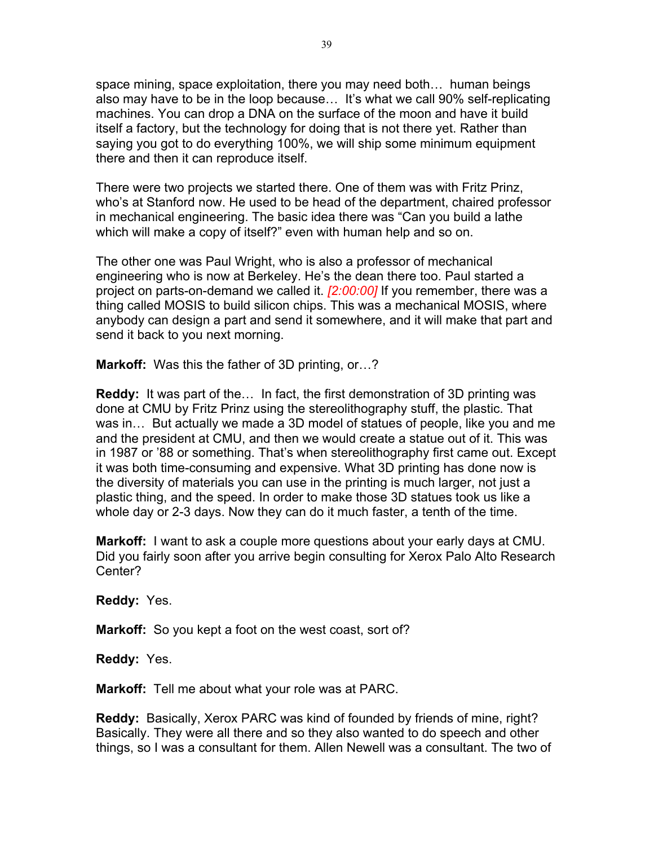space mining, space exploitation, there you may need both… human beings also may have to be in the loop because… It's what we call 90% self-replicating machines. You can drop a DNA on the surface of the moon and have it build itself a factory, but the technology for doing that is not there yet. Rather than saying you got to do everything 100%, we will ship some minimum equipment there and then it can reproduce itself.

There were two projects we started there. One of them was with Fritz Prinz, who's at Stanford now. He used to be head of the department, chaired professor in mechanical engineering. The basic idea there was "Can you build a lathe which will make a copy of itself?" even with human help and so on.

The other one was Paul Wright, who is also a professor of mechanical engineering who is now at Berkeley. He's the dean there too. Paul started a project on parts-on-demand we called it. *[2:00:00]* If you remember, there was a thing called MOSIS to build silicon chips. This was a mechanical MOSIS, where anybody can design a part and send it somewhere, and it will make that part and send it back to you next morning.

**Markoff:** Was this the father of 3D printing, or…?

**Reddy:** It was part of the… In fact, the first demonstration of 3D printing was done at CMU by Fritz Prinz using the stereolithography stuff, the plastic. That was in… But actually we made a 3D model of statues of people, like you and me and the president at CMU, and then we would create a statue out of it. This was in 1987 or '88 or something. That's when stereolithography first came out. Except it was both time-consuming and expensive. What 3D printing has done now is the diversity of materials you can use in the printing is much larger, not just a plastic thing, and the speed. In order to make those 3D statues took us like a whole day or 2-3 days. Now they can do it much faster, a tenth of the time.

**Markoff:** I want to ask a couple more questions about your early days at CMU. Did you fairly soon after you arrive begin consulting for Xerox Palo Alto Research Center?

**Reddy:** Yes.

**Markoff:** So you kept a foot on the west coast, sort of?

**Reddy:** Yes.

**Markoff:** Tell me about what your role was at PARC.

**Reddy:** Basically, Xerox PARC was kind of founded by friends of mine, right? Basically. They were all there and so they also wanted to do speech and other things, so I was a consultant for them. Allen Newell was a consultant. The two of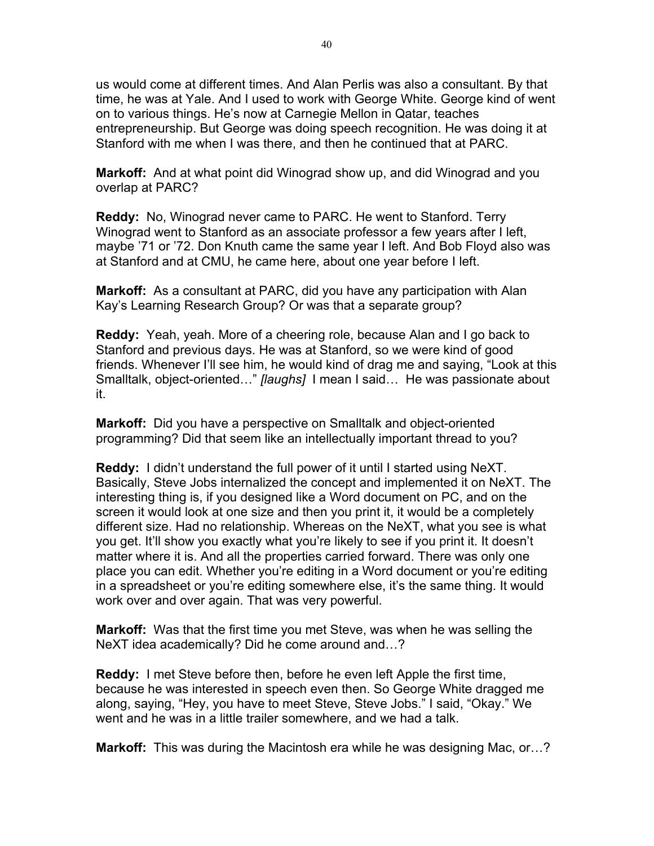us would come at different times. And Alan Perlis was also a consultant. By that time, he was at Yale. And I used to work with George White. George kind of went on to various things. He's now at Carnegie Mellon in Qatar, teaches entrepreneurship. But George was doing speech recognition. He was doing it at Stanford with me when I was there, and then he continued that at PARC.

**Markoff:** And at what point did Winograd show up, and did Winograd and you overlap at PARC?

**Reddy:** No, Winograd never came to PARC. He went to Stanford. Terry Winograd went to Stanford as an associate professor a few years after I left, maybe '71 or '72. Don Knuth came the same year I left. And Bob Floyd also was at Stanford and at CMU, he came here, about one year before I left.

**Markoff:** As a consultant at PARC, did you have any participation with Alan Kay's Learning Research Group? Or was that a separate group?

**Reddy:** Yeah, yeah. More of a cheering role, because Alan and I go back to Stanford and previous days. He was at Stanford, so we were kind of good friends. Whenever I'll see him, he would kind of drag me and saying, "Look at this Smalltalk, object-oriented…" *[laughs]* I mean I said… He was passionate about it.

**Markoff:** Did you have a perspective on Smalltalk and object-oriented programming? Did that seem like an intellectually important thread to you?

**Reddy:** I didn't understand the full power of it until I started using NeXT. Basically, Steve Jobs internalized the concept and implemented it on NeXT. The interesting thing is, if you designed like a Word document on PC, and on the screen it would look at one size and then you print it, it would be a completely different size. Had no relationship. Whereas on the NeXT, what you see is what you get. It'll show you exactly what you're likely to see if you print it. It doesn't matter where it is. And all the properties carried forward. There was only one place you can edit. Whether you're editing in a Word document or you're editing in a spreadsheet or you're editing somewhere else, it's the same thing. It would work over and over again. That was very powerful.

**Markoff:** Was that the first time you met Steve, was when he was selling the NeXT idea academically? Did he come around and…?

**Reddy:** I met Steve before then, before he even left Apple the first time, because he was interested in speech even then. So George White dragged me along, saying, "Hey, you have to meet Steve, Steve Jobs." I said, "Okay." We went and he was in a little trailer somewhere, and we had a talk.

**Markoff:** This was during the Macintosh era while he was designing Mac, or…?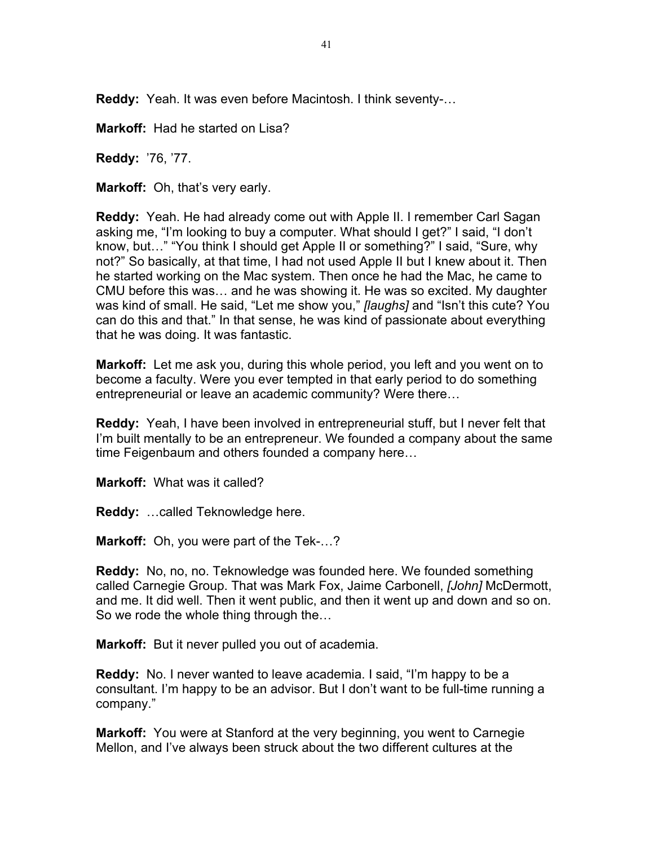**Reddy:** Yeah. It was even before Macintosh. I think seventy-…

**Markoff:** Had he started on Lisa?

**Reddy:** '76, '77.

**Markoff:** Oh, that's very early.

**Reddy:** Yeah. He had already come out with Apple II. I remember Carl Sagan asking me, "I'm looking to buy a computer. What should I get?" I said, "I don't know, but…" "You think I should get Apple II or something?" I said, "Sure, why not?" So basically, at that time, I had not used Apple II but I knew about it. Then he started working on the Mac system. Then once he had the Mac, he came to CMU before this was… and he was showing it. He was so excited. My daughter was kind of small. He said, "Let me show you," *[laughs]* and "Isn't this cute? You can do this and that." In that sense, he was kind of passionate about everything that he was doing. It was fantastic.

**Markoff:** Let me ask you, during this whole period, you left and you went on to become a faculty. Were you ever tempted in that early period to do something entrepreneurial or leave an academic community? Were there…

**Reddy:** Yeah, I have been involved in entrepreneurial stuff, but I never felt that I'm built mentally to be an entrepreneur. We founded a company about the same time Feigenbaum and others founded a company here…

**Markoff:** What was it called?

**Reddy:** …called Teknowledge here.

**Markoff:** Oh, you were part of the Tek-…?

**Reddy:** No, no, no. Teknowledge was founded here. We founded something called Carnegie Group. That was Mark Fox, Jaime Carbonell, *[John]* McDermott, and me. It did well. Then it went public, and then it went up and down and so on. So we rode the whole thing through the…

**Markoff:** But it never pulled you out of academia.

**Reddy:** No. I never wanted to leave academia. I said, "I'm happy to be a consultant. I'm happy to be an advisor. But I don't want to be full-time running a company."

**Markoff:** You were at Stanford at the very beginning, you went to Carnegie Mellon, and I've always been struck about the two different cultures at the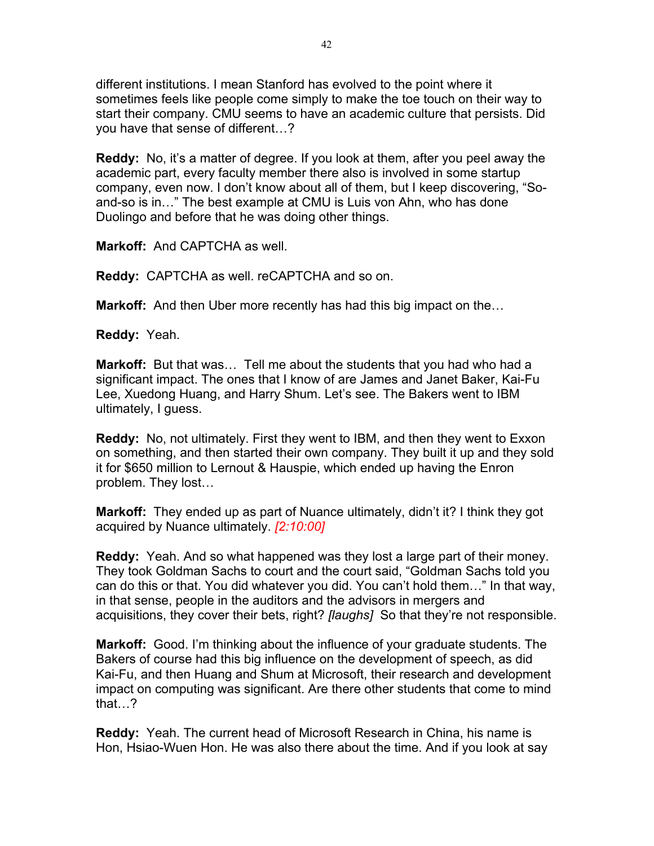different institutions. I mean Stanford has evolved to the point where it sometimes feels like people come simply to make the toe touch on their way to start their company. CMU seems to have an academic culture that persists. Did you have that sense of different…?

**Reddy:** No, it's a matter of degree. If you look at them, after you peel away the academic part, every faculty member there also is involved in some startup company, even now. I don't know about all of them, but I keep discovering, "Soand-so is in…" The best example at CMU is Luis von Ahn, who has done Duolingo and before that he was doing other things.

**Markoff:** And CAPTCHA as well.

**Reddy:** CAPTCHA as well. reCAPTCHA and so on.

**Markoff:** And then Uber more recently has had this big impact on the…

**Reddy:** Yeah.

**Markoff:** But that was… Tell me about the students that you had who had a significant impact. The ones that I know of are James and Janet Baker, Kai-Fu Lee, Xuedong Huang, and Harry Shum. Let's see. The Bakers went to IBM ultimately, I guess.

**Reddy:** No, not ultimately. First they went to IBM, and then they went to Exxon on something, and then started their own company. They built it up and they sold it for \$650 million to Lernout & Hauspie, which ended up having the Enron problem. They lost…

**Markoff:** They ended up as part of Nuance ultimately, didn't it? I think they got acquired by Nuance ultimately. *[2:10:00]*

**Reddy:** Yeah. And so what happened was they lost a large part of their money. They took Goldman Sachs to court and the court said, "Goldman Sachs told you can do this or that. You did whatever you did. You can't hold them…" In that way, in that sense, people in the auditors and the advisors in mergers and acquisitions, they cover their bets, right? *[laughs]* So that they're not responsible.

**Markoff:** Good. I'm thinking about the influence of your graduate students. The Bakers of course had this big influence on the development of speech, as did Kai-Fu, and then Huang and Shum at Microsoft, their research and development impact on computing was significant. Are there other students that come to mind that…?

**Reddy:** Yeah. The current head of Microsoft Research in China, his name is Hon, Hsiao-Wuen Hon. He was also there about the time. And if you look at say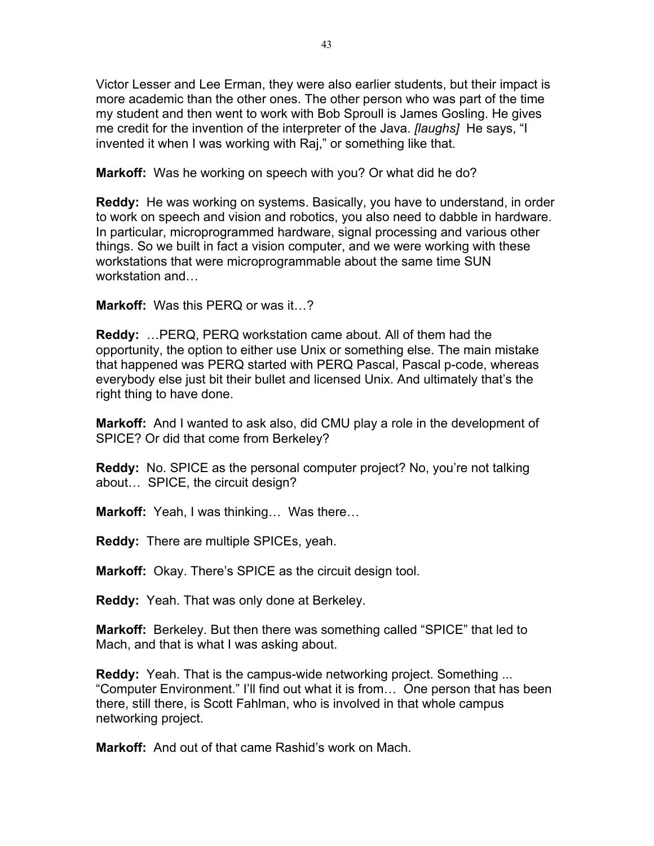Victor Lesser and Lee Erman, they were also earlier students, but their impact is more academic than the other ones. The other person who was part of the time my student and then went to work with Bob Sproull is James Gosling. He gives me credit for the invention of the interpreter of the Java. *[laughs]* He says, "I invented it when I was working with Raj," or something like that.

**Markoff:** Was he working on speech with you? Or what did he do?

**Reddy:** He was working on systems. Basically, you have to understand, in order to work on speech and vision and robotics, you also need to dabble in hardware. In particular, microprogrammed hardware, signal processing and various other things. So we built in fact a vision computer, and we were working with these workstations that were microprogrammable about the same time SUN workstation and…

**Markoff:** Was this PERQ or was it…?

**Reddy:** …PERQ, PERQ workstation came about. All of them had the opportunity, the option to either use Unix or something else. The main mistake that happened was PERQ started with PERQ Pascal, Pascal p-code, whereas everybody else just bit their bullet and licensed Unix. And ultimately that's the right thing to have done.

**Markoff:** And I wanted to ask also, did CMU play a role in the development of SPICE? Or did that come from Berkeley?

**Reddy:** No. SPICE as the personal computer project? No, you're not talking about… SPICE, the circuit design?

**Markoff:** Yeah, I was thinking… Was there…

**Reddy:** There are multiple SPICEs, yeah.

**Markoff:** Okay. There's SPICE as the circuit design tool.

**Reddy:** Yeah. That was only done at Berkeley.

**Markoff:** Berkeley. But then there was something called "SPICE" that led to Mach, and that is what I was asking about.

**Reddy:** Yeah. That is the campus-wide networking project. Something ... "Computer Environment." I'll find out what it is from… One person that has been there, still there, is Scott Fahlman, who is involved in that whole campus networking project.

**Markoff:** And out of that came Rashid's work on Mach.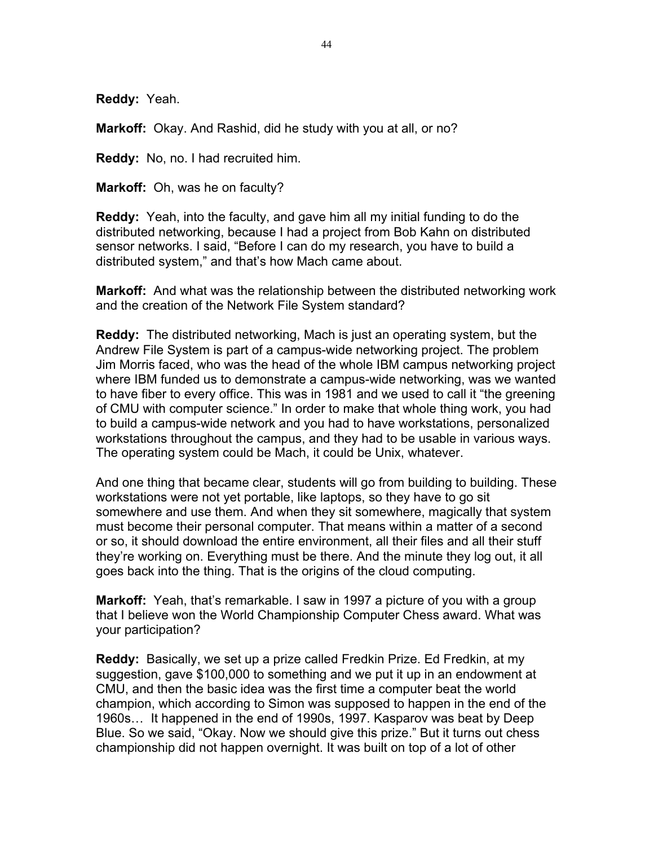**Reddy:** Yeah.

**Markoff:** Okay. And Rashid, did he study with you at all, or no?

**Reddy:** No, no. I had recruited him.

**Markoff:** Oh, was he on faculty?

**Reddy:** Yeah, into the faculty, and gave him all my initial funding to do the distributed networking, because I had a project from Bob Kahn on distributed sensor networks. I said, "Before I can do my research, you have to build a distributed system," and that's how Mach came about.

**Markoff:** And what was the relationship between the distributed networking work and the creation of the Network File System standard?

**Reddy:** The distributed networking, Mach is just an operating system, but the Andrew File System is part of a campus-wide networking project. The problem Jim Morris faced, who was the head of the whole IBM campus networking project where IBM funded us to demonstrate a campus-wide networking, was we wanted to have fiber to every office. This was in 1981 and we used to call it "the greening of CMU with computer science." In order to make that whole thing work, you had to build a campus-wide network and you had to have workstations, personalized workstations throughout the campus, and they had to be usable in various ways. The operating system could be Mach, it could be Unix, whatever.

And one thing that became clear, students will go from building to building. These workstations were not yet portable, like laptops, so they have to go sit somewhere and use them. And when they sit somewhere, magically that system must become their personal computer. That means within a matter of a second or so, it should download the entire environment, all their files and all their stuff they're working on. Everything must be there. And the minute they log out, it all goes back into the thing. That is the origins of the cloud computing.

**Markoff:** Yeah, that's remarkable. I saw in 1997 a picture of you with a group that I believe won the World Championship Computer Chess award. What was your participation?

**Reddy:** Basically, we set up a prize called Fredkin Prize. Ed Fredkin, at my suggestion, gave \$100,000 to something and we put it up in an endowment at CMU, and then the basic idea was the first time a computer beat the world champion, which according to Simon was supposed to happen in the end of the 1960s… It happened in the end of 1990s, 1997. Kasparov was beat by Deep Blue. So we said, "Okay. Now we should give this prize." But it turns out chess championship did not happen overnight. It was built on top of a lot of other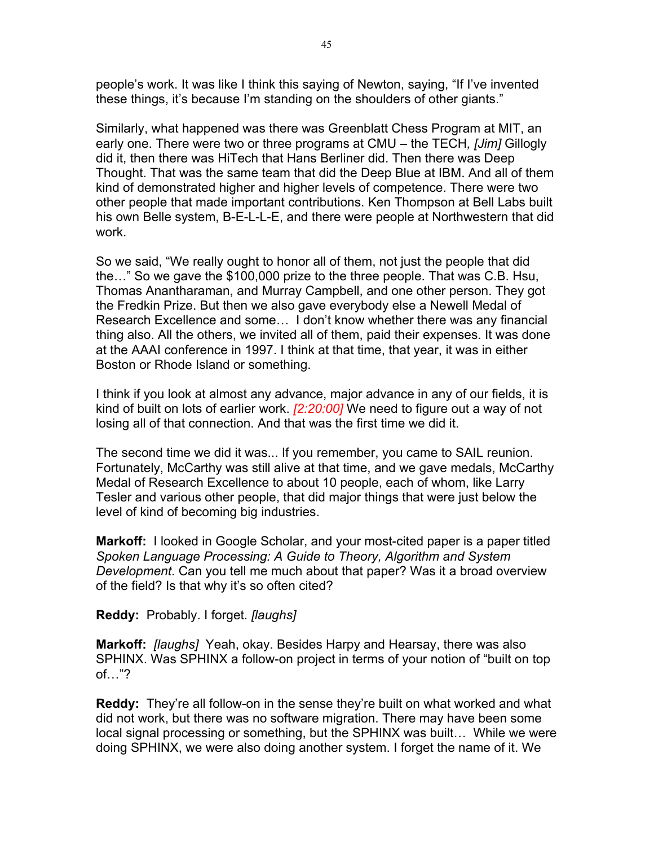people's work. It was like I think this saying of Newton, saying, "If I've invented these things, it's because I'm standing on the shoulders of other giants."

Similarly, what happened was there was Greenblatt Chess Program at MIT, an early one. There were two or three programs at CMU – the TECH*, [Jim]* Gillogly did it, then there was HiTech that Hans Berliner did. Then there was Deep Thought. That was the same team that did the Deep Blue at IBM. And all of them kind of demonstrated higher and higher levels of competence. There were two other people that made important contributions. Ken Thompson at Bell Labs built his own Belle system, B-E-L-L-E, and there were people at Northwestern that did work.

So we said, "We really ought to honor all of them, not just the people that did the…" So we gave the \$100,000 prize to the three people. That was C.B. Hsu, Thomas Anantharaman, and Murray Campbell, and one other person. They got the Fredkin Prize. But then we also gave everybody else a Newell Medal of Research Excellence and some… I don't know whether there was any financial thing also. All the others, we invited all of them, paid their expenses. It was done at the AAAI conference in 1997. I think at that time, that year, it was in either Boston or Rhode Island or something.

I think if you look at almost any advance, major advance in any of our fields, it is kind of built on lots of earlier work. *[2:20:00]* We need to figure out a way of not losing all of that connection. And that was the first time we did it.

The second time we did it was... If you remember, you came to SAIL reunion. Fortunately, McCarthy was still alive at that time, and we gave medals, McCarthy Medal of Research Excellence to about 10 people, each of whom, like Larry Tesler and various other people, that did major things that were just below the level of kind of becoming big industries.

**Markoff:** I looked in Google Scholar, and your most-cited paper is a paper titled *Spoken Language Processing: A Guide to Theory, Algorithm and System Development*. Can you tell me much about that paper? Was it a broad overview of the field? Is that why it's so often cited?

**Reddy:** Probably. I forget. *[laughs]*

**Markoff:** *[laughs]* Yeah, okay. Besides Harpy and Hearsay, there was also SPHINX. Was SPHINX a follow-on project in terms of your notion of "built on top of…"?

**Reddy:** They're all follow-on in the sense they're built on what worked and what did not work, but there was no software migration. There may have been some local signal processing or something, but the SPHINX was built… While we were doing SPHINX, we were also doing another system. I forget the name of it. We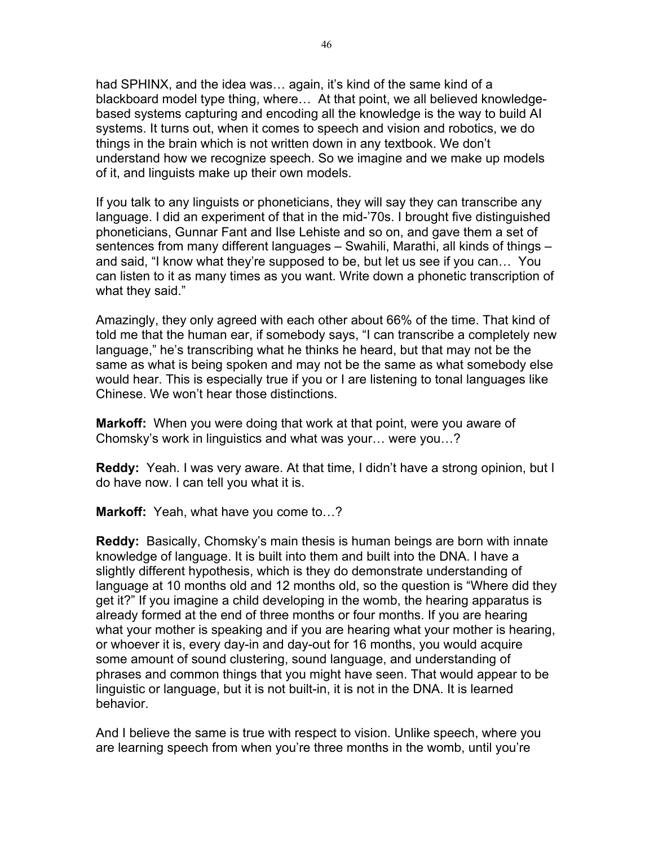had SPHINX, and the idea was... again, it's kind of the same kind of a blackboard model type thing, where… At that point, we all believed knowledgebased systems capturing and encoding all the knowledge is the way to build AI systems. It turns out, when it comes to speech and vision and robotics, we do things in the brain which is not written down in any textbook. We don't understand how we recognize speech. So we imagine and we make up models of it, and linguists make up their own models.

If you talk to any linguists or phoneticians, they will say they can transcribe any language. I did an experiment of that in the mid-'70s. I brought five distinguished phoneticians, Gunnar Fant and Ilse Lehiste and so on, and gave them a set of sentences from many different languages – Swahili, Marathi, all kinds of things – and said, "I know what they're supposed to be, but let us see if you can… You can listen to it as many times as you want. Write down a phonetic transcription of what they said."

Amazingly, they only agreed with each other about 66% of the time. That kind of told me that the human ear, if somebody says, "I can transcribe a completely new language," he's transcribing what he thinks he heard, but that may not be the same as what is being spoken and may not be the same as what somebody else would hear. This is especially true if you or I are listening to tonal languages like Chinese. We won't hear those distinctions.

**Markoff:** When you were doing that work at that point, were you aware of Chomsky's work in linguistics and what was your… were you…?

**Reddy:** Yeah. I was very aware. At that time, I didn't have a strong opinion, but I do have now. I can tell you what it is.

**Markoff:** Yeah, what have you come to…?

**Reddy:** Basically, Chomsky's main thesis is human beings are born with innate knowledge of language. It is built into them and built into the DNA. I have a slightly different hypothesis, which is they do demonstrate understanding of language at 10 months old and 12 months old, so the question is "Where did they get it?" If you imagine a child developing in the womb, the hearing apparatus is already formed at the end of three months or four months. If you are hearing what your mother is speaking and if you are hearing what your mother is hearing, or whoever it is, every day-in and day-out for 16 months, you would acquire some amount of sound clustering, sound language, and understanding of phrases and common things that you might have seen. That would appear to be linguistic or language, but it is not built-in, it is not in the DNA. It is learned behavior.

And I believe the same is true with respect to vision. Unlike speech, where you are learning speech from when you're three months in the womb, until you're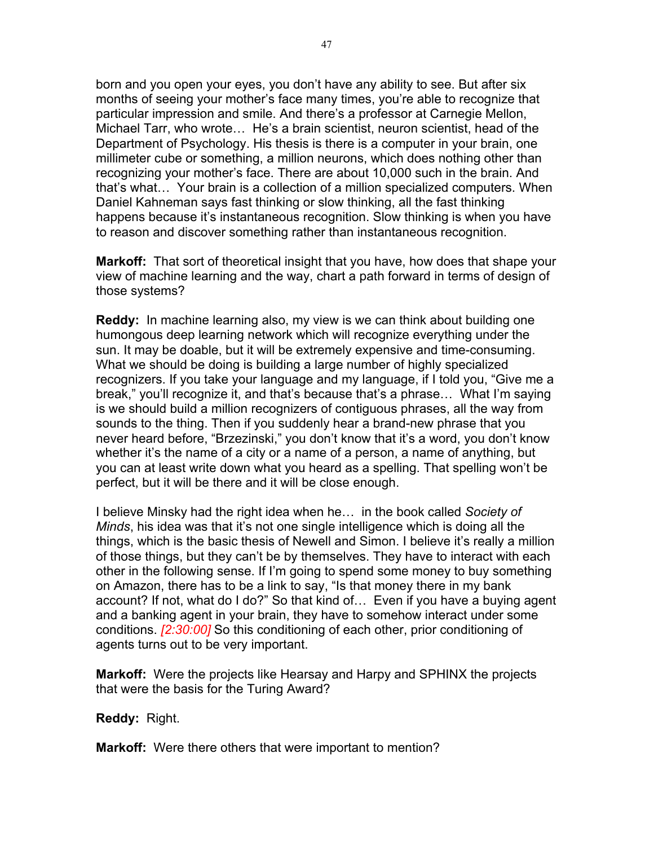born and you open your eyes, you don't have any ability to see. But after six months of seeing your mother's face many times, you're able to recognize that particular impression and smile. And there's a professor at Carnegie Mellon, Michael Tarr, who wrote… He's a brain scientist, neuron scientist, head of the Department of Psychology. His thesis is there is a computer in your brain, one millimeter cube or something, a million neurons, which does nothing other than recognizing your mother's face. There are about 10,000 such in the brain. And that's what… Your brain is a collection of a million specialized computers. When Daniel Kahneman says fast thinking or slow thinking, all the fast thinking happens because it's instantaneous recognition. Slow thinking is when you have to reason and discover something rather than instantaneous recognition.

**Markoff:** That sort of theoretical insight that you have, how does that shape your view of machine learning and the way, chart a path forward in terms of design of those systems?

**Reddy:** In machine learning also, my view is we can think about building one humongous deep learning network which will recognize everything under the sun. It may be doable, but it will be extremely expensive and time-consuming. What we should be doing is building a large number of highly specialized recognizers. If you take your language and my language, if I told you, "Give me a break," you'll recognize it, and that's because that's a phrase… What I'm saying is we should build a million recognizers of contiguous phrases, all the way from sounds to the thing. Then if you suddenly hear a brand-new phrase that you never heard before, "Brzezinski," you don't know that it's a word, you don't know whether it's the name of a city or a name of a person, a name of anything, but you can at least write down what you heard as a spelling. That spelling won't be perfect, but it will be there and it will be close enough.

I believe Minsky had the right idea when he… in the book called *Society of Minds*, his idea was that it's not one single intelligence which is doing all the things, which is the basic thesis of Newell and Simon. I believe it's really a million of those things, but they can't be by themselves. They have to interact with each other in the following sense. If I'm going to spend some money to buy something on Amazon, there has to be a link to say, "Is that money there in my bank account? If not, what do I do?" So that kind of… Even if you have a buying agent and a banking agent in your brain, they have to somehow interact under some conditions. *[2:30:00]* So this conditioning of each other, prior conditioning of agents turns out to be very important.

**Markoff:** Were the projects like Hearsay and Harpy and SPHINX the projects that were the basis for the Turing Award?

#### **Reddy:** Right.

**Markoff:** Were there others that were important to mention?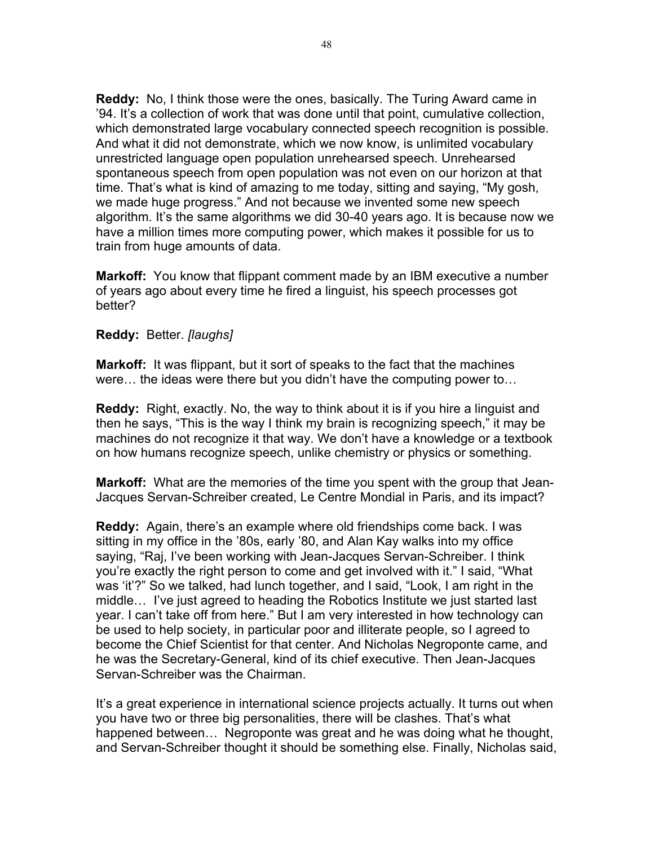**Reddy:** No, I think those were the ones, basically. The Turing Award came in '94. It's a collection of work that was done until that point, cumulative collection, which demonstrated large vocabulary connected speech recognition is possible. And what it did not demonstrate, which we now know, is unlimited vocabulary unrestricted language open population unrehearsed speech. Unrehearsed spontaneous speech from open population was not even on our horizon at that time. That's what is kind of amazing to me today, sitting and saying, "My gosh, we made huge progress." And not because we invented some new speech algorithm. It's the same algorithms we did 30-40 years ago. It is because now we have a million times more computing power, which makes it possible for us to train from huge amounts of data.

**Markoff:** You know that flippant comment made by an IBM executive a number of years ago about every time he fired a linguist, his speech processes got better?

#### **Reddy:** Better. *[laughs]*

**Markoff:** It was flippant, but it sort of speaks to the fact that the machines were… the ideas were there but you didn't have the computing power to…

**Reddy:** Right, exactly. No, the way to think about it is if you hire a linguist and then he says, "This is the way I think my brain is recognizing speech," it may be machines do not recognize it that way. We don't have a knowledge or a textbook on how humans recognize speech, unlike chemistry or physics or something.

**Markoff:** What are the memories of the time you spent with the group that Jean-Jacques Servan-Schreiber created, Le Centre Mondial in Paris, and its impact?

**Reddy:** Again, there's an example where old friendships come back. I was sitting in my office in the '80s, early '80, and Alan Kay walks into my office saying, "Raj, I've been working with Jean-Jacques Servan-Schreiber. I think you're exactly the right person to come and get involved with it." I said, "What was 'it'?" So we talked, had lunch together, and I said, "Look, I am right in the middle… I've just agreed to heading the Robotics Institute we just started last year. I can't take off from here." But I am very interested in how technology can be used to help society, in particular poor and illiterate people, so I agreed to become the Chief Scientist for that center. And Nicholas Negroponte came, and he was the Secretary-General, kind of its chief executive. Then Jean-Jacques Servan-Schreiber was the Chairman.

It's a great experience in international science projects actually. It turns out when you have two or three big personalities, there will be clashes. That's what happened between… Negroponte was great and he was doing what he thought, and Servan-Schreiber thought it should be something else. Finally, Nicholas said,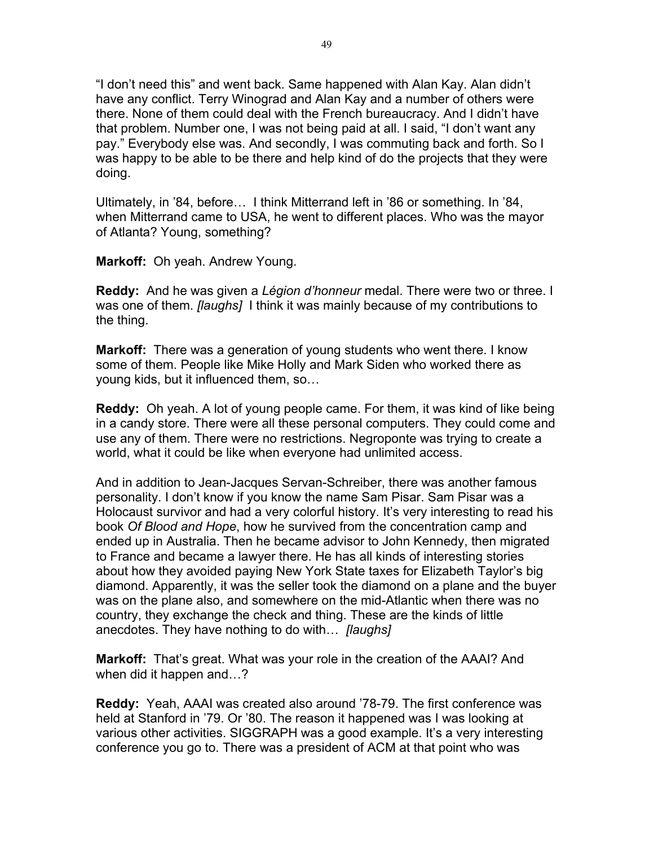"I don't need this" and went back. Same happened with Alan Kay. Alan didn't have any conflict. Terry Winograd and Alan Kay and a number of others were there. None of them could deal with the French bureaucracy. And I didn't have that problem. Number one, I was not being paid at all. I said, "I don't want any pay." Everybody else was. And secondly, I was commuting back and forth. So I was happy to be able to be there and help kind of do the projects that they were doing.

Ultimately, in '84, before… I think Mitterrand left in '86 or something. In '84, when Mitterrand came to USA, he went to different places. Who was the mayor of Atlanta? Young, something?

**Markoff:** Oh yeah. Andrew Young.

**Reddy:** And he was given a *Légion d'honneur* medal. There were two or three. I was one of them. *[laughs]* I think it was mainly because of my contributions to the thing.

**Markoff:** There was a generation of young students who went there. I know some of them. People like Mike Holly and Mark Siden who worked there as young kids, but it influenced them, so…

**Reddy:** Oh yeah. A lot of young people came. For them, it was kind of like being in a candy store. There were all these personal computers. They could come and use any of them. There were no restrictions. Negroponte was trying to create a world, what it could be like when everyone had unlimited access.

And in addition to Jean-Jacques Servan-Schreiber, there was another famous personality. I don't know if you know the name Sam Pisar. Sam Pisar was a Holocaust survivor and had a very colorful history. It's very interesting to read his book *Of Blood and Hope*, how he survived from the concentration camp and ended up in Australia. Then he became advisor to John Kennedy, then migrated to France and became a lawyer there. He has all kinds of interesting stories about how they avoided paying New York State taxes for Elizabeth Taylor's big diamond. Apparently, it was the seller took the diamond on a plane and the buyer was on the plane also, and somewhere on the mid-Atlantic when there was no country, they exchange the check and thing. These are the kinds of little anecdotes. They have nothing to do with… *[laughs]*

**Markoff:** That's great. What was your role in the creation of the AAAI? And when did it happen and…?

**Reddy:** Yeah, AAAI was created also around '78-79. The first conference was held at Stanford in '79. Or '80. The reason it happened was I was looking at various other activities. SIGGRAPH was a good example. It's a very interesting conference you go to. There was a president of ACM at that point who was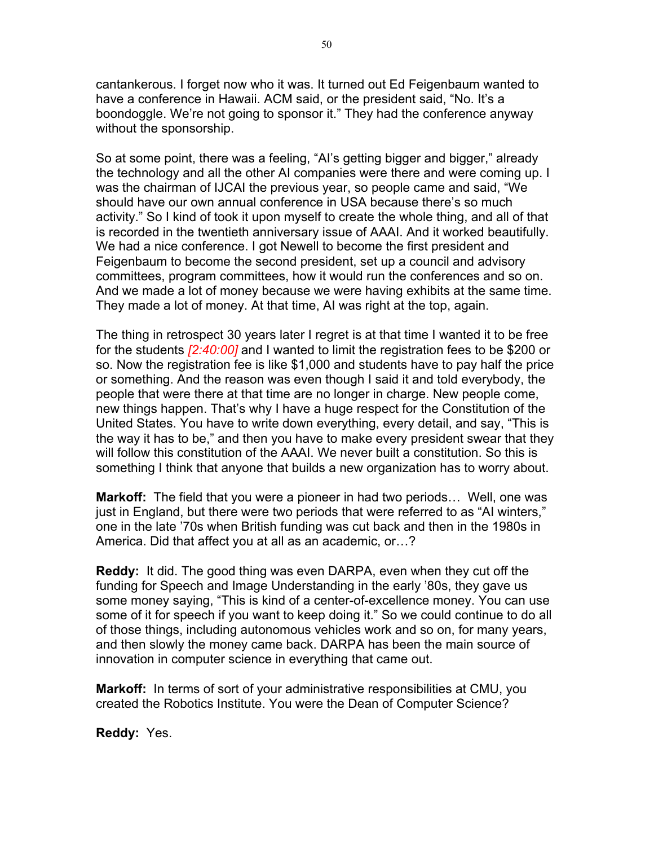cantankerous. I forget now who it was. It turned out Ed Feigenbaum wanted to have a conference in Hawaii. ACM said, or the president said, "No. It's a boondoggle. We're not going to sponsor it." They had the conference anyway without the sponsorship.

So at some point, there was a feeling, "AI's getting bigger and bigger," already the technology and all the other AI companies were there and were coming up. I was the chairman of IJCAI the previous year, so people came and said, "We should have our own annual conference in USA because there's so much activity." So I kind of took it upon myself to create the whole thing, and all of that is recorded in the twentieth anniversary issue of AAAI. And it worked beautifully. We had a nice conference. I got Newell to become the first president and Feigenbaum to become the second president, set up a council and advisory committees, program committees, how it would run the conferences and so on. And we made a lot of money because we were having exhibits at the same time. They made a lot of money. At that time, AI was right at the top, again.

The thing in retrospect 30 years later I regret is at that time I wanted it to be free for the students *[2:40:00]* and I wanted to limit the registration fees to be \$200 or so. Now the registration fee is like \$1,000 and students have to pay half the price or something. And the reason was even though I said it and told everybody, the people that were there at that time are no longer in charge. New people come, new things happen. That's why I have a huge respect for the Constitution of the United States. You have to write down everything, every detail, and say, "This is the way it has to be," and then you have to make every president swear that they will follow this constitution of the AAAI. We never built a constitution. So this is something I think that anyone that builds a new organization has to worry about.

**Markoff:** The field that you were a pioneer in had two periods… Well, one was just in England, but there were two periods that were referred to as "AI winters," one in the late '70s when British funding was cut back and then in the 1980s in America. Did that affect you at all as an academic, or…?

**Reddy:** It did. The good thing was even DARPA, even when they cut off the funding for Speech and Image Understanding in the early '80s, they gave us some money saying, "This is kind of a center-of-excellence money. You can use some of it for speech if you want to keep doing it." So we could continue to do all of those things, including autonomous vehicles work and so on, for many years, and then slowly the money came back. DARPA has been the main source of innovation in computer science in everything that came out.

**Markoff:** In terms of sort of your administrative responsibilities at CMU, you created the Robotics Institute. You were the Dean of Computer Science?

**Reddy:** Yes.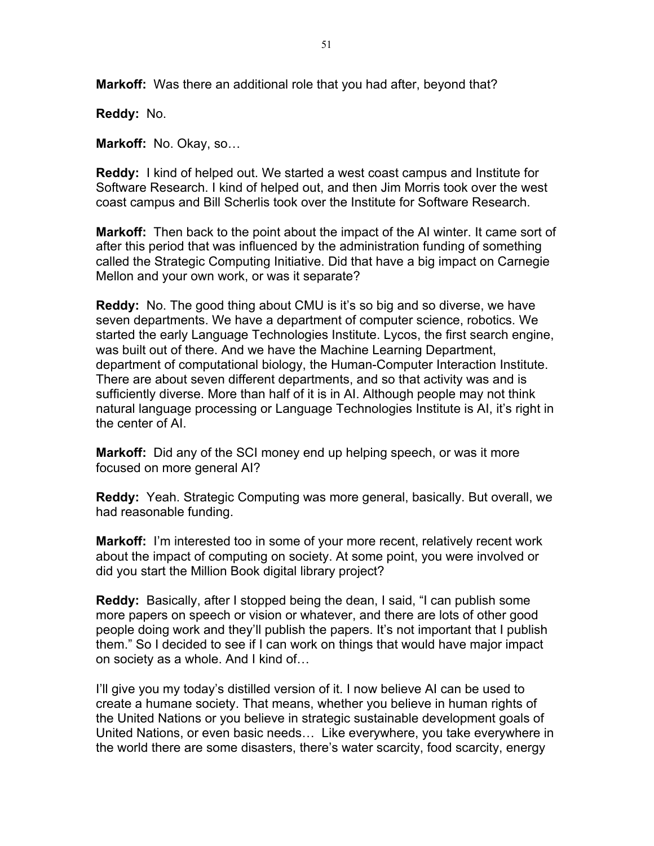**Markoff:** Was there an additional role that you had after, beyond that?

**Reddy:** No.

**Markoff:** No. Okay, so…

**Reddy:** I kind of helped out. We started a west coast campus and Institute for Software Research. I kind of helped out, and then Jim Morris took over the west coast campus and Bill Scherlis took over the Institute for Software Research.

**Markoff:** Then back to the point about the impact of the AI winter. It came sort of after this period that was influenced by the administration funding of something called the Strategic Computing Initiative. Did that have a big impact on Carnegie Mellon and your own work, or was it separate?

**Reddy:** No. The good thing about CMU is it's so big and so diverse, we have seven departments. We have a department of computer science, robotics. We started the early Language Technologies Institute. Lycos, the first search engine, was built out of there. And we have the Machine Learning Department, department of computational biology, the Human-Computer Interaction Institute. There are about seven different departments, and so that activity was and is sufficiently diverse. More than half of it is in AI. Although people may not think natural language processing or Language Technologies Institute is AI, it's right in the center of AI.

**Markoff:** Did any of the SCI money end up helping speech, or was it more focused on more general AI?

**Reddy:** Yeah. Strategic Computing was more general, basically. But overall, we had reasonable funding.

**Markoff:** I'm interested too in some of your more recent, relatively recent work about the impact of computing on society. At some point, you were involved or did you start the Million Book digital library project?

**Reddy:** Basically, after I stopped being the dean, I said, "I can publish some more papers on speech or vision or whatever, and there are lots of other good people doing work and they'll publish the papers. It's not important that I publish them." So I decided to see if I can work on things that would have major impact on society as a whole. And I kind of…

I'll give you my today's distilled version of it. I now believe AI can be used to create a humane society. That means, whether you believe in human rights of the United Nations or you believe in strategic sustainable development goals of United Nations, or even basic needs… Like everywhere, you take everywhere in the world there are some disasters, there's water scarcity, food scarcity, energy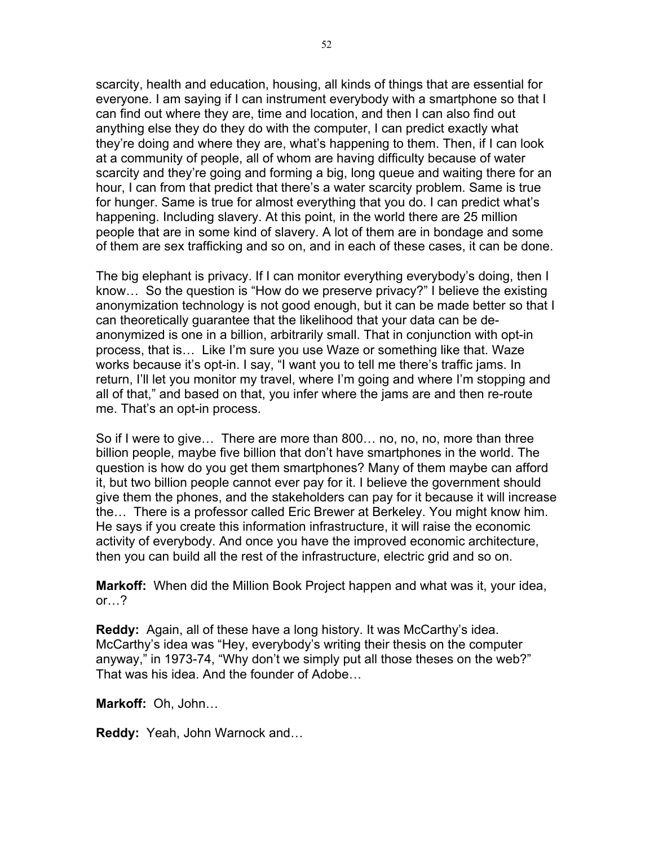scarcity, health and education, housing, all kinds of things that are essential for everyone. I am saying if I can instrument everybody with a smartphone so that I can find out where they are, time and location, and then I can also find out anything else they do they do with the computer, I can predict exactly what they're doing and where they are, what's happening to them. Then, if I can look at a community of people, all of whom are having difficulty because of water scarcity and they're going and forming a big, long queue and waiting there for an hour, I can from that predict that there's a water scarcity problem. Same is true for hunger. Same is true for almost everything that you do. I can predict what's happening. Including slavery. At this point, in the world there are 25 million people that are in some kind of slavery. A lot of them are in bondage and some of them are sex trafficking and so on, and in each of these cases, it can be done.

The big elephant is privacy. If I can monitor everything everybody's doing, then I know… So the question is "How do we preserve privacy?" I believe the existing anonymization technology is not good enough, but it can be made better so that I can theoretically guarantee that the likelihood that your data can be deanonymized is one in a billion, arbitrarily small. That in conjunction with opt-in process, that is… Like I'm sure you use Waze or something like that. Waze works because it's opt-in. I say, "I want you to tell me there's traffic jams. In return, I'll let you monitor my travel, where I'm going and where I'm stopping and all of that," and based on that, you infer where the jams are and then re-route me. That's an opt-in process.

So if I were to give… There are more than 800… no, no, no, more than three billion people, maybe five billion that don't have smartphones in the world. The question is how do you get them smartphones? Many of them maybe can afford it, but two billion people cannot ever pay for it. I believe the government should give them the phones, and the stakeholders can pay for it because it will increase the… There is a professor called Eric Brewer at Berkeley. You might know him. He says if you create this information infrastructure, it will raise the economic activity of everybody. And once you have the improved economic architecture, then you can build all the rest of the infrastructure, electric grid and so on.

**Markoff:** When did the Million Book Project happen and what was it, your idea, or…?

**Reddy:** Again, all of these have a long history. It was McCarthy's idea. McCarthy's idea was "Hey, everybody's writing their thesis on the computer anyway," in 1973-74, "Why don't we simply put all those theses on the web?" That was his idea. And the founder of Adobe…

**Markoff:** Oh, John…

**Reddy:** Yeah, John Warnock and…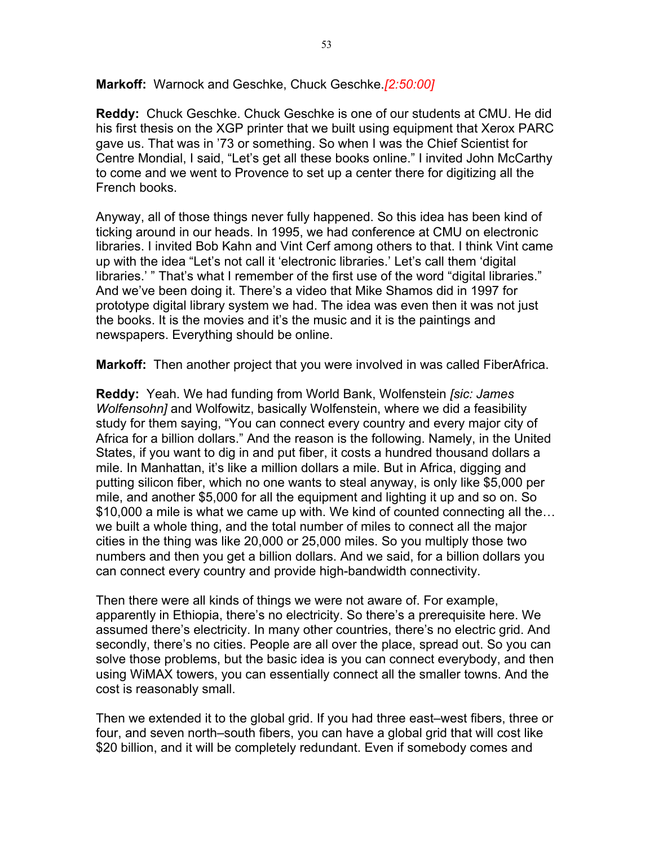**Markoff:** Warnock and Geschke, Chuck Geschke.*[2:50:00]*

**Reddy:** Chuck Geschke. Chuck Geschke is one of our students at CMU. He did his first thesis on the XGP printer that we built using equipment that Xerox PARC gave us. That was in '73 or something. So when I was the Chief Scientist for Centre Mondial, I said, "Let's get all these books online." I invited John McCarthy to come and we went to Provence to set up a center there for digitizing all the French books.

Anyway, all of those things never fully happened. So this idea has been kind of ticking around in our heads. In 1995, we had conference at CMU on electronic libraries. I invited Bob Kahn and Vint Cerf among others to that. I think Vint came up with the idea "Let's not call it 'electronic libraries.' Let's call them 'digital libraries.' " That's what I remember of the first use of the word "digital libraries." And we've been doing it. There's a video that Mike Shamos did in 1997 for prototype digital library system we had. The idea was even then it was not just the books. It is the movies and it's the music and it is the paintings and newspapers. Everything should be online.

**Markoff:** Then another project that you were involved in was called FiberAfrica.

**Reddy:** Yeah. We had funding from World Bank, Wolfenstein *[sic: James Wolfensohn]* and Wolfowitz, basically Wolfenstein, where we did a feasibility study for them saying, "You can connect every country and every major city of Africa for a billion dollars." And the reason is the following. Namely, in the United States, if you want to dig in and put fiber, it costs a hundred thousand dollars a mile. In Manhattan, it's like a million dollars a mile. But in Africa, digging and putting silicon fiber, which no one wants to steal anyway, is only like \$5,000 per mile, and another \$5,000 for all the equipment and lighting it up and so on. So \$10,000 a mile is what we came up with. We kind of counted connecting all the… we built a whole thing, and the total number of miles to connect all the major cities in the thing was like 20,000 or 25,000 miles. So you multiply those two numbers and then you get a billion dollars. And we said, for a billion dollars you can connect every country and provide high-bandwidth connectivity.

Then there were all kinds of things we were not aware of. For example, apparently in Ethiopia, there's no electricity. So there's a prerequisite here. We assumed there's electricity. In many other countries, there's no electric grid. And secondly, there's no cities. People are all over the place, spread out. So you can solve those problems, but the basic idea is you can connect everybody, and then using WiMAX towers, you can essentially connect all the smaller towns. And the cost is reasonably small.

Then we extended it to the global grid. If you had three east–west fibers, three or four, and seven north–south fibers, you can have a global grid that will cost like \$20 billion, and it will be completely redundant. Even if somebody comes and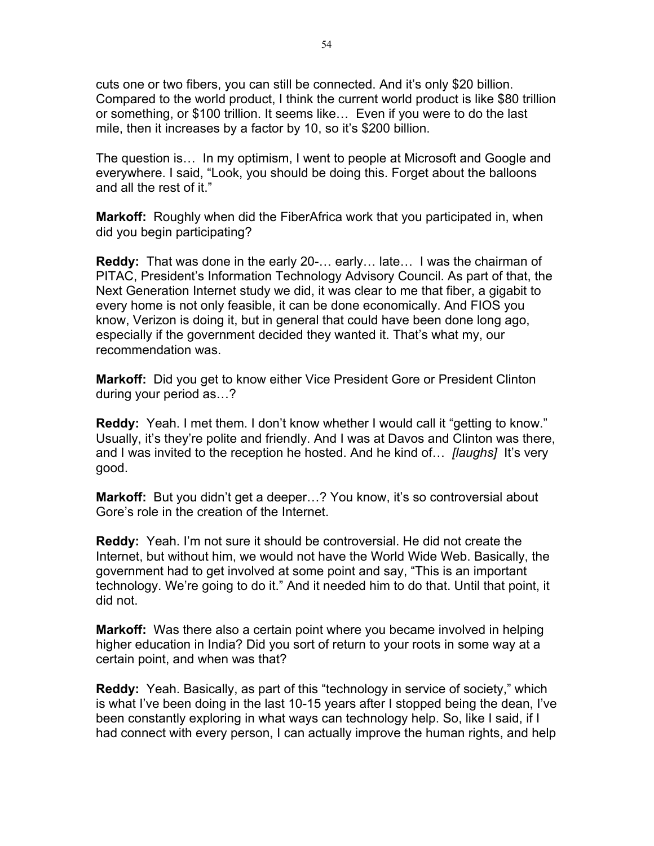cuts one or two fibers, you can still be connected. And it's only \$20 billion. Compared to the world product, I think the current world product is like \$80 trillion or something, or \$100 trillion. It seems like… Even if you were to do the last mile, then it increases by a factor by 10, so it's \$200 billion.

The question is… In my optimism, I went to people at Microsoft and Google and everywhere. I said, "Look, you should be doing this. Forget about the balloons and all the rest of it."

**Markoff:** Roughly when did the FiberAfrica work that you participated in, when did you begin participating?

**Reddy:** That was done in the early 20-… early… late… I was the chairman of PITAC, President's Information Technology Advisory Council. As part of that, the Next Generation Internet study we did, it was clear to me that fiber, a gigabit to every home is not only feasible, it can be done economically. And FIOS you know, Verizon is doing it, but in general that could have been done long ago, especially if the government decided they wanted it. That's what my, our recommendation was.

**Markoff:** Did you get to know either Vice President Gore or President Clinton during your period as…?

**Reddy:** Yeah. I met them. I don't know whether I would call it "getting to know." Usually, it's they're polite and friendly. And I was at Davos and Clinton was there, and I was invited to the reception he hosted. And he kind of… *[laughs]* It's very good.

**Markoff:** But you didn't get a deeper...? You know, it's so controversial about Gore's role in the creation of the Internet.

**Reddy:** Yeah. I'm not sure it should be controversial. He did not create the Internet, but without him, we would not have the World Wide Web. Basically, the government had to get involved at some point and say, "This is an important technology. We're going to do it." And it needed him to do that. Until that point, it did not.

**Markoff:** Was there also a certain point where you became involved in helping higher education in India? Did you sort of return to your roots in some way at a certain point, and when was that?

**Reddy:** Yeah. Basically, as part of this "technology in service of society," which is what I've been doing in the last 10-15 years after I stopped being the dean, I've been constantly exploring in what ways can technology help. So, like I said, if I had connect with every person, I can actually improve the human rights, and help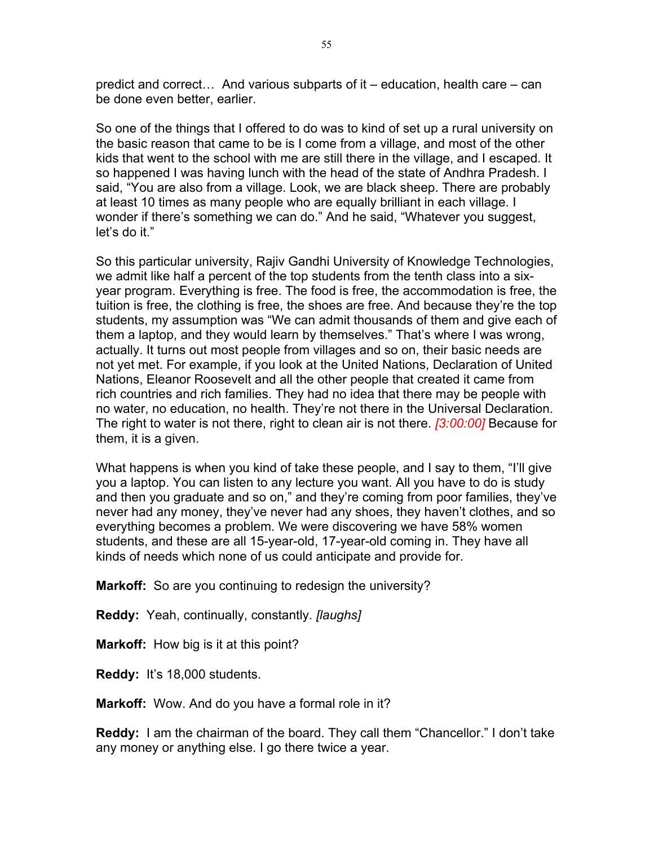predict and correct… And various subparts of it – education, health care – can be done even better, earlier.

So one of the things that I offered to do was to kind of set up a rural university on the basic reason that came to be is I come from a village, and most of the other kids that went to the school with me are still there in the village, and I escaped. It so happened I was having lunch with the head of the state of Andhra Pradesh. I said, "You are also from a village. Look, we are black sheep. There are probably at least 10 times as many people who are equally brilliant in each village. I wonder if there's something we can do." And he said, "Whatever you suggest, let's do it."

So this particular university, Rajiv Gandhi University of Knowledge Technologies, we admit like half a percent of the top students from the tenth class into a sixyear program. Everything is free. The food is free, the accommodation is free, the tuition is free, the clothing is free, the shoes are free. And because they're the top students, my assumption was "We can admit thousands of them and give each of them a laptop, and they would learn by themselves." That's where I was wrong, actually. It turns out most people from villages and so on, their basic needs are not yet met. For example, if you look at the United Nations, Declaration of United Nations, Eleanor Roosevelt and all the other people that created it came from rich countries and rich families. They had no idea that there may be people with no water, no education, no health. They're not there in the Universal Declaration. The right to water is not there, right to clean air is not there. *[3:00:00]* Because for them, it is a given.

What happens is when you kind of take these people, and I say to them, "I'll give you a laptop. You can listen to any lecture you want. All you have to do is study and then you graduate and so on," and they're coming from poor families, they've never had any money, they've never had any shoes, they haven't clothes, and so everything becomes a problem. We were discovering we have 58% women students, and these are all 15-year-old, 17-year-old coming in. They have all kinds of needs which none of us could anticipate and provide for.

**Markoff:** So are you continuing to redesign the university?

**Reddy:** Yeah, continually, constantly. *[laughs]*

**Markoff:** How big is it at this point?

**Reddy:** It's 18,000 students.

**Markoff:** Wow. And do you have a formal role in it?

**Reddy:** I am the chairman of the board. They call them "Chancellor." I don't take any money or anything else. I go there twice a year.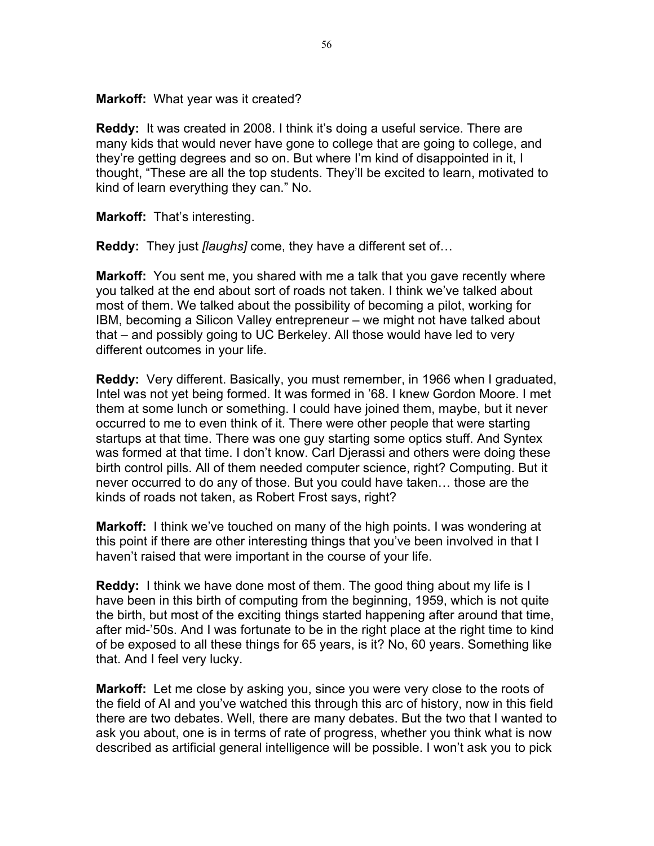**Markoff:** What year was it created?

**Reddy:** It was created in 2008. I think it's doing a useful service. There are many kids that would never have gone to college that are going to college, and they're getting degrees and so on. But where I'm kind of disappointed in it, I thought, "These are all the top students. They'll be excited to learn, motivated to kind of learn everything they can." No.

**Markoff:** That's interesting.

**Reddy:** They just *[laughs]* come, they have a different set of…

**Markoff:** You sent me, you shared with me a talk that you gave recently where you talked at the end about sort of roads not taken. I think we've talked about most of them. We talked about the possibility of becoming a pilot, working for IBM, becoming a Silicon Valley entrepreneur – we might not have talked about that – and possibly going to UC Berkeley. All those would have led to very different outcomes in your life.

**Reddy:** Very different. Basically, you must remember, in 1966 when I graduated, Intel was not yet being formed. It was formed in '68. I knew Gordon Moore. I met them at some lunch or something. I could have joined them, maybe, but it never occurred to me to even think of it. There were other people that were starting startups at that time. There was one guy starting some optics stuff. And Syntex was formed at that time. I don't know. Carl Djerassi and others were doing these birth control pills. All of them needed computer science, right? Computing. But it never occurred to do any of those. But you could have taken… those are the kinds of roads not taken, as Robert Frost says, right?

**Markoff:** I think we've touched on many of the high points. I was wondering at this point if there are other interesting things that you've been involved in that I haven't raised that were important in the course of your life.

**Reddy:** I think we have done most of them. The good thing about my life is I have been in this birth of computing from the beginning, 1959, which is not quite the birth, but most of the exciting things started happening after around that time, after mid-'50s. And I was fortunate to be in the right place at the right time to kind of be exposed to all these things for 65 years, is it? No, 60 years. Something like that. And I feel very lucky.

**Markoff:** Let me close by asking you, since you were very close to the roots of the field of AI and you've watched this through this arc of history, now in this field there are two debates. Well, there are many debates. But the two that I wanted to ask you about, one is in terms of rate of progress, whether you think what is now described as artificial general intelligence will be possible. I won't ask you to pick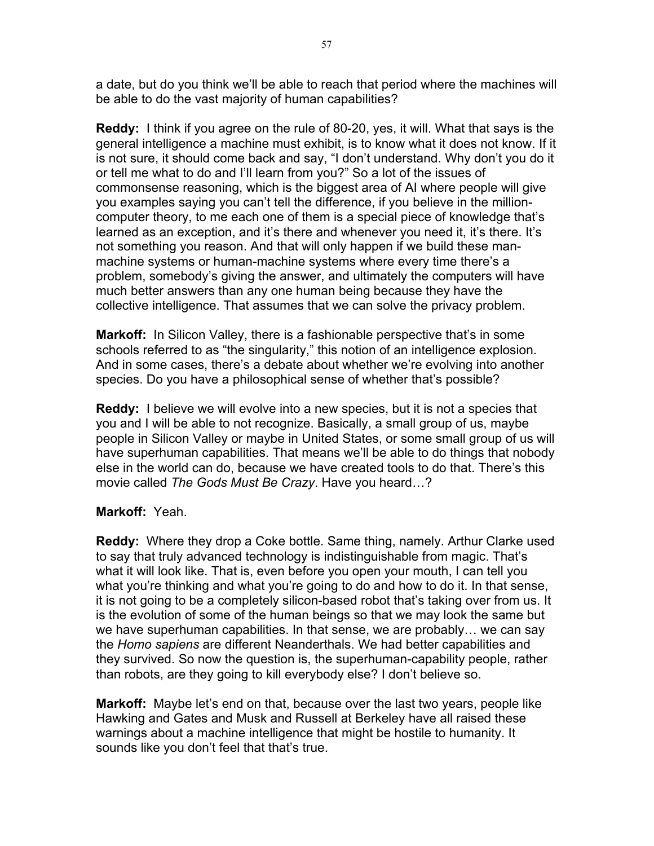a date, but do you think we'll be able to reach that period where the machines will be able to do the vast majority of human capabilities?

**Reddy:** I think if you agree on the rule of 80-20, yes, it will. What that says is the general intelligence a machine must exhibit, is to know what it does not know. If it is not sure, it should come back and say, "I don't understand. Why don't you do it or tell me what to do and I'll learn from you?" So a lot of the issues of commonsense reasoning, which is the biggest area of AI where people will give you examples saying you can't tell the difference, if you believe in the millioncomputer theory, to me each one of them is a special piece of knowledge that's learned as an exception, and it's there and whenever you need it, it's there. It's not something you reason. And that will only happen if we build these manmachine systems or human-machine systems where every time there's a problem, somebody's giving the answer, and ultimately the computers will have much better answers than any one human being because they have the collective intelligence. That assumes that we can solve the privacy problem.

**Markoff:** In Silicon Valley, there is a fashionable perspective that's in some schools referred to as "the singularity," this notion of an intelligence explosion. And in some cases, there's a debate about whether we're evolving into another species. Do you have a philosophical sense of whether that's possible?

**Reddy:** I believe we will evolve into a new species, but it is not a species that you and I will be able to not recognize. Basically, a small group of us, maybe people in Silicon Valley or maybe in United States, or some small group of us will have superhuman capabilities. That means we'll be able to do things that nobody else in the world can do, because we have created tools to do that. There's this movie called *The Gods Must Be Crazy*. Have you heard…?

## **Markoff:** Yeah.

**Reddy:** Where they drop a Coke bottle. Same thing, namely. Arthur Clarke used to say that truly advanced technology is indistinguishable from magic. That's what it will look like. That is, even before you open your mouth, I can tell you what you're thinking and what you're going to do and how to do it. In that sense, it is not going to be a completely silicon-based robot that's taking over from us. It is the evolution of some of the human beings so that we may look the same but we have superhuman capabilities. In that sense, we are probably… we can say the *Homo sapiens* are different Neanderthals. We had better capabilities and they survived. So now the question is, the superhuman-capability people, rather than robots, are they going to kill everybody else? I don't believe so.

**Markoff:** Maybe let's end on that, because over the last two years, people like Hawking and Gates and Musk and Russell at Berkeley have all raised these warnings about a machine intelligence that might be hostile to humanity. It sounds like you don't feel that that's true.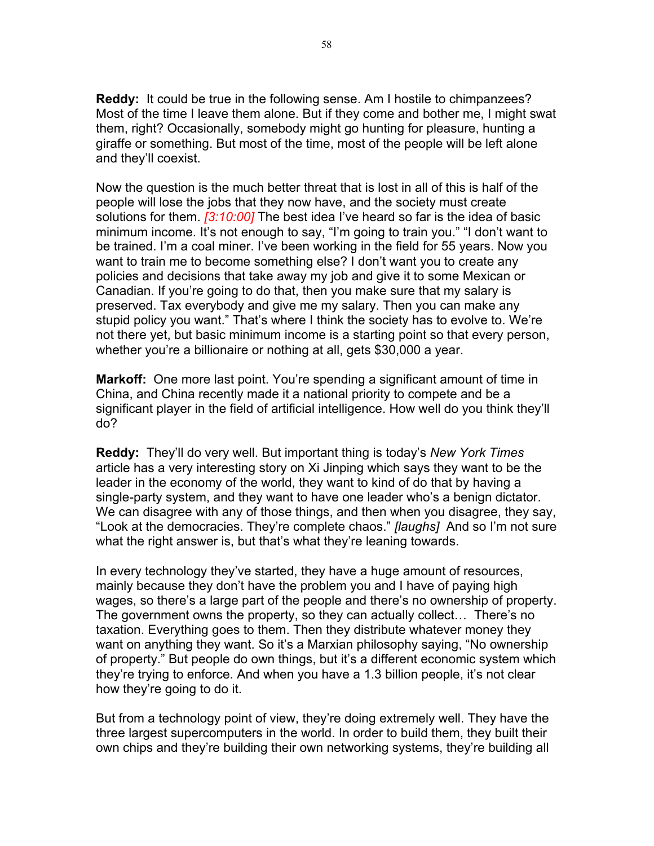**Reddy:** It could be true in the following sense. Am I hostile to chimpanzees? Most of the time I leave them alone. But if they come and bother me, I might swat them, right? Occasionally, somebody might go hunting for pleasure, hunting a giraffe or something. But most of the time, most of the people will be left alone and they'll coexist.

Now the question is the much better threat that is lost in all of this is half of the people will lose the jobs that they now have, and the society must create solutions for them. *[3:10:00]* The best idea I've heard so far is the idea of basic minimum income. It's not enough to say, "I'm going to train you." "I don't want to be trained. I'm a coal miner. I've been working in the field for 55 years. Now you want to train me to become something else? I don't want you to create any policies and decisions that take away my job and give it to some Mexican or Canadian. If you're going to do that, then you make sure that my salary is preserved. Tax everybody and give me my salary. Then you can make any stupid policy you want." That's where I think the society has to evolve to. We're not there yet, but basic minimum income is a starting point so that every person, whether you're a billionaire or nothing at all, gets \$30,000 a year.

**Markoff:** One more last point. You're spending a significant amount of time in China, and China recently made it a national priority to compete and be a significant player in the field of artificial intelligence. How well do you think they'll do?

**Reddy:** They'll do very well. But important thing is today's *New York Times* article has a very interesting story on Xi Jinping which says they want to be the leader in the economy of the world, they want to kind of do that by having a single-party system, and they want to have one leader who's a benign dictator. We can disagree with any of those things, and then when you disagree, they say, "Look at the democracies. They're complete chaos." *[laughs]* And so I'm not sure what the right answer is, but that's what they're leaning towards.

In every technology they've started, they have a huge amount of resources, mainly because they don't have the problem you and I have of paying high wages, so there's a large part of the people and there's no ownership of property. The government owns the property, so they can actually collect… There's no taxation. Everything goes to them. Then they distribute whatever money they want on anything they want. So it's a Marxian philosophy saying, "No ownership of property." But people do own things, but it's a different economic system which they're trying to enforce. And when you have a 1.3 billion people, it's not clear how they're going to do it.

But from a technology point of view, they're doing extremely well. They have the three largest supercomputers in the world. In order to build them, they built their own chips and they're building their own networking systems, they're building all